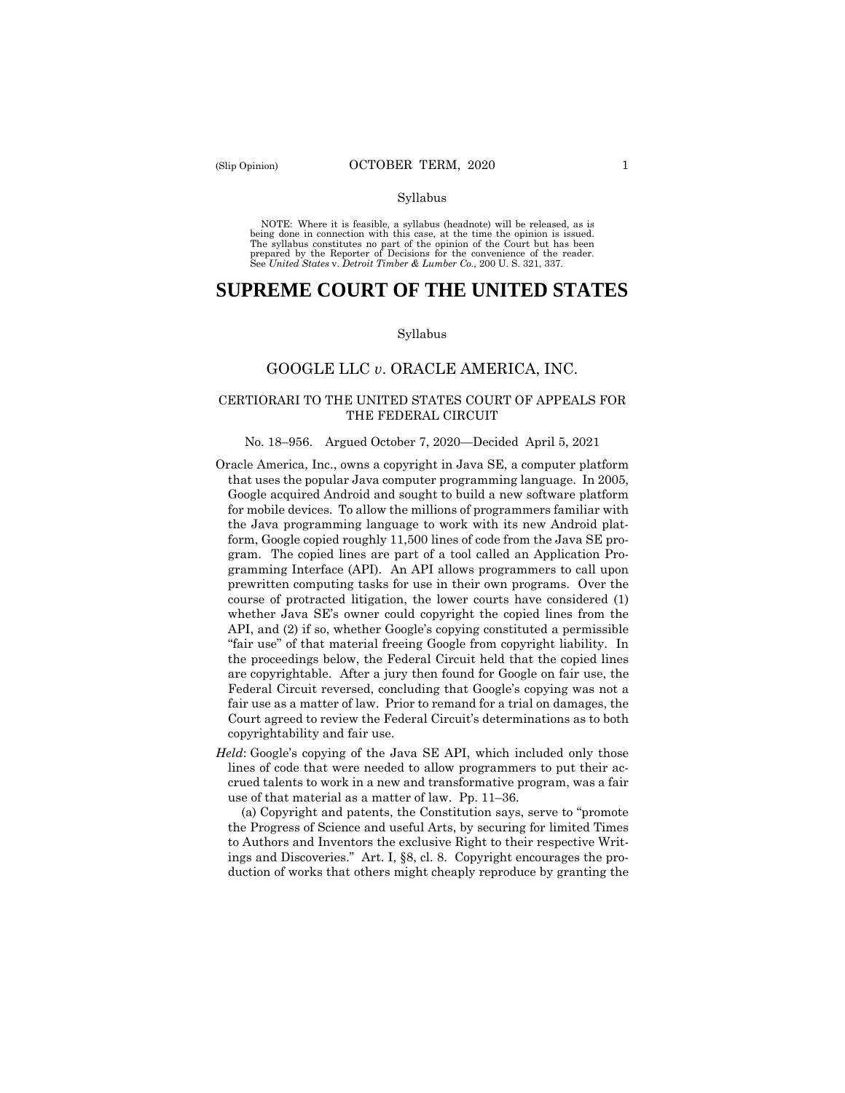NOTE: Where it is feasible, a syllabus (headnote) will be released, as is being done in connection with this case, at the time the opinion is issued. The syllabus constitutes no part of the opinion of the Court but has been<br>prepared by the Reporter of Decisions for the convenience of the reader.<br>See United States v. Detroit Timber & Lumber Co., 200 U.S. 321, 337.

# **SUPREME COURT OF THE UNITED STATES**

#### Syllabus

## GOOGLE LLC *v*. ORACLE AMERICA, INC.

### CERTIORARI TO THE UNITED STATES COURT OF APPEALS FOR THE FEDERAL CIRCUIT

#### No. 18–956. Argued October 7, 2020—Decided April 5, 2021

- Oracle America, Inc., owns a copyright in Java SE, a computer platform that uses the popular Java computer programming language. In 2005, Google acquired Android and sought to build a new software platform for mobile devices. To allow the millions of programmers familiar with the Java programming language to work with its new Android platform, Google copied roughly 11,500 lines of code from the Java SE program. The copied lines are part of a tool called an Application Programming Interface (API). An API allows programmers to call upon prewritten computing tasks for use in their own programs. Over the course of protracted litigation, the lower courts have considered (1) whether Java SE's owner could copyright the copied lines from the API, and (2) if so, whether Google's copying constituted a permissible "fair use" of that material freeing Google from copyright liability. In the proceedings below, the Federal Circuit held that the copied lines are copyrightable. After a jury then found for Google on fair use, the Federal Circuit reversed, concluding that Google's copying was not a fair use as a matter of law. Prior to remand for a trial on damages, the Court agreed to review the Federal Circuit's determinations as to both copyrightability and fair use.
- *Held*: Google's copying of the Java SE API, which included only those lines of code that were needed to allow programmers to put their accrued talents to work in a new and transformative program, was a fair use of that material as a matter of law. Pp. 11–36.

(a) Copyright and patents, the Constitution says, serve to "promote the Progress of Science and useful Arts, by securing for limited Times to Authors and Inventors the exclusive Right to their respective Writings and Discoveries." Art. I, §8, cl. 8. Copyright encourages the production of works that others might cheaply reproduce by granting the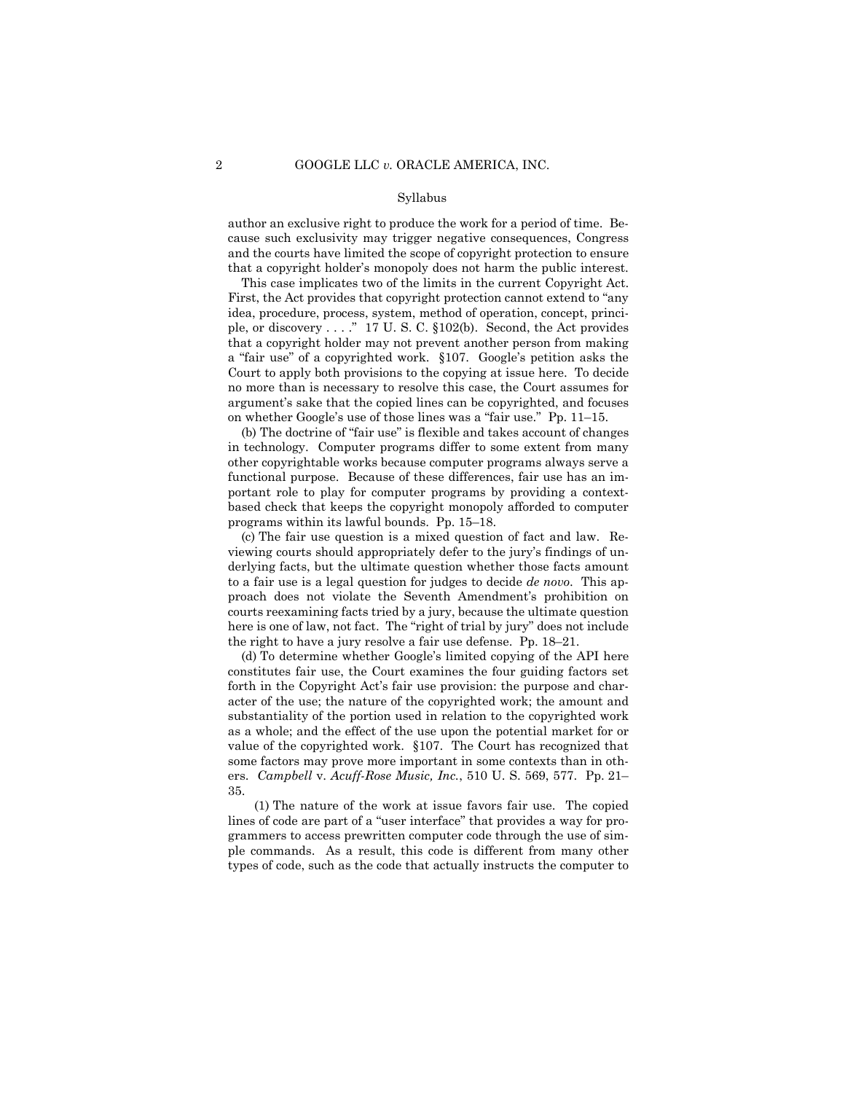author an exclusive right to produce the work for a period of time. Because such exclusivity may trigger negative consequences, Congress and the courts have limited the scope of copyright protection to ensure that a copyright holder's monopoly does not harm the public interest.

This case implicates two of the limits in the current Copyright Act. First, the Act provides that copyright protection cannot extend to "any idea, procedure, process, system, method of operation, concept, principle, or discovery . . . ." 17 U. S. C. §102(b). Second, the Act provides that a copyright holder may not prevent another person from making a "fair use" of a copyrighted work. §107. Google's petition asks the Court to apply both provisions to the copying at issue here. To decide no more than is necessary to resolve this case, the Court assumes for argument's sake that the copied lines can be copyrighted, and focuses on whether Google's use of those lines was a "fair use." Pp. 11–15.

(b) The doctrine of "fair use" is flexible and takes account of changes in technology. Computer programs differ to some extent from many other copyrightable works because computer programs always serve a functional purpose. Because of these differences, fair use has an important role to play for computer programs by providing a contextbased check that keeps the copyright monopoly afforded to computer programs within its lawful bounds. Pp. 15–18.

(c) The fair use question is a mixed question of fact and law. Reviewing courts should appropriately defer to the jury's findings of underlying facts, but the ultimate question whether those facts amount to a fair use is a legal question for judges to decide *de novo*. This approach does not violate the Seventh Amendment's prohibition on courts reexamining facts tried by a jury, because the ultimate question here is one of law, not fact. The "right of trial by jury" does not include the right to have a jury resolve a fair use defense. Pp. 18–21.

(d) To determine whether Google's limited copying of the API here constitutes fair use, the Court examines the four guiding factors set forth in the Copyright Act's fair use provision: the purpose and character of the use; the nature of the copyrighted work; the amount and substantiality of the portion used in relation to the copyrighted work as a whole; and the effect of the use upon the potential market for or value of the copyrighted work. §107. The Court has recognized that some factors may prove more important in some contexts than in others. *Campbell* v. *Acuff-Rose Music, Inc.*, 510 U. S. 569, 577. Pp. 21– 35.

(1) The nature of the work at issue favors fair use. The copied lines of code are part of a "user interface" that provides a way for programmers to access prewritten computer code through the use of simple commands. As a result, this code is different from many other types of code, such as the code that actually instructs the computer to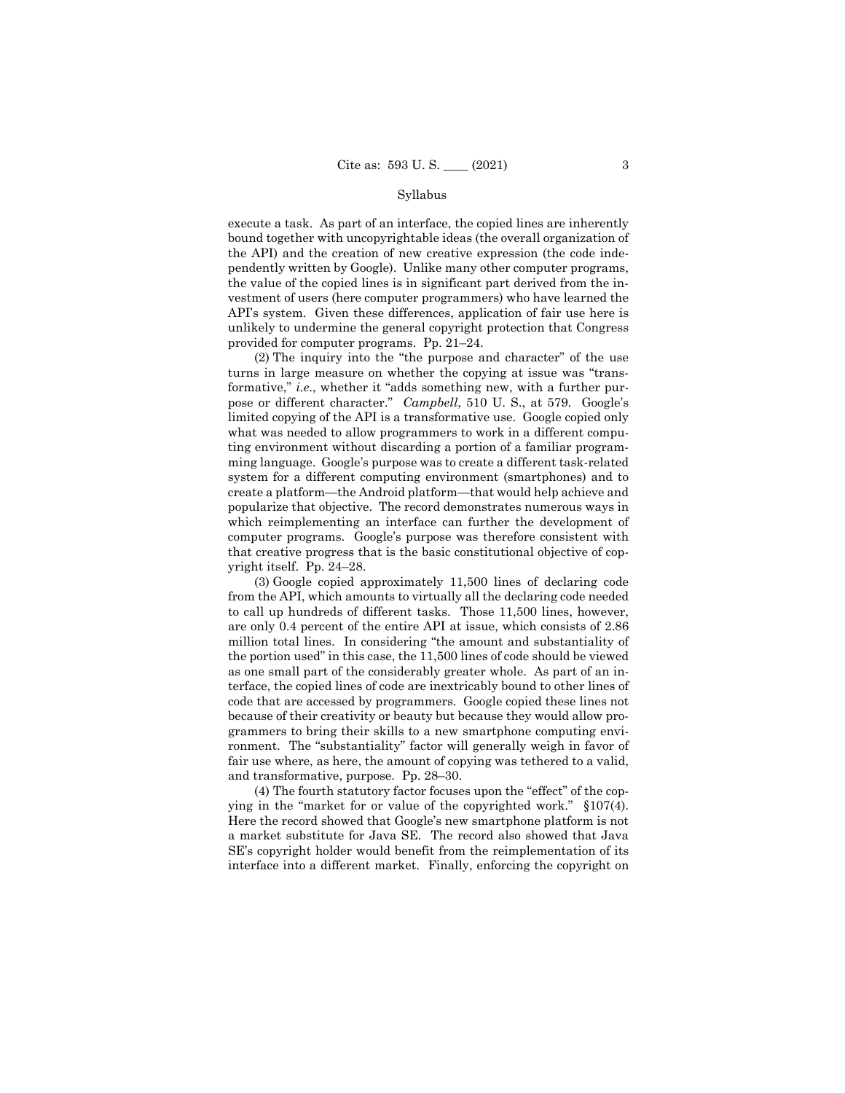execute a task. As part of an interface, the copied lines are inherently bound together with uncopyrightable ideas (the overall organization of the API) and the creation of new creative expression (the code independently written by Google). Unlike many other computer programs, the value of the copied lines is in significant part derived from the investment of users (here computer programmers) who have learned the API's system. Given these differences, application of fair use here is unlikely to undermine the general copyright protection that Congress provided for computer programs. Pp. 21–24.

 pose or different character." *Campbell*, 510 U. S., at 579. Google's ming language. Google's purpose was to create a different task-related (2) The inquiry into the "the purpose and character" of the use turns in large measure on whether the copying at issue was "transformative," *i.e*., whether it "adds something new, with a further purlimited copying of the API is a transformative use. Google copied only what was needed to allow programmers to work in a different computing environment without discarding a portion of a familiar programsystem for a different computing environment (smartphones) and to create a platform—the Android platform—that would help achieve and popularize that objective. The record demonstrates numerous ways in which reimplementing an interface can further the development of computer programs. Google's purpose was therefore consistent with that creative progress that is the basic constitutional objective of copyright itself. Pp. 24–28.

(3) Google copied approximately 11,500 lines of declaring code from the API, which amounts to virtually all the declaring code needed to call up hundreds of different tasks. Those 11,500 lines, however, are only 0.4 percent of the entire API at issue, which consists of 2.86 million total lines. In considering "the amount and substantiality of the portion used" in this case, the 11,500 lines of code should be viewed as one small part of the considerably greater whole. As part of an interface, the copied lines of code are inextricably bound to other lines of code that are accessed by programmers. Google copied these lines not because of their creativity or beauty but because they would allow programmers to bring their skills to a new smartphone computing environment. The "substantiality" factor will generally weigh in favor of fair use where, as here, the amount of copying was tethered to a valid, and transformative, purpose. Pp. 28–30.

 ying in the "market for or value of the copyrighted work." §107(4). (4) The fourth statutory factor focuses upon the "effect" of the cop-Here the record showed that Google's new smartphone platform is not a market substitute for Java SE. The record also showed that Java SE's copyright holder would benefit from the reimplementation of its interface into a different market. Finally, enforcing the copyright on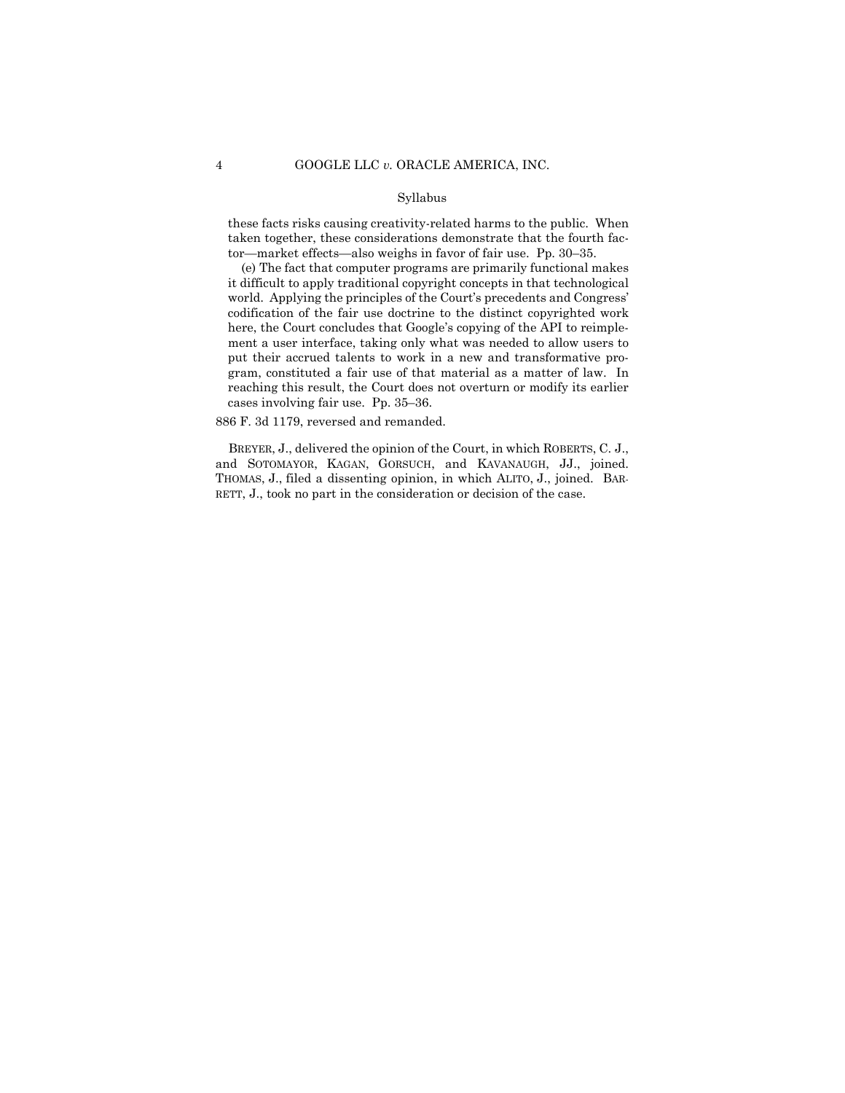these facts risks causing creativity-related harms to the public. When taken together, these considerations demonstrate that the fourth factor—market effects—also weighs in favor of fair use. Pp. 30–35.

(e) The fact that computer programs are primarily functional makes it difficult to apply traditional copyright concepts in that technological world. Applying the principles of the Court's precedents and Congress' codification of the fair use doctrine to the distinct copyrighted work here, the Court concludes that Google's copying of the API to reimplement a user interface, taking only what was needed to allow users to put their accrued talents to work in a new and transformative program, constituted a fair use of that material as a matter of law. In reaching this result, the Court does not overturn or modify its earlier cases involving fair use. Pp. 35–36.

886 F. 3d 1179, reversed and remanded.

 THOMAS, J., filed a dissenting opinion, in which ALITO, J., joined. BAR-BREYER, J., delivered the opinion of the Court, in which ROBERTS, C. J., and SOTOMAYOR, KAGAN, GORSUCH, and KAVANAUGH, JJ., joined. RETT, J., took no part in the consideration or decision of the case.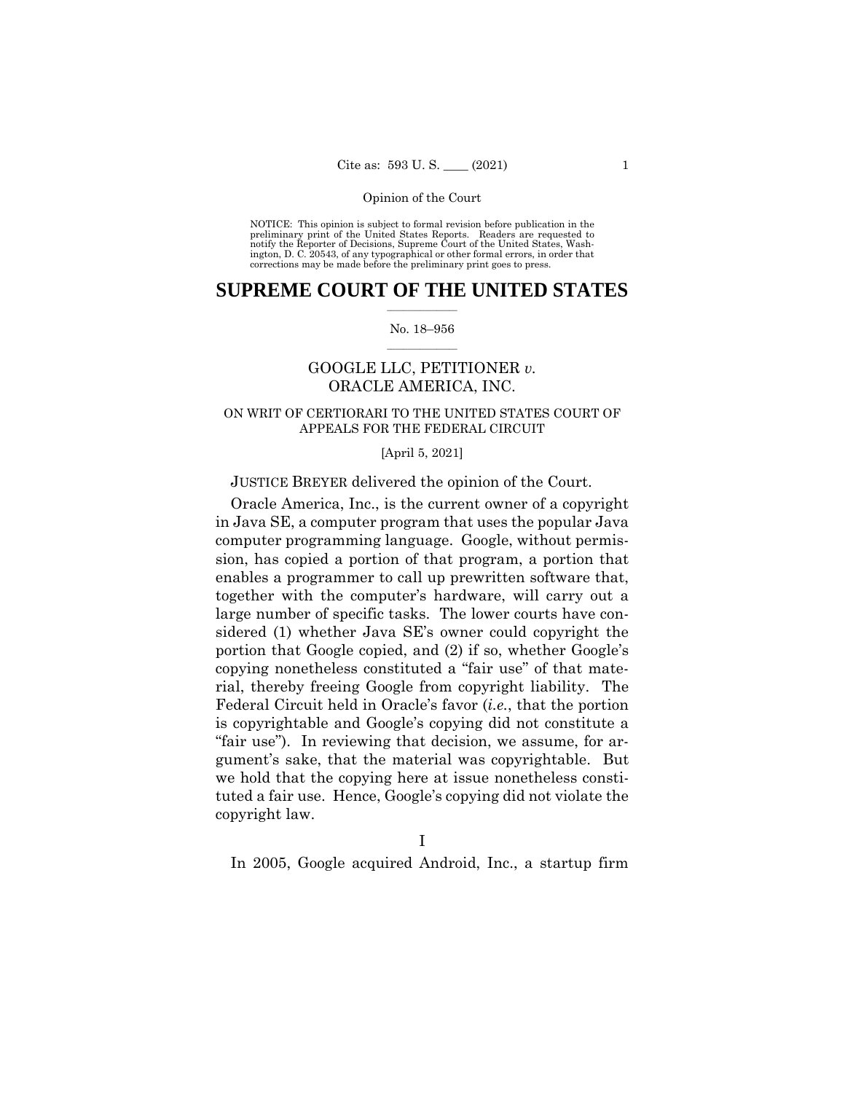NOTICE: This opinion is subject to formal revision before publication in the preliminary print of the United States Reports. Readers are requested to notify the Reporter of Decisions, Supreme Court of the United States, Wash-ington, D. C. 20543, of any typographical or other formal errors, in order that corrections may be made before the preliminary print goes to press.

## $\frac{1}{2}$  ,  $\frac{1}{2}$  ,  $\frac{1}{2}$  ,  $\frac{1}{2}$  ,  $\frac{1}{2}$  ,  $\frac{1}{2}$  ,  $\frac{1}{2}$ **SUPREME COURT OF THE UNITED STATES**

#### $\frac{1}{2}$  ,  $\frac{1}{2}$  ,  $\frac{1}{2}$  ,  $\frac{1}{2}$  ,  $\frac{1}{2}$  ,  $\frac{1}{2}$ No. 18–956

## GOOGLE LLC, PETITIONER *v.* ORACLE AMERICA, INC.

## ON WRIT OF CERTIORARI TO THE UNITED STATES COURT OF APPEALS FOR THE FEDERAL CIRCUIT

### [April 5, 2021]

## JUSTICE BREYER delivered the opinion of the Court.

Oracle America, Inc., is the current owner of a copyright in Java SE, a computer program that uses the popular Java computer programming language. Google, without permission, has copied a portion of that program, a portion that enables a programmer to call up prewritten software that, together with the computer's hardware, will carry out a large number of specific tasks. The lower courts have considered (1) whether Java SE's owner could copyright the portion that Google copied, and (2) if so, whether Google's copying nonetheless constituted a "fair use" of that material, thereby freeing Google from copyright liability. The Federal Circuit held in Oracle's favor (*i.e.*, that the portion is copyrightable and Google's copying did not constitute a "fair use"). In reviewing that decision, we assume, for argument's sake, that the material was copyrightable. But we hold that the copying here at issue nonetheless constituted a fair use. Hence, Google's copying did not violate the copyright law.

In 2005, Google acquired Android, Inc., a startup firm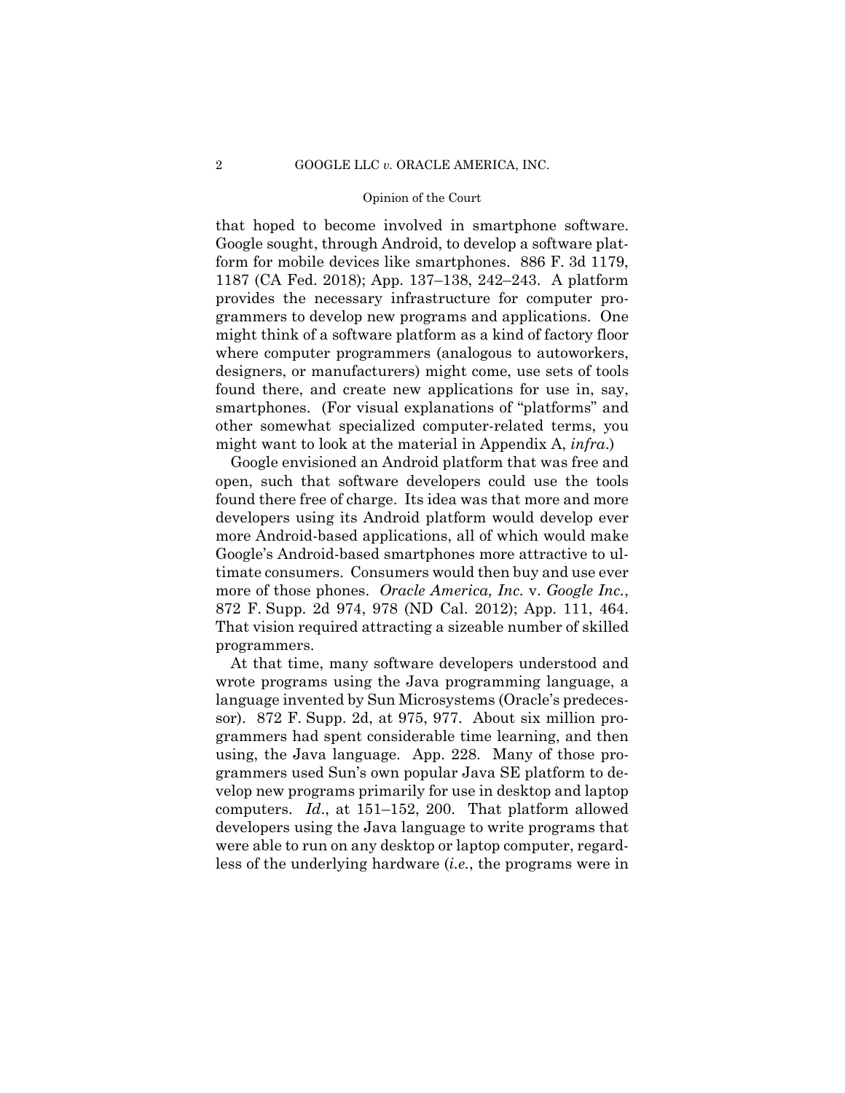that hoped to become involved in smartphone software. Google sought, through Android, to develop a software platform for mobile devices like smartphones. 886 F. 3d 1179, 1187 (CA Fed. 2018); App. 137–138, 242–243. A platform provides the necessary infrastructure for computer programmers to develop new programs and applications. One might think of a software platform as a kind of factory floor where computer programmers (analogous to autoworkers, designers, or manufacturers) might come, use sets of tools found there, and create new applications for use in, say, smartphones. (For visual explanations of "platforms" and other somewhat specialized computer-related terms, you might want to look at the material in Appendix A, *infra*.)

Google envisioned an Android platform that was free and open, such that software developers could use the tools found there free of charge. Its idea was that more and more developers using its Android platform would develop ever more Android-based applications, all of which would make Google's Android-based smartphones more attractive to ultimate consumers. Consumers would then buy and use ever more of those phones. *Oracle America, Inc.* v. *Google Inc.*, 872 F. Supp. 2d 974, 978 (ND Cal. 2012); App. 111, 464. That vision required attracting a sizeable number of skilled programmers.

At that time, many software developers understood and wrote programs using the Java programming language, a language invented by Sun Microsystems (Oracle's predecessor). 872 F. Supp. 2d, at 975, 977. About six million programmers had spent considerable time learning, and then using, the Java language. App. 228. Many of those programmers used Sun's own popular Java SE platform to develop new programs primarily for use in desktop and laptop computers. *Id*., at 151–152, 200. That platform allowed developers using the Java language to write programs that were able to run on any desktop or laptop computer, regardless of the underlying hardware (*i.e.*, the programs were in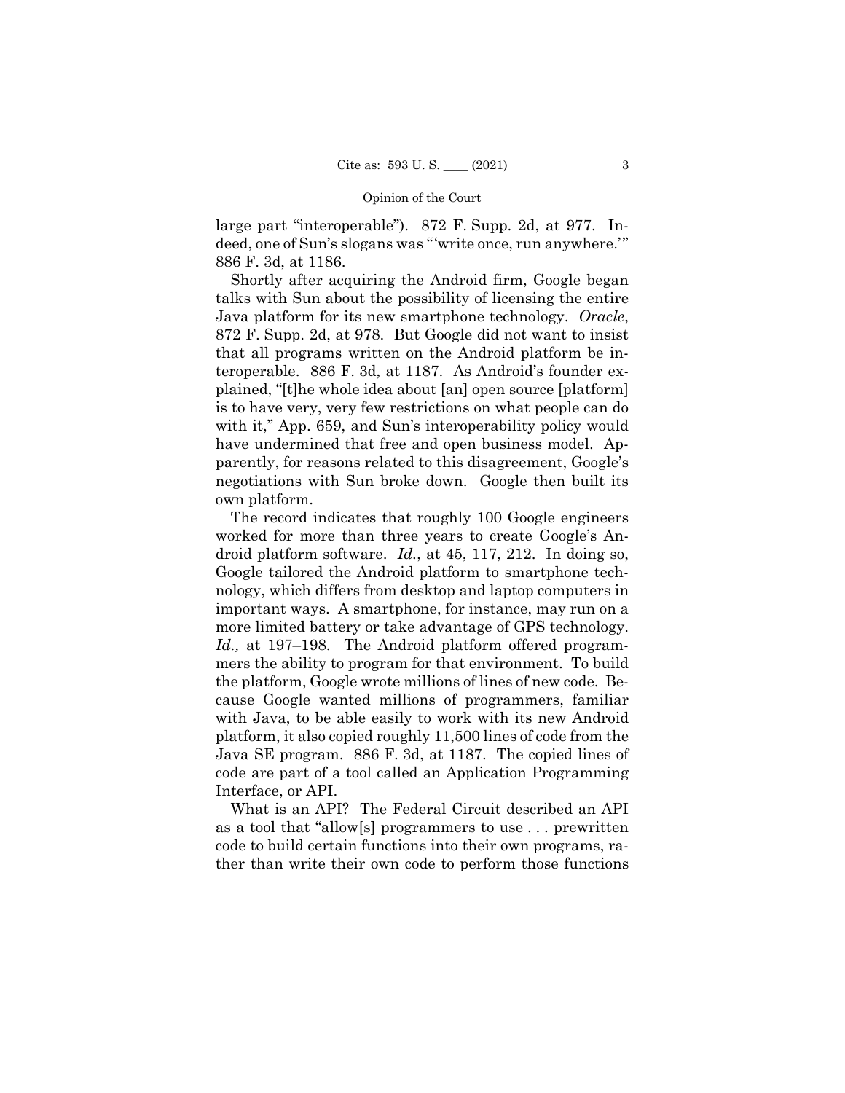large part "interoperable"). 872 F. Supp. 2d, at 977. Indeed, one of Sun's slogans was "'write once, run anywhere.'" 886 F. 3d, at 1186.

Shortly after acquiring the Android firm, Google began talks with Sun about the possibility of licensing the entire Java platform for its new smartphone technology. *Oracle*, 872 F. Supp. 2d, at 978. But Google did not want to insist that all programs written on the Android platform be interoperable. 886 F. 3d, at 1187. As Android's founder explained, "[t]he whole idea about [an] open source [platform] is to have very, very few restrictions on what people can do with it," App. 659, and Sun's interoperability policy would have undermined that free and open business model. Apparently, for reasons related to this disagreement, Google's negotiations with Sun broke down. Google then built its own platform.

The record indicates that roughly 100 Google engineers worked for more than three years to create Google's Android platform software. *Id.*, at 45, 117, 212. In doing so, Google tailored the Android platform to smartphone technology, which differs from desktop and laptop computers in important ways. A smartphone, for instance, may run on a more limited battery or take advantage of GPS technology. *Id.,* at 197–198. The Android platform offered programmers the ability to program for that environment. To build the platform, Google wrote millions of lines of new code. Because Google wanted millions of programmers, familiar with Java, to be able easily to work with its new Android platform, it also copied roughly 11,500 lines of code from the Java SE program. 886 F. 3d, at 1187. The copied lines of code are part of a tool called an Application Programming Interface, or API.

What is an API? The Federal Circuit described an API as a tool that "allow[s] programmers to use . . . prewritten code to build certain functions into their own programs, rather than write their own code to perform those functions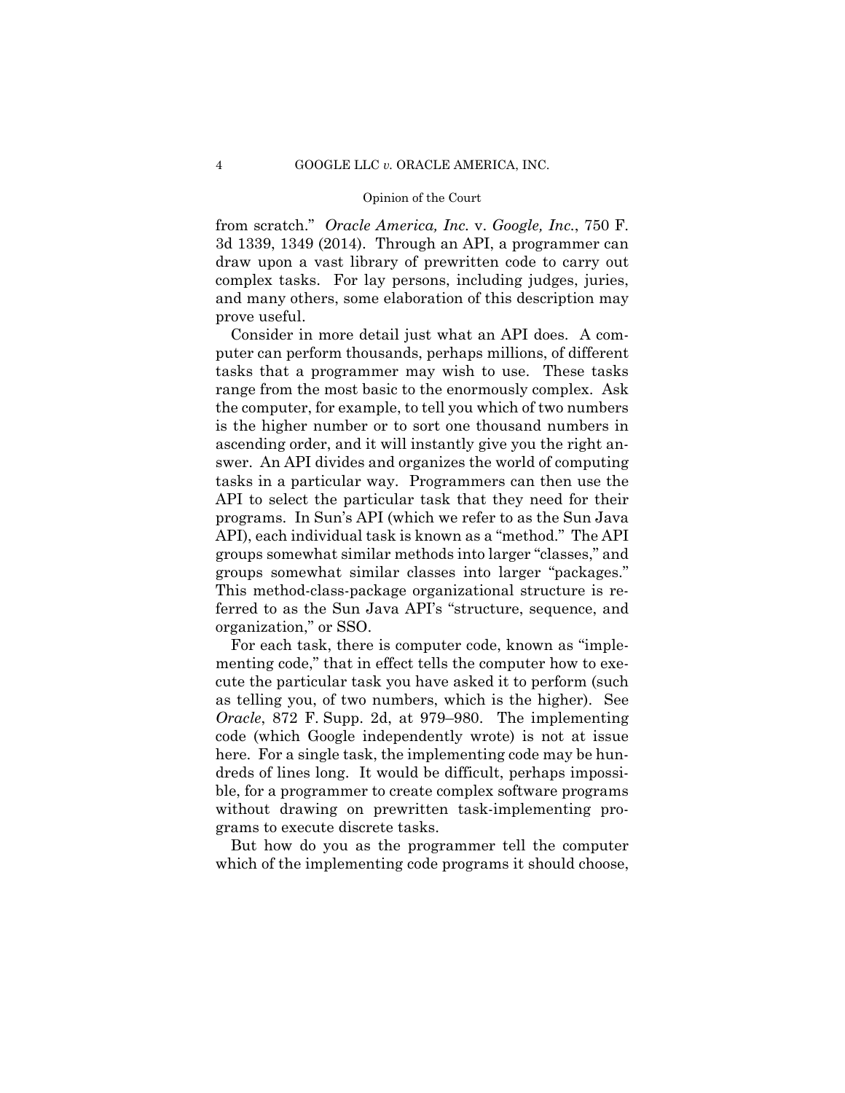from scratch." *Oracle America, Inc.* v. *Google, Inc.*, 750 F. 3d 1339, 1349 (2014). Through an API, a programmer can draw upon a vast library of prewritten code to carry out complex tasks. For lay persons, including judges, juries, and many others, some elaboration of this description may prove useful.

Consider in more detail just what an API does. A computer can perform thousands, perhaps millions, of different tasks that a programmer may wish to use. These tasks range from the most basic to the enormously complex. Ask the computer, for example, to tell you which of two numbers is the higher number or to sort one thousand numbers in ascending order, and it will instantly give you the right answer. An API divides and organizes the world of computing tasks in a particular way. Programmers can then use the API to select the particular task that they need for their programs. In Sun's API (which we refer to as the Sun Java API), each individual task is known as a "method." The API groups somewhat similar methods into larger "classes," and groups somewhat similar classes into larger "packages." This method-class-package organizational structure is referred to as the Sun Java API's "structure, sequence, and organization," or SSO.

For each task, there is computer code, known as "implementing code," that in effect tells the computer how to execute the particular task you have asked it to perform (such as telling you, of two numbers, which is the higher). See *Oracle*, 872 F. Supp. 2d, at 979–980. The implementing code (which Google independently wrote) is not at issue here. For a single task, the implementing code may be hundreds of lines long. It would be difficult, perhaps impossible, for a programmer to create complex software programs without drawing on prewritten task-implementing programs to execute discrete tasks.

But how do you as the programmer tell the computer which of the implementing code programs it should choose,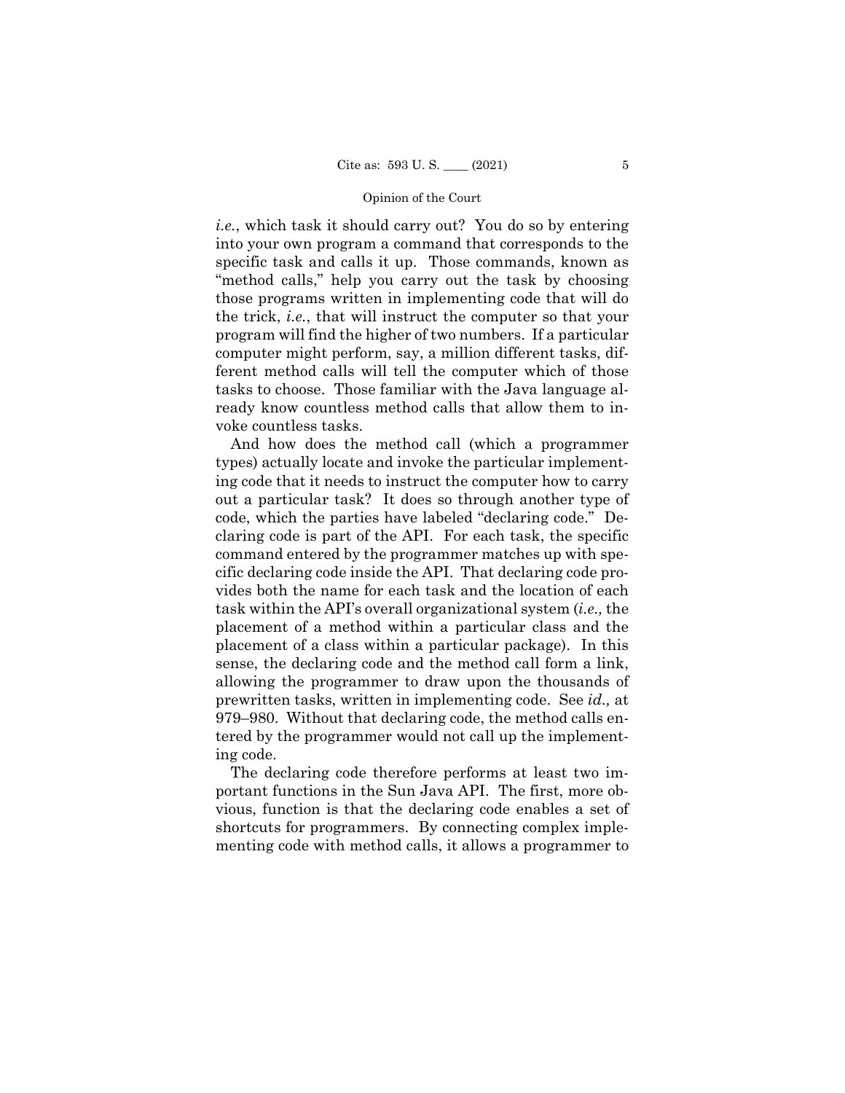*i.e.*, which task it should carry out? You do so by entering into your own program a command that corresponds to the specific task and calls it up. Those commands, known as "method calls," help you carry out the task by choosing those programs written in implementing code that will do the trick, *i.e.*, that will instruct the computer so that your program will find the higher of two numbers. If a particular computer might perform, say, a million different tasks, different method calls will tell the computer which of those tasks to choose. Those familiar with the Java language already know countless method calls that allow them to invoke countless tasks.

And how does the method call (which a programmer types) actually locate and invoke the particular implementing code that it needs to instruct the computer how to carry out a particular task? It does so through another type of code, which the parties have labeled "declaring code." Declaring code is part of the API. For each task, the specific command entered by the programmer matches up with specific declaring code inside the API. That declaring code provides both the name for each task and the location of each task within the API's overall organizational system (*i.e.,* the placement of a method within a particular class and the placement of a class within a particular package). In this sense, the declaring code and the method call form a link, allowing the programmer to draw upon the thousands of prewritten tasks, written in implementing code. See *id.,* at 979–980. Without that declaring code, the method calls entered by the programmer would not call up the implementing code.

The declaring code therefore performs at least two important functions in the Sun Java API. The first, more obvious, function is that the declaring code enables a set of shortcuts for programmers. By connecting complex implementing code with method calls, it allows a programmer to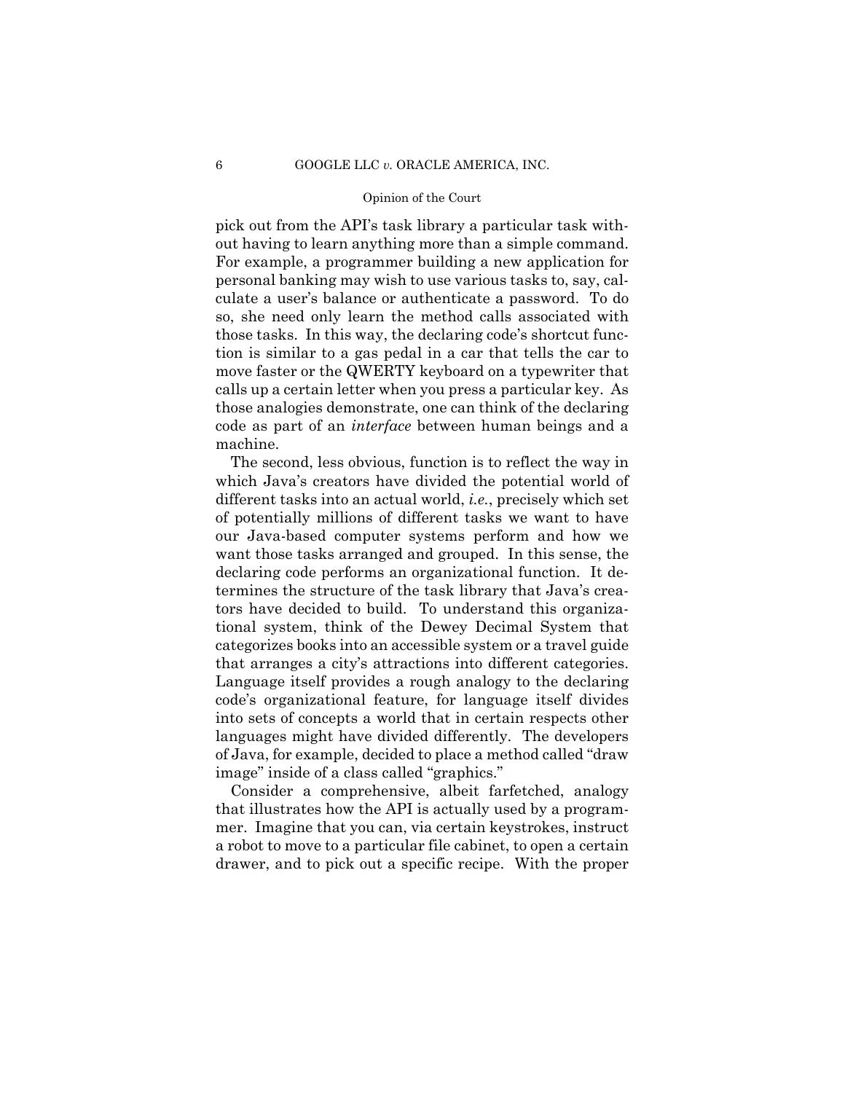pick out from the API's task library a particular task without having to learn anything more than a simple command. For example, a programmer building a new application for personal banking may wish to use various tasks to, say, calculate a user's balance or authenticate a password. To do so, she need only learn the method calls associated with those tasks. In this way, the declaring code's shortcut function is similar to a gas pedal in a car that tells the car to move faster or the QWERTY keyboard on a typewriter that calls up a certain letter when you press a particular key. As those analogies demonstrate, one can think of the declaring code as part of an *interface* between human beings and a machine.

 that arranges a city's attractions into different categories. The second, less obvious, function is to reflect the way in which Java's creators have divided the potential world of different tasks into an actual world, *i.e.*, precisely which set of potentially millions of different tasks we want to have our Java-based computer systems perform and how we want those tasks arranged and grouped. In this sense, the declaring code performs an organizational function. It determines the structure of the task library that Java's creators have decided to build. To understand this organizational system, think of the Dewey Decimal System that categorizes books into an accessible system or a travel guide Language itself provides a rough analogy to the declaring code's organizational feature, for language itself divides into sets of concepts a world that in certain respects other languages might have divided differently. The developers of Java, for example, decided to place a method called "draw image" inside of a class called "graphics."

Consider a comprehensive, albeit farfetched, analogy that illustrates how the API is actually used by a programmer. Imagine that you can, via certain keystrokes, instruct a robot to move to a particular file cabinet, to open a certain drawer, and to pick out a specific recipe. With the proper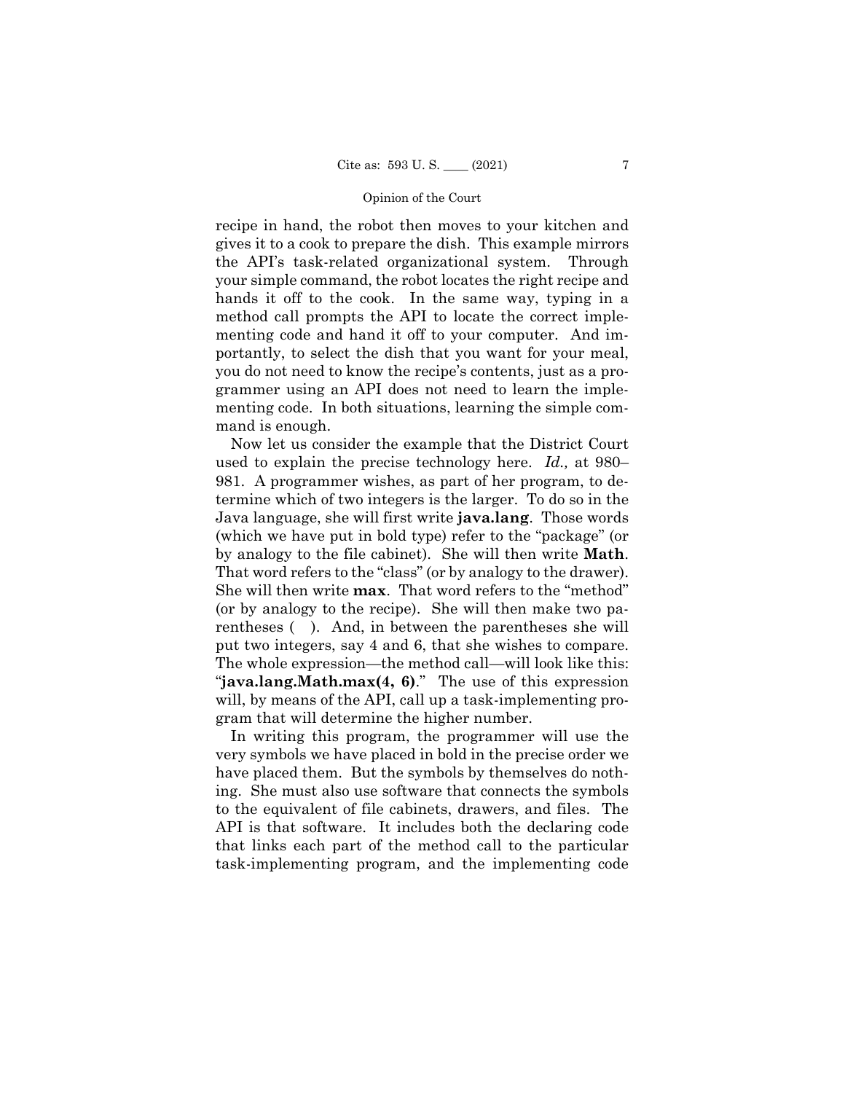recipe in hand, the robot then moves to your kitchen and gives it to a cook to prepare the dish. This example mirrors the API's task-related organizational system. Through your simple command, the robot locates the right recipe and hands it off to the cook. In the same way, typing in a method call prompts the API to locate the correct implementing code and hand it off to your computer. And importantly, to select the dish that you want for your meal, you do not need to know the recipe's contents, just as a programmer using an API does not need to learn the implementing code. In both situations, learning the simple command is enough.

 put two integers, say 4 and 6, that she wishes to compare. Now let us consider the example that the District Court used to explain the precise technology here. *Id.,* at 980– 981. A programmer wishes, as part of her program, to determine which of two integers is the larger. To do so in the Java language, she will first write **java.lang**. Those words (which we have put in bold type) refer to the "package" (or by analogy to the file cabinet). She will then write **Math**. That word refers to the "class" (or by analogy to the drawer). She will then write **max**. That word refers to the "method" (or by analogy to the recipe). She will then make two parentheses ( ). And, in between the parentheses she will The whole expression—the method call—will look like this: "**java.lang.Math.max(4, 6)**." The use of this expression will, by means of the API, call up a task-implementing program that will determine the higher number.

In writing this program, the programmer will use the very symbols we have placed in bold in the precise order we have placed them. But the symbols by themselves do nothing. She must also use software that connects the symbols to the equivalent of file cabinets, drawers, and files. The API is that software. It includes both the declaring code that links each part of the method call to the particular task-implementing program, and the implementing code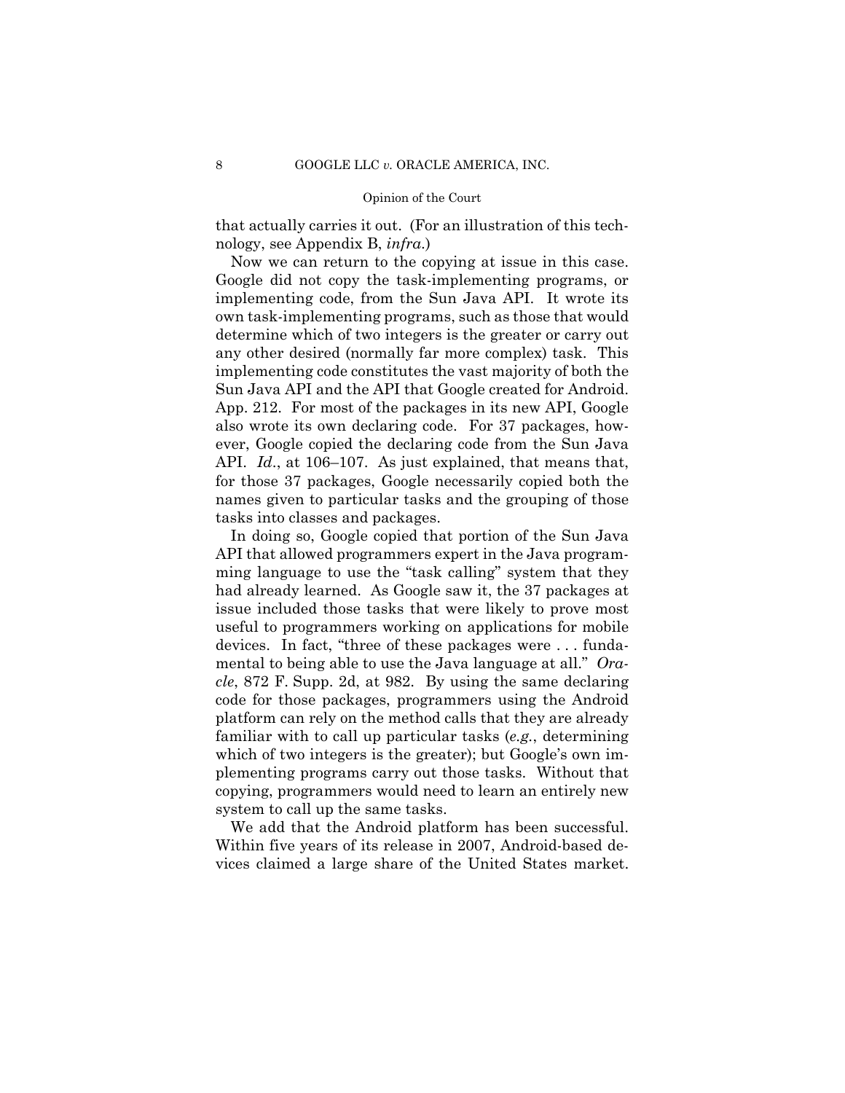that actually carries it out. (For an illustration of this technology, see Appendix B, *infra*.)

Now we can return to the copying at issue in this case. Google did not copy the task-implementing programs, or implementing code, from the Sun Java API. It wrote its own task-implementing programs, such as those that would determine which of two integers is the greater or carry out any other desired (normally far more complex) task. This implementing code constitutes the vast majority of both the Sun Java API and the API that Google created for Android. App. 212. For most of the packages in its new API, Google also wrote its own declaring code. For 37 packages, however, Google copied the declaring code from the Sun Java API. *Id*., at 106–107. As just explained, that means that, for those 37 packages, Google necessarily copied both the names given to particular tasks and the grouping of those tasks into classes and packages.

In doing so, Google copied that portion of the Sun Java API that allowed programmers expert in the Java programming language to use the "task calling" system that they had already learned. As Google saw it, the 37 packages at issue included those tasks that were likely to prove most useful to programmers working on applications for mobile devices. In fact, "three of these packages were . . . fundamental to being able to use the Java language at all." *Oracle*, 872 F. Supp. 2d, at 982. By using the same declaring code for those packages, programmers using the Android platform can rely on the method calls that they are already familiar with to call up particular tasks (*e.g.*, determining which of two integers is the greater); but Google's own implementing programs carry out those tasks. Without that copying, programmers would need to learn an entirely new system to call up the same tasks.

We add that the Android platform has been successful. Within five years of its release in 2007, Android-based devices claimed a large share of the United States market.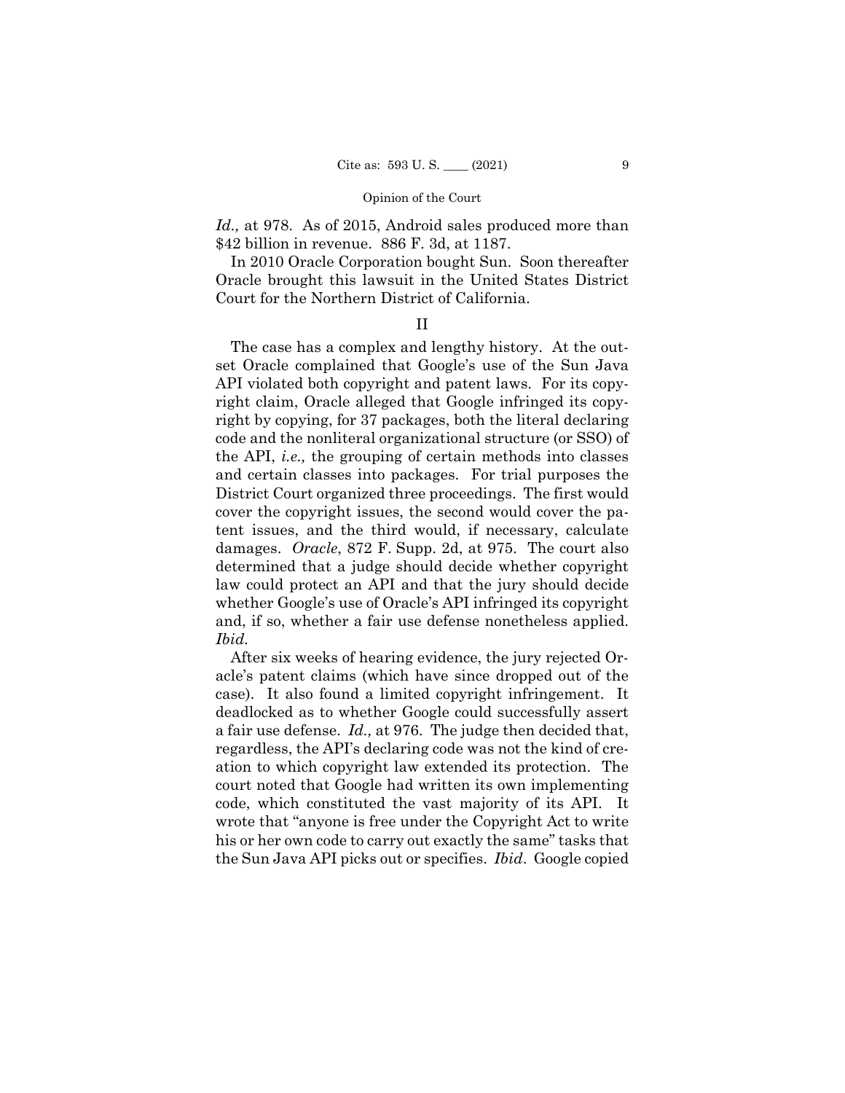*Id.,* at 978. As of 2015, Android sales produced more than \$42 billion in revenue. 886 F. 3d, at 1187.

In 2010 Oracle Corporation bought Sun. Soon thereafter Oracle brought this lawsuit in the United States District Court for the Northern District of California.

II

The case has a complex and lengthy history. At the outset Oracle complained that Google's use of the Sun Java API violated both copyright and patent laws. For its copyright claim, Oracle alleged that Google infringed its copyright by copying, for 37 packages, both the literal declaring code and the nonliteral organizational structure (or SSO) of the API, *i.e.,* the grouping of certain methods into classes and certain classes into packages. For trial purposes the District Court organized three proceedings. The first would cover the copyright issues, the second would cover the patent issues, and the third would, if necessary, calculate damages. *Oracle*, 872 F. Supp. 2d, at 975. The court also determined that a judge should decide whether copyright law could protect an API and that the jury should decide whether Google's use of Oracle's API infringed its copyright and, if so, whether a fair use defense nonetheless applied. *Ibid.* 

After six weeks of hearing evidence, the jury rejected Oracle's patent claims (which have since dropped out of the case). It also found a limited copyright infringement. It deadlocked as to whether Google could successfully assert a fair use defense. *Id.,* at 976. The judge then decided that, regardless, the API's declaring code was not the kind of creation to which copyright law extended its protection. The court noted that Google had written its own implementing code, which constituted the vast majority of its API. It wrote that "anyone is free under the Copyright Act to write his or her own code to carry out exactly the same" tasks that the Sun Java API picks out or specifies. *Ibid*. Google copied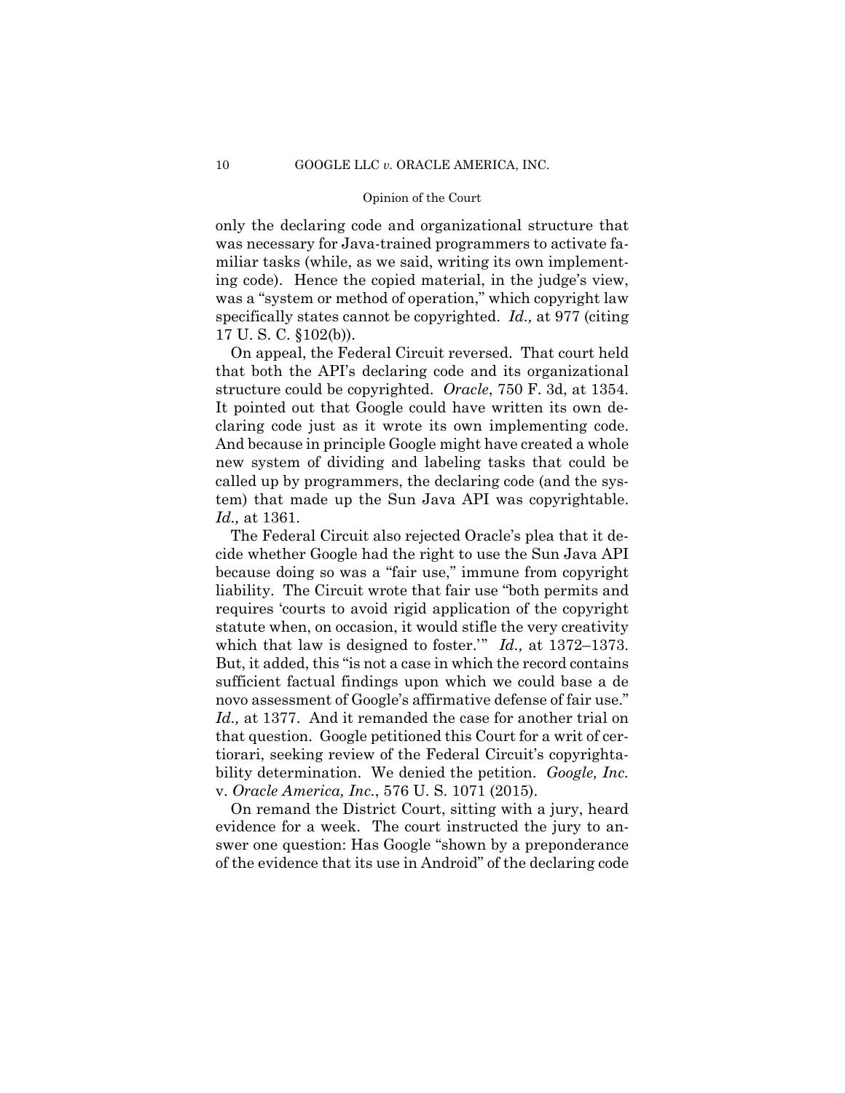only the declaring code and organizational structure that was necessary for Java-trained programmers to activate familiar tasks (while, as we said, writing its own implementing code). Hence the copied material, in the judge's view, was a "system or method of operation," which copyright law specifically states cannot be copyrighted. *Id.,* at 977 (citing 17 U. S. C. §102(b)).

 tem) that made up the Sun Java API was copyrightable. On appeal, the Federal Circuit reversed. That court held that both the API's declaring code and its organizational structure could be copyrighted. *Oracle*, 750 F. 3d, at 1354. It pointed out that Google could have written its own declaring code just as it wrote its own implementing code. And because in principle Google might have created a whole new system of dividing and labeling tasks that could be called up by programmers, the declaring code (and the sys-*Id.,* at 1361.

 sufficient factual findings upon which we could base a de The Federal Circuit also rejected Oracle's plea that it decide whether Google had the right to use the Sun Java API because doing so was a "fair use," immune from copyright liability. The Circuit wrote that fair use "both permits and requires 'courts to avoid rigid application of the copyright statute when, on occasion, it would stifle the very creativity which that law is designed to foster.'" *Id.,* at 1372–1373. But, it added, this "is not a case in which the record contains novo assessment of Google's affirmative defense of fair use." *Id.,* at 1377. And it remanded the case for another trial on that question. Google petitioned this Court for a writ of certiorari, seeking review of the Federal Circuit's copyrightability determination. We denied the petition. *Google, Inc.*  v. *Oracle America, Inc.*, 576 U. S. 1071 (2015).

On remand the District Court, sitting with a jury, heard evidence for a week. The court instructed the jury to answer one question: Has Google "shown by a preponderance of the evidence that its use in Android" of the declaring code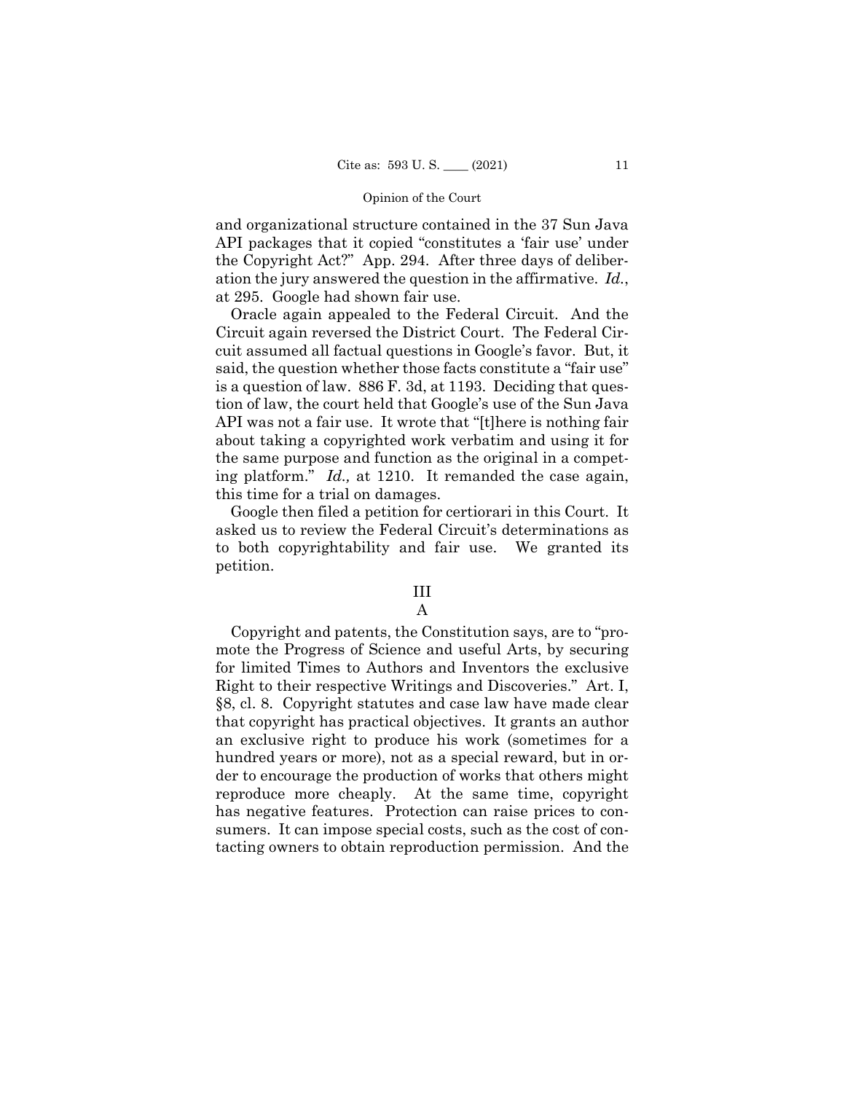and organizational structure contained in the 37 Sun Java API packages that it copied "constitutes a 'fair use' under the Copyright Act?" App. 294. After three days of deliberation the jury answered the question in the affirmative. *Id.*, at 295. Google had shown fair use.

Oracle again appealed to the Federal Circuit. And the Circuit again reversed the District Court. The Federal Circuit assumed all factual questions in Google's favor. But, it said, the question whether those facts constitute a "fair use" is a question of law. 886 F. 3d, at 1193. Deciding that question of law, the court held that Google's use of the Sun Java API was not a fair use. It wrote that "[t]here is nothing fair about taking a copyrighted work verbatim and using it for the same purpose and function as the original in a competing platform." *Id.,* at 1210. It remanded the case again, this time for a trial on damages.

Google then filed a petition for certiorari in this Court. It asked us to review the Federal Circuit's determinations as to both copyrightability and fair use. We granted its petition.

## III A

Copyright and patents, the Constitution says, are to "promote the Progress of Science and useful Arts, by securing for limited Times to Authors and Inventors the exclusive Right to their respective Writings and Discoveries." Art. I, §8, cl. 8. Copyright statutes and case law have made clear that copyright has practical objectives. It grants an author an exclusive right to produce his work (sometimes for a hundred years or more), not as a special reward, but in order to encourage the production of works that others might reproduce more cheaply. At the same time, copyright has negative features. Protection can raise prices to consumers. It can impose special costs, such as the cost of contacting owners to obtain reproduction permission. And the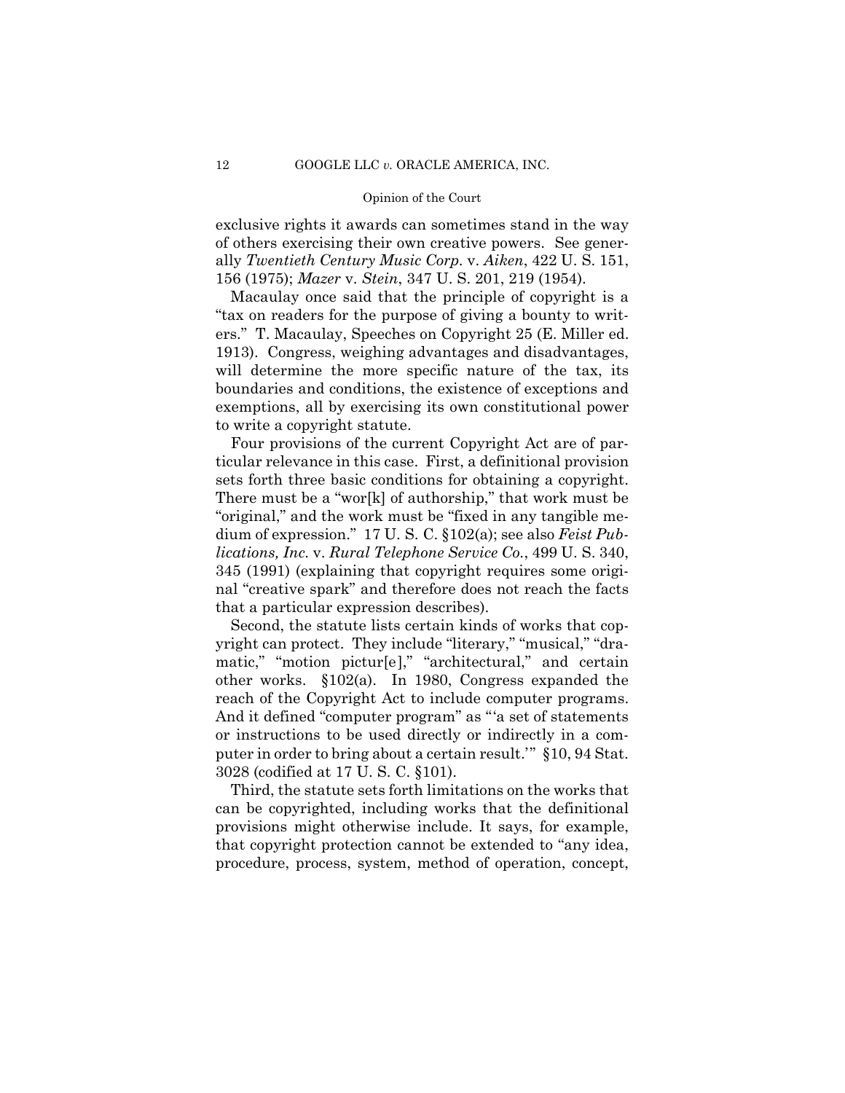exclusive rights it awards can sometimes stand in the way of others exercising their own creative powers. See generally *Twentieth Century Music Corp.* v. *Aiken*, 422 U. S. 151, 156 (1975); *Mazer* v. *Stein*, 347 U. S. 201, 219 (1954).

Macaulay once said that the principle of copyright is a "tax on readers for the purpose of giving a bounty to writers." T. Macaulay, Speeches on Copyright 25 (E. Miller ed. 1913). Congress, weighing advantages and disadvantages, will determine the more specific nature of the tax, its boundaries and conditions, the existence of exceptions and exemptions, all by exercising its own constitutional power to write a copyright statute.

Four provisions of the current Copyright Act are of particular relevance in this case. First, a definitional provision sets forth three basic conditions for obtaining a copyright. There must be a "wor[k] of authorship," that work must be "original," and the work must be "fixed in any tangible medium of expression." 17 U. S. C. §102(a); see also *Feist Publications, Inc.* v. *Rural Telephone Service Co.*, 499 U. S. 340, 345 (1991) (explaining that copyright requires some original "creative spark" and therefore does not reach the facts that a particular expression describes).

Second, the statute lists certain kinds of works that copyright can protect. They include "literary," "musical," "dramatic," "motion pictur[e]," "architectural," and certain other works. §102(a). In 1980, Congress expanded the reach of the Copyright Act to include computer programs. And it defined "computer program" as "'a set of statements or instructions to be used directly or indirectly in a computer in order to bring about a certain result.'" §10, 94 Stat. 3028 (codified at 17 U. S. C. §101).

Third, the statute sets forth limitations on the works that can be copyrighted, including works that the definitional provisions might otherwise include. It says, for example, that copyright protection cannot be extended to "any idea, procedure, process, system, method of operation, concept,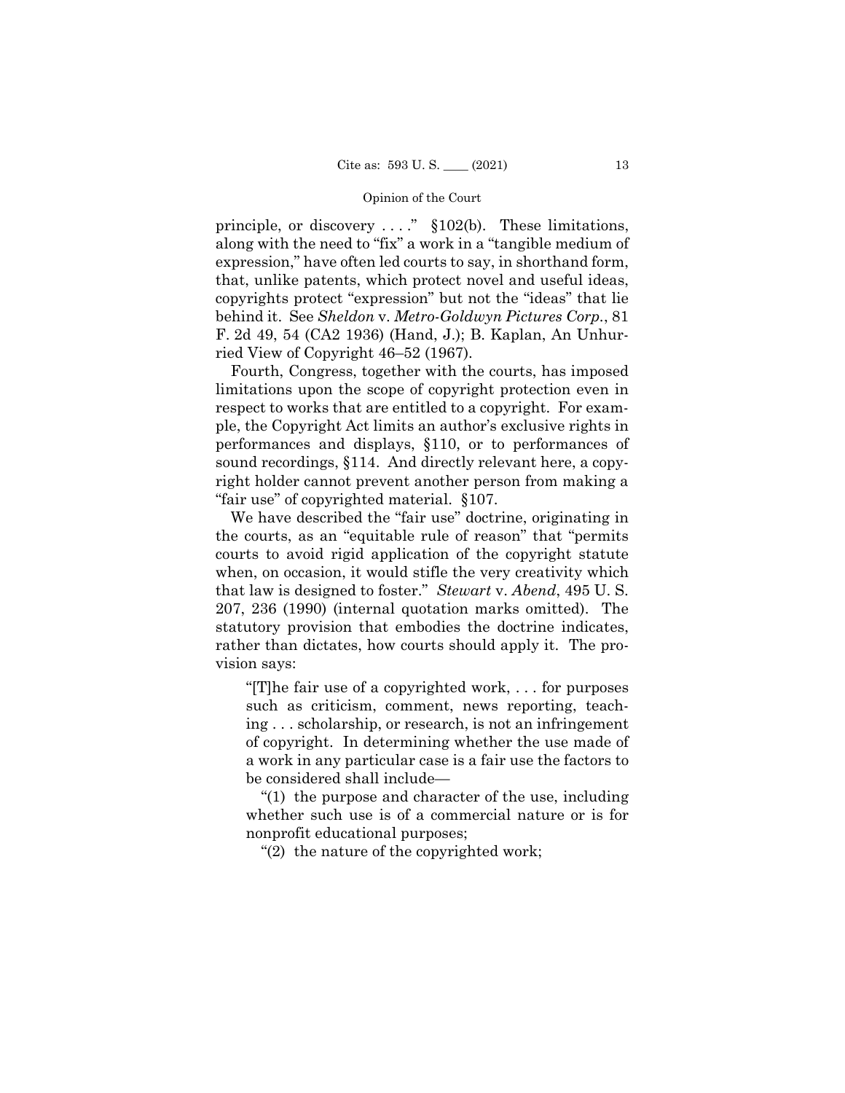principle, or discovery . . . ." §102(b). These limitations, along with the need to "fix" a work in a "tangible medium of expression," have often led courts to say, in shorthand form, that, unlike patents, which protect novel and useful ideas, copyrights protect "expression" but not the "ideas" that lie behind it. See *Sheldon* v. *Metro-Goldwyn Pictures Corp.*, 81 F. 2d 49, 54 (CA2 1936) (Hand, J.); B. Kaplan, An Unhurried View of Copyright 46–52 (1967).

Fourth, Congress, together with the courts, has imposed limitations upon the scope of copyright protection even in respect to works that are entitled to a copyright. For example, the Copyright Act limits an author's exclusive rights in performances and displays, §110, or to performances of sound recordings, §114. And directly relevant here, a copyright holder cannot prevent another person from making a "fair use" of copyrighted material. §107.

We have described the "fair use" doctrine, originating in the courts, as an "equitable rule of reason" that "permits courts to avoid rigid application of the copyright statute when, on occasion, it would stifle the very creativity which that law is designed to foster." *Stewart* v. *Abend*, 495 U. S. 207, 236 (1990) (internal quotation marks omitted). The statutory provision that embodies the doctrine indicates, rather than dictates, how courts should apply it. The provision says:

"[T]he fair use of a copyrighted work, . . . for purposes such as criticism, comment, news reporting, teaching . . . scholarship, or research, is not an infringement of copyright. In determining whether the use made of a work in any particular case is a fair use the factors to be considered shall include—

"(1) the purpose and character of the use, including whether such use is of a commercial nature or is for nonprofit educational purposes;

"(2) the nature of the copyrighted work;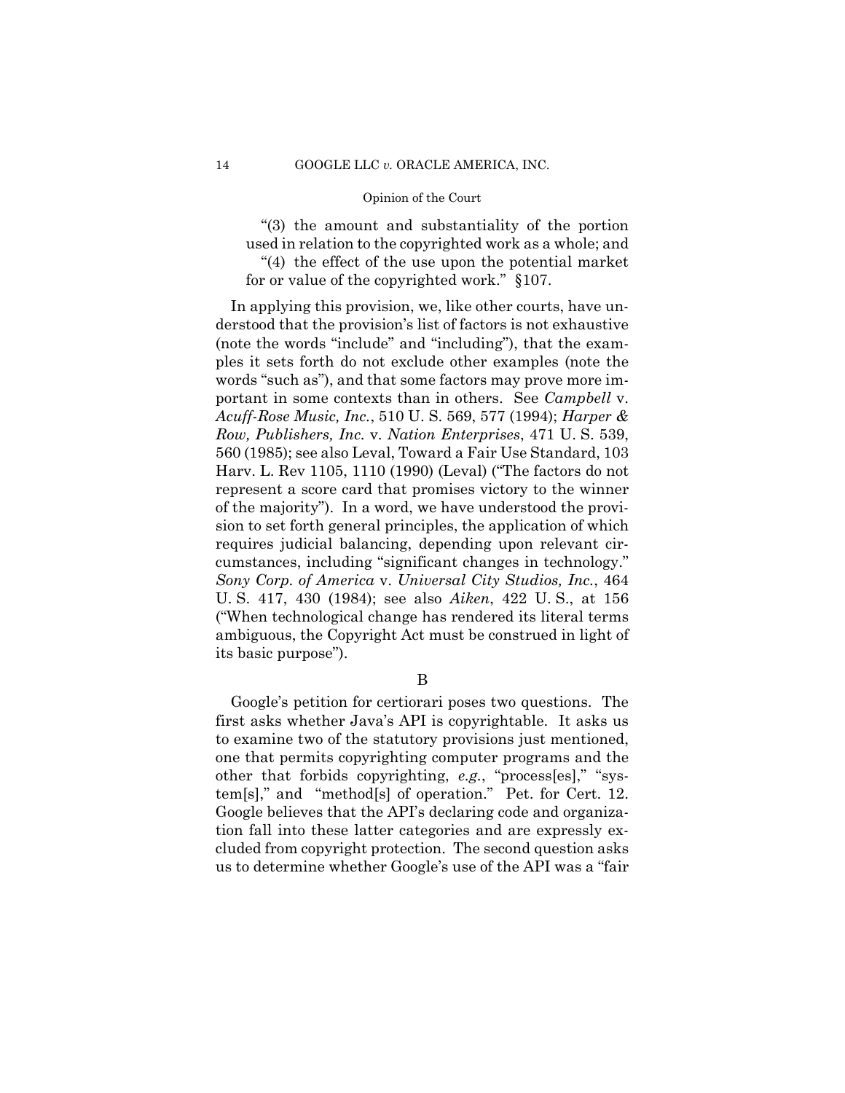"(3) the amount and substantiality of the portion used in relation to the copyrighted work as a whole; and

"(4) the effect of the use upon the potential market for or value of the copyrighted work." §107.

In applying this provision, we, like other courts, have understood that the provision's list of factors is not exhaustive (note the words "include" and "including"), that the examples it sets forth do not exclude other examples (note the words "such as"), and that some factors may prove more important in some contexts than in others. See *Campbell* v. *Acuff-Rose Music, Inc.*, 510 U. S. 569, 577 (1994); *Harper & Row, Publishers, Inc.* v. *Nation Enterprises*, 471 U. S. 539, 560 (1985); see also Leval, Toward a Fair Use Standard, 103 Harv. L. Rev 1105, 1110 (1990) (Leval) ("The factors do not represent a score card that promises victory to the winner of the majority"). In a word, we have understood the provision to set forth general principles, the application of which requires judicial balancing, depending upon relevant circumstances, including "significant changes in technology." *Sony Corp. of America* v. *Universal City Studios, Inc.*, 464 U. S. 417, 430 (1984); see also *Aiken*, 422 U. S., at 156 ("When technological change has rendered its literal terms ambiguous, the Copyright Act must be construed in light of its basic purpose").

B

Google's petition for certiorari poses two questions. The first asks whether Java's API is copyrightable. It asks us to examine two of the statutory provisions just mentioned, one that permits copyrighting computer programs and the other that forbids copyrighting, *e.g.*, "process[es]," "system[s]," and "method[s] of operation." Pet. for Cert. 12. Google believes that the API's declaring code and organization fall into these latter categories and are expressly excluded from copyright protection. The second question asks us to determine whether Google's use of the API was a "fair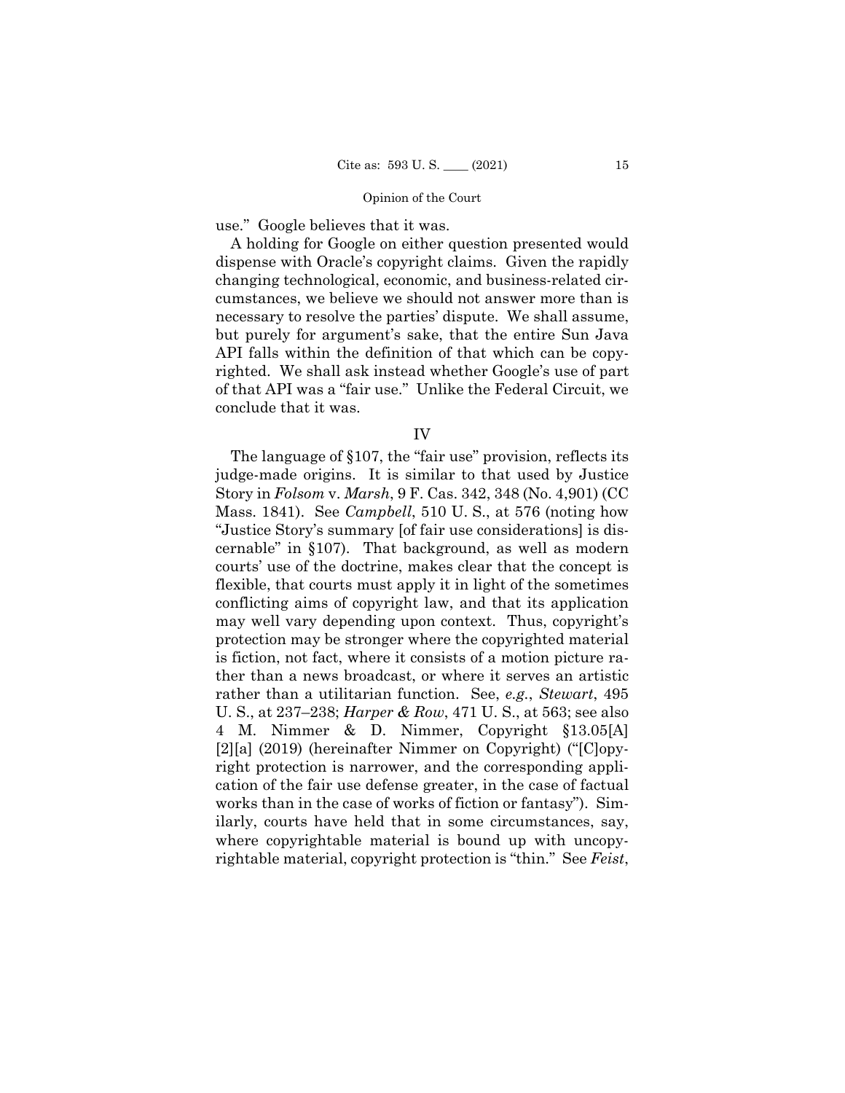use." Google believes that it was.

A holding for Google on either question presented would dispense with Oracle's copyright claims. Given the rapidly changing technological, economic, and business-related circumstances, we believe we should not answer more than is necessary to resolve the parties' dispute. We shall assume, but purely for argument's sake, that the entire Sun Java API falls within the definition of that which can be copyrighted. We shall ask instead whether Google's use of part of that API was a "fair use." Unlike the Federal Circuit, we conclude that it was.

IV

The language of §107, the "fair use" provision, reflects its judge-made origins. It is similar to that used by Justice Story in *Folsom* v. *Marsh*, 9 F. Cas. 342, 348 (No. 4,901) (CC Mass. 1841). See *Campbell*, 510 U. S., at 576 (noting how "Justice Story's summary [of fair use considerations] is discernable" in §107). That background, as well as modern courts' use of the doctrine, makes clear that the concept is flexible, that courts must apply it in light of the sometimes conflicting aims of copyright law, and that its application may well vary depending upon context. Thus, copyright's protection may be stronger where the copyrighted material is fiction, not fact, where it consists of a motion picture rather than a news broadcast, or where it serves an artistic rather than a utilitarian function. See, *e.g.*, *Stewart*, 495 U. S., at 237–238; *Harper & Row*, 471 U. S., at 563; see also 4 M. Nimmer & D. Nimmer, Copyright §13.05[A] [2][a] (2019) (hereinafter Nimmer on Copyright) ("[C]opyright protection is narrower, and the corresponding application of the fair use defense greater, in the case of factual works than in the case of works of fiction or fantasy"). Similarly, courts have held that in some circumstances, say, where copyrightable material is bound up with uncopyrightable material, copyright protection is "thin." See *Feist*,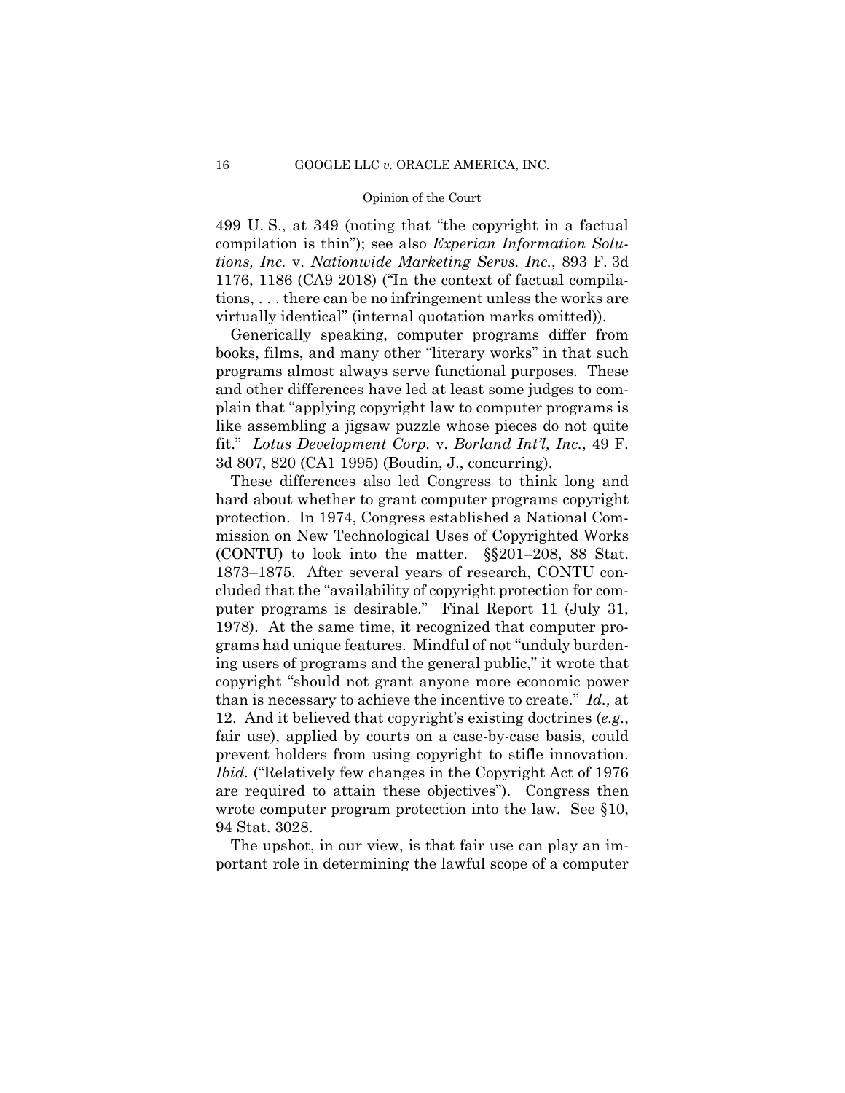499 U. S., at 349 (noting that "the copyright in a factual compilation is thin"); see also *Experian Information Solutions, Inc.* v. *Nationwide Marketing Servs. Inc.*, 893 F. 3d 1176, 1186 (CA9 2018) ("In the context of factual compilations, . . . there can be no infringement unless the works are virtually identical" (internal quotation marks omitted)).

Generically speaking, computer programs differ from books, films, and many other "literary works" in that such programs almost always serve functional purposes. These and other differences have led at least some judges to complain that "applying copyright law to computer programs is like assembling a jigsaw puzzle whose pieces do not quite fit." *Lotus Development Corp.* v. *Borland Int'l, Inc.*, 49 F. 3d 807, 820 (CA1 1995) (Boudin, J., concurring).

These differences also led Congress to think long and hard about whether to grant computer programs copyright protection. In 1974, Congress established a National Commission on New Technological Uses of Copyrighted Works (CONTU) to look into the matter. §§201–208, 88 Stat. 1873–1875. After several years of research, CONTU concluded that the "availability of copyright protection for computer programs is desirable." Final Report 11 (July 31, 1978). At the same time, it recognized that computer programs had unique features. Mindful of not "unduly burdening users of programs and the general public," it wrote that copyright "should not grant anyone more economic power than is necessary to achieve the incentive to create." *Id.,* at 12. And it believed that copyright's existing doctrines (*e.g.*, fair use), applied by courts on a case-by-case basis, could prevent holders from using copyright to stifle innovation. *Ibid.* ("Relatively few changes in the Copyright Act of 1976 are required to attain these objectives"). Congress then wrote computer program protection into the law. See §10, 94 Stat. 3028.

The upshot, in our view, is that fair use can play an important role in determining the lawful scope of a computer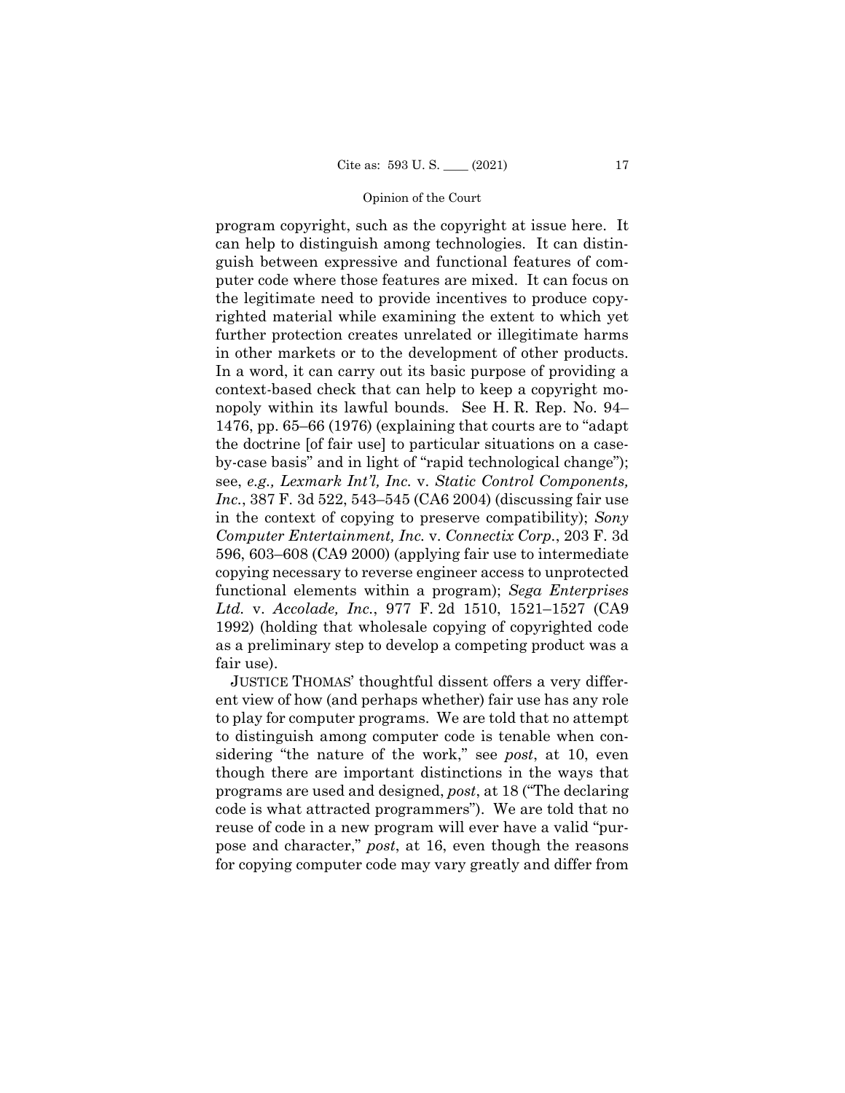in other markets or to the development of other products. program copyright, such as the copyright at issue here. It can help to distinguish among technologies. It can distinguish between expressive and functional features of computer code where those features are mixed. It can focus on the legitimate need to provide incentives to produce copyrighted material while examining the extent to which yet further protection creates unrelated or illegitimate harms In a word, it can carry out its basic purpose of providing a context-based check that can help to keep a copyright monopoly within its lawful bounds. See H. R. Rep. No. 94– 1476, pp. 65–66 (1976) (explaining that courts are to "adapt the doctrine [of fair use] to particular situations on a caseby-case basis" and in light of "rapid technological change"); see, *e.g., Lexmark Int'l, Inc.* v. *Static Control Components, Inc.*, 387 F. 3d 522, 543–545 (CA6 2004) (discussing fair use in the context of copying to preserve compatibility); *Sony Computer Entertainment, Inc.* v. *Connectix Corp.*, 203 F. 3d 596, 603–608 (CA9 2000) (applying fair use to intermediate copying necessary to reverse engineer access to unprotected functional elements within a program); *Sega Enterprises Ltd.* v. *Accolade, Inc.*, 977 F. 2d 1510, 1521–1527 (CA9 1992) (holding that wholesale copying of copyrighted code as a preliminary step to develop a competing product was a fair use).

JUSTICE THOMAS' thoughtful dissent offers a very different view of how (and perhaps whether) fair use has any role to play for computer programs. We are told that no attempt to distinguish among computer code is tenable when considering "the nature of the work," see *post*, at 10, even though there are important distinctions in the ways that programs are used and designed, *post*, at 18 ("The declaring code is what attracted programmers"). We are told that no reuse of code in a new program will ever have a valid "purpose and character," *post*, at 16, even though the reasons for copying computer code may vary greatly and differ from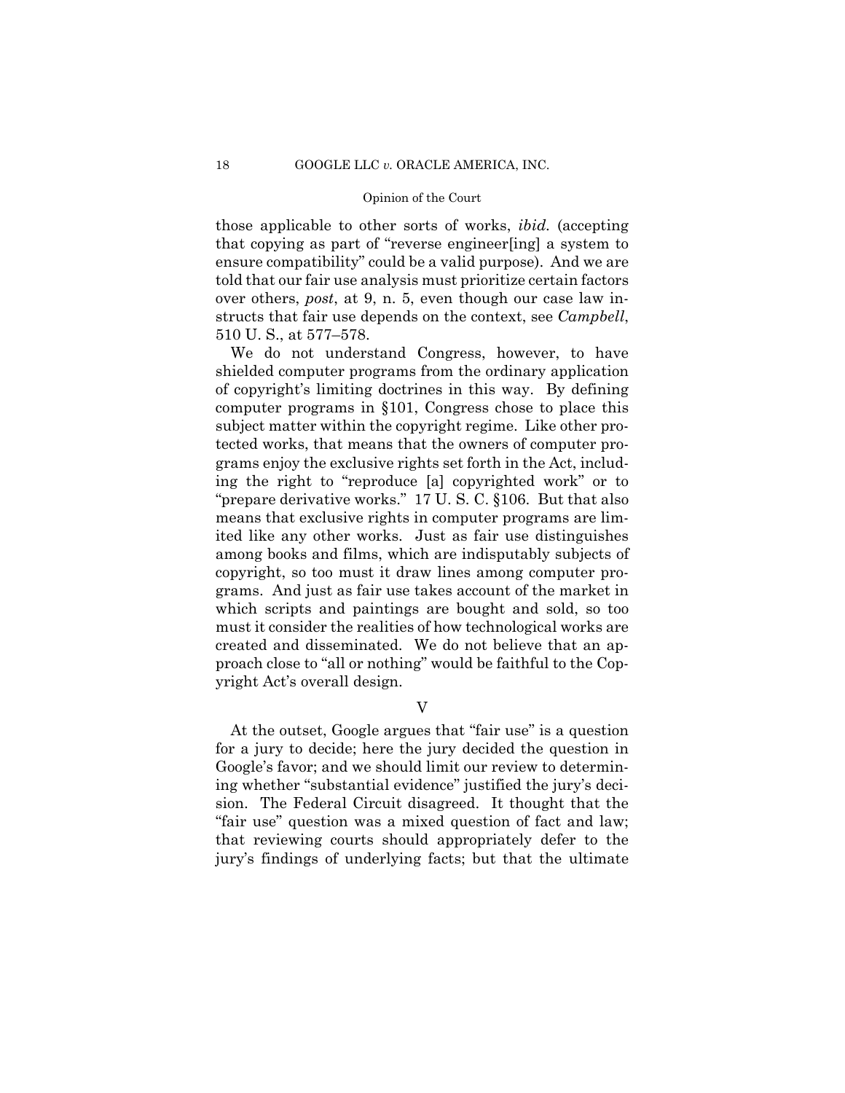those applicable to other sorts of works, *ibid.* (accepting that copying as part of "reverse engineer[ing] a system to ensure compatibility" could be a valid purpose). And we are told that our fair use analysis must prioritize certain factors over others, *post*, at 9, n. 5, even though our case law instructs that fair use depends on the context, see *Campbell*, 510 U. S., at 577–578.

We do not understand Congress, however, to have shielded computer programs from the ordinary application of copyright's limiting doctrines in this way. By defining computer programs in §101, Congress chose to place this subject matter within the copyright regime. Like other protected works, that means that the owners of computer programs enjoy the exclusive rights set forth in the Act, including the right to "reproduce [a] copyrighted work" or to "prepare derivative works." 17 U. S. C. §106. But that also means that exclusive rights in computer programs are limited like any other works. Just as fair use distinguishes among books and films, which are indisputably subjects of copyright, so too must it draw lines among computer programs. And just as fair use takes account of the market in which scripts and paintings are bought and sold, so too must it consider the realities of how technological works are created and disseminated. We do not believe that an approach close to "all or nothing" would be faithful to the Copyright Act's overall design.

V

At the outset, Google argues that "fair use" is a question for a jury to decide; here the jury decided the question in Google's favor; and we should limit our review to determining whether "substantial evidence" justified the jury's decision. The Federal Circuit disagreed. It thought that the "fair use" question was a mixed question of fact and law; that reviewing courts should appropriately defer to the jury's findings of underlying facts; but that the ultimate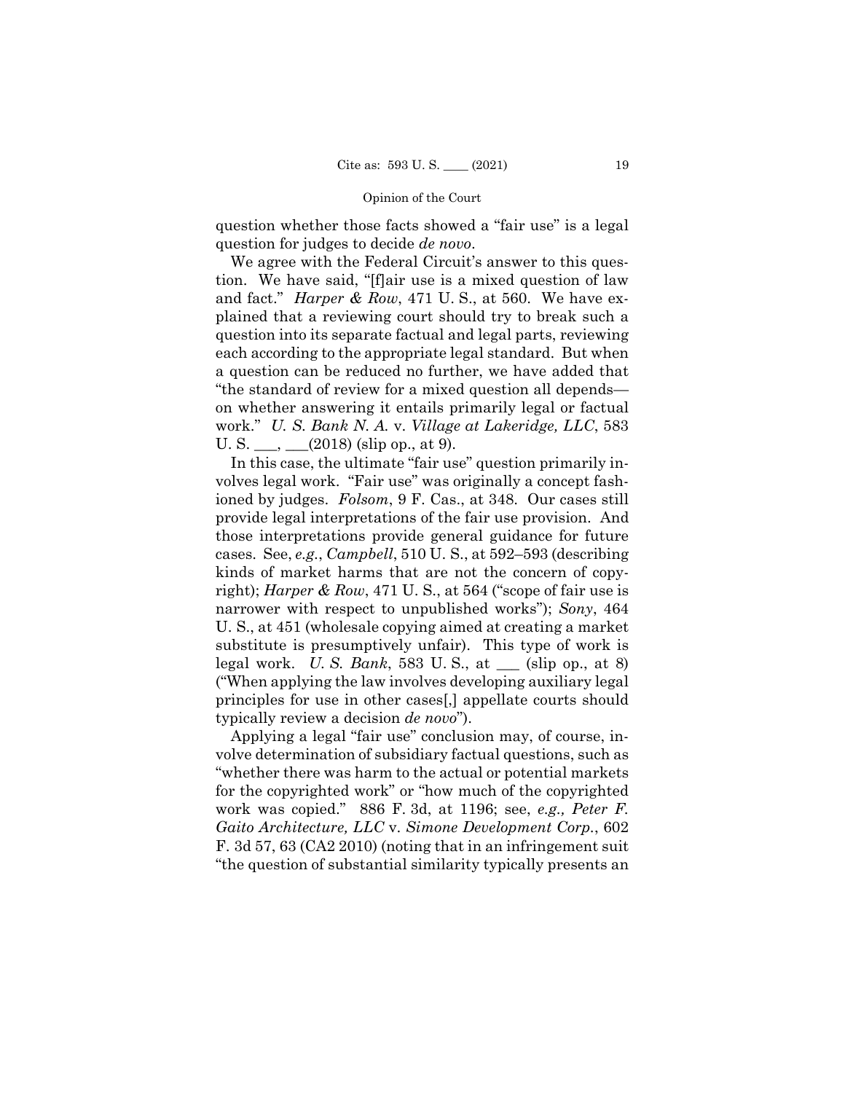question whether those facts showed a "fair use" is a legal question for judges to decide *de novo*.

 work." *U. S. Bank N. A.* v. *Village at Lakeridge, LLC*, 583 We agree with the Federal Circuit's answer to this question. We have said, "[f]air use is a mixed question of law and fact." *Harper & Row*, 471 U. S., at 560. We have explained that a reviewing court should try to break such a question into its separate factual and legal parts, reviewing each according to the appropriate legal standard. But when a question can be reduced no further, we have added that "the standard of review for a mixed question all depends on whether answering it entails primarily legal or factual U. S.  $\_\_\_\_\_\_\_\_\_\_ (2018)$  (slip op., at 9).

In this case, the ultimate "fair use" question primarily involves legal work. "Fair use" was originally a concept fashioned by judges. *Folsom*, 9 F. Cas., at 348. Our cases still provide legal interpretations of the fair use provision. And those interpretations provide general guidance for future cases. See, *e.g.*, *Campbell*, 510 U. S., at 592–593 (describing kinds of market harms that are not the concern of copyright); *Harper & Row*, 471 U. S., at 564 ("scope of fair use is narrower with respect to unpublished works"); *Sony*, 464 U. S., at 451 (wholesale copying aimed at creating a market substitute is presumptively unfair). This type of work is legal work. *U. S. Bank*, 583 U. S., at \_\_\_ (slip op., at 8) ("When applying the law involves developing auxiliary legal principles for use in other cases[,] appellate courts should typically review a decision *de novo*").

Applying a legal "fair use" conclusion may, of course, involve determination of subsidiary factual questions, such as "whether there was harm to the actual or potential markets for the copyrighted work" or "how much of the copyrighted work was copied." 886 F. 3d, at 1196; see, *e.g., Peter F. Gaito Architecture, LLC* v. *Simone Development Corp.*, 602 F. 3d 57, 63 (CA2 2010) (noting that in an infringement suit "the question of substantial similarity typically presents an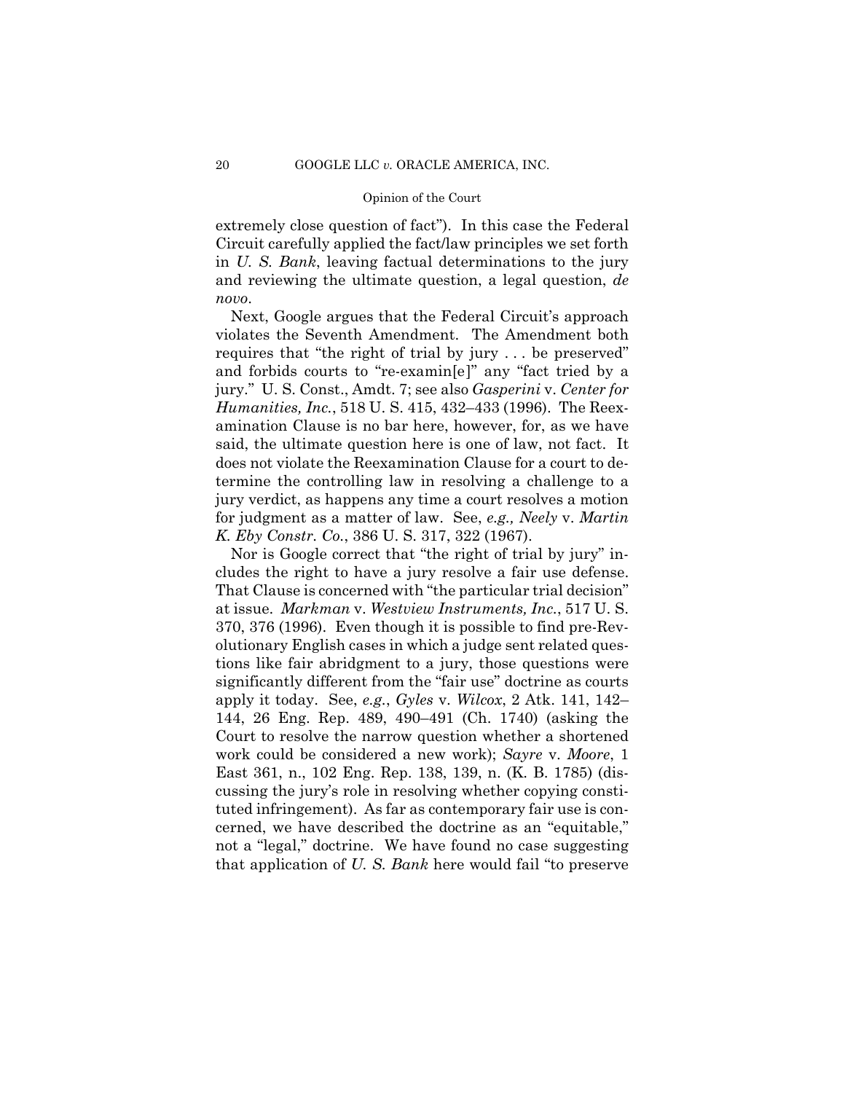extremely close question of fact"). In this case the Federal Circuit carefully applied the fact/law principles we set forth in *U. S. Bank*, leaving factual determinations to the jury and reviewing the ultimate question, a legal question, *de novo*.

Next, Google argues that the Federal Circuit's approach violates the Seventh Amendment. The Amendment both requires that "the right of trial by jury . . . be preserved" and forbids courts to "re-examin[e]" any "fact tried by a jury." U. S. Const., Amdt. 7; see also *Gasperini* v. *Center for Humanities, Inc.*, 518 U. S. 415, 432–433 (1996). The Reexamination Clause is no bar here, however, for, as we have said, the ultimate question here is one of law, not fact. It does not violate the Reexamination Clause for a court to determine the controlling law in resolving a challenge to a jury verdict, as happens any time a court resolves a motion for judgment as a matter of law. See, *e.g., Neely* v. *Martin K. Eby Constr. Co.*, 386 U. S. 317, 322 (1967).

Nor is Google correct that "the right of trial by jury" includes the right to have a jury resolve a fair use defense. That Clause is concerned with "the particular trial decision" at issue. *Markman* v. *Westview Instruments, Inc.*, 517 U. S. 370, 376 (1996). Even though it is possible to find pre-Revolutionary English cases in which a judge sent related questions like fair abridgment to a jury, those questions were significantly different from the "fair use" doctrine as courts apply it today. See, *e.g.*, *Gyles* v. *Wilcox*, 2 Atk. 141, 142– 144, 26 Eng. Rep. 489, 490–491 (Ch. 1740) (asking the Court to resolve the narrow question whether a shortened work could be considered a new work); *Sayre* v. *Moore*, 1 East 361, n., 102 Eng. Rep. 138, 139, n. (K. B. 1785) (discussing the jury's role in resolving whether copying constituted infringement). As far as contemporary fair use is concerned, we have described the doctrine as an "equitable," not a "legal," doctrine. We have found no case suggesting that application of *U. S. Bank* here would fail "to preserve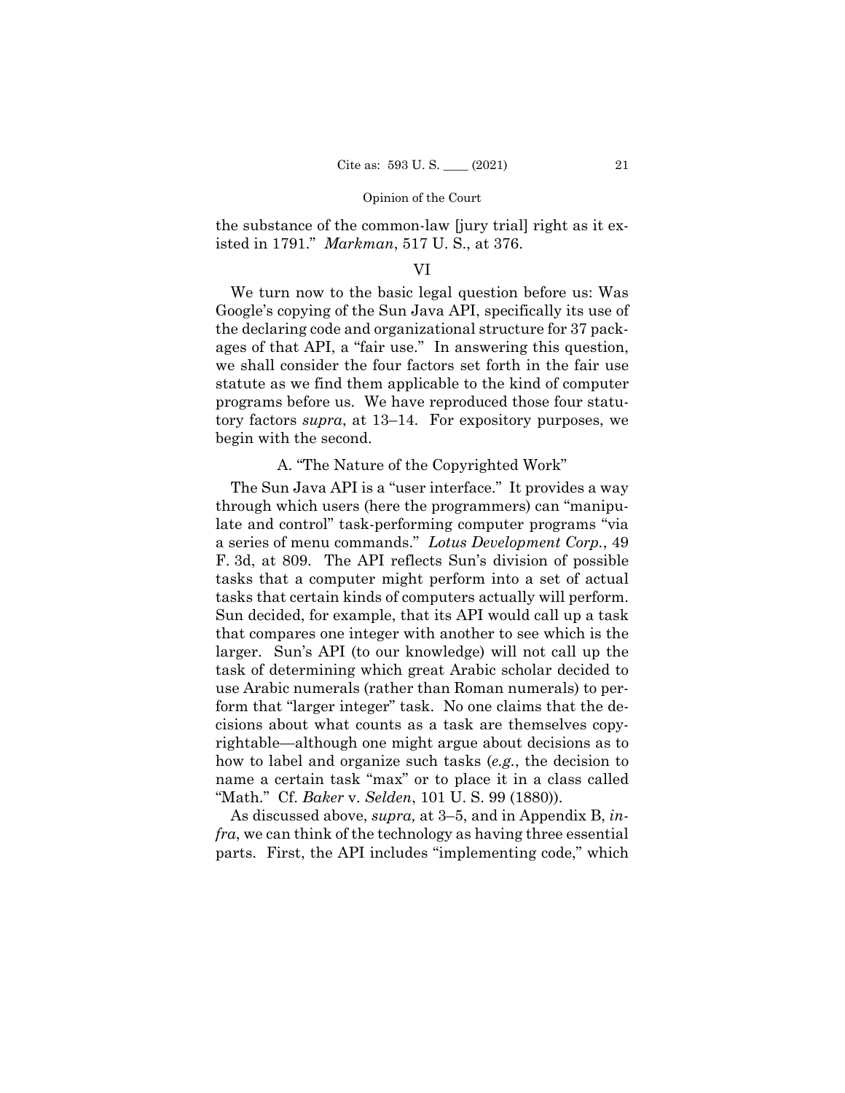the substance of the common-law [jury trial] right as it existed in 1791." *Markman*, 517 U. S., at 376.

## VI

We turn now to the basic legal question before us: Was Google's copying of the Sun Java API, specifically its use of the declaring code and organizational structure for 37 packages of that API, a "fair use." In answering this question, we shall consider the four factors set forth in the fair use statute as we find them applicable to the kind of computer programs before us. We have reproduced those four statutory factors *supra*, at 13–14. For expository purposes, we begin with the second.

A. "The Nature of the Copyrighted Work"

The Sun Java API is a "user interface." It provides a way through which users (here the programmers) can "manipulate and control" task-performing computer programs "via a series of menu commands." *Lotus Development Corp.*, 49 F. 3d, at 809. The API reflects Sun's division of possible tasks that a computer might perform into a set of actual tasks that certain kinds of computers actually will perform. Sun decided, for example, that its API would call up a task that compares one integer with another to see which is the larger. Sun's API (to our knowledge) will not call up the task of determining which great Arabic scholar decided to use Arabic numerals (rather than Roman numerals) to perform that "larger integer" task. No one claims that the decisions about what counts as a task are themselves copyrightable—although one might argue about decisions as to how to label and organize such tasks (*e.g.*, the decision to name a certain task "max" or to place it in a class called "Math." Cf. *Baker* v. *Selden*, 101 U. S. 99 (1880)).

As discussed above, *supra,* at 3–5, and in Appendix B, *infra*, we can think of the technology as having three essential parts. First, the API includes "implementing code," which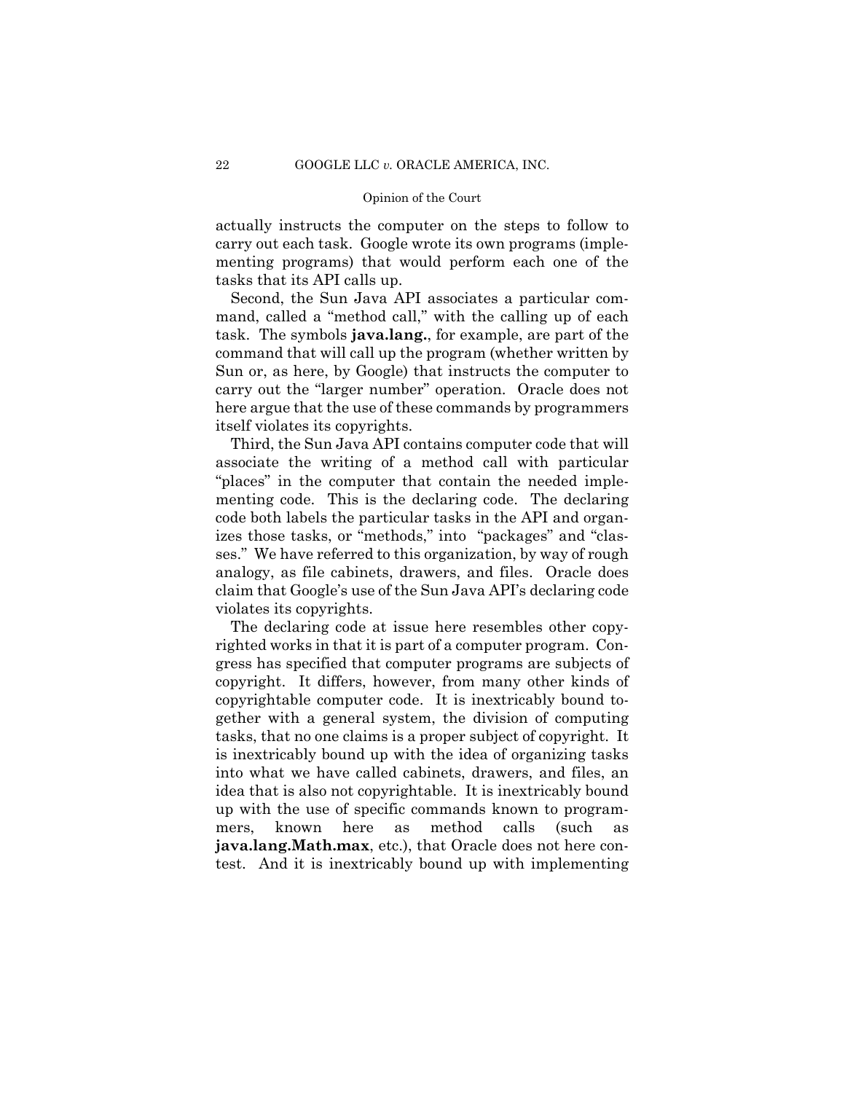actually instructs the computer on the steps to follow to carry out each task. Google wrote its own programs (implementing programs) that would perform each one of the tasks that its API calls up.

Second, the Sun Java API associates a particular command, called a "method call," with the calling up of each task. The symbols **java.lang.**, for example, are part of the command that will call up the program (whether written by Sun or, as here, by Google) that instructs the computer to carry out the "larger number" operation. Oracle does not here argue that the use of these commands by programmers itself violates its copyrights.

Third, the Sun Java API contains computer code that will associate the writing of a method call with particular "places" in the computer that contain the needed implementing code. This is the declaring code. The declaring code both labels the particular tasks in the API and organizes those tasks, or "methods," into "packages" and "classes." We have referred to this organization, by way of rough analogy, as file cabinets, drawers, and files. Oracle does claim that Google's use of the Sun Java API's declaring code violates its copyrights.

The declaring code at issue here resembles other copyrighted works in that it is part of a computer program. Congress has specified that computer programs are subjects of copyright. It differs, however, from many other kinds of copyrightable computer code. It is inextricably bound together with a general system, the division of computing tasks, that no one claims is a proper subject of copyright. It is inextricably bound up with the idea of organizing tasks into what we have called cabinets, drawers, and files, an idea that is also not copyrightable. It is inextricably bound up with the use of specific commands known to programmers, known here as method calls (such as **java.lang.Math.max**, etc.), that Oracle does not here contest. And it is inextricably bound up with implementing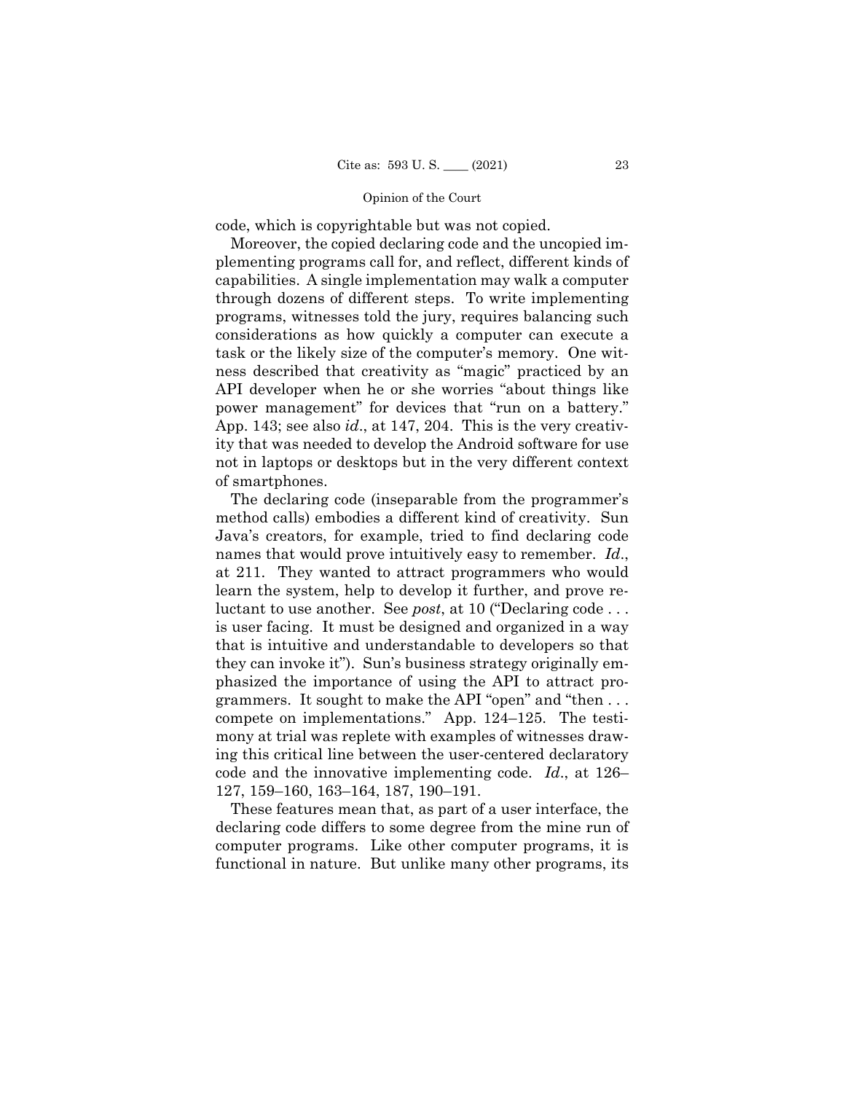code, which is copyrightable but was not copied.

Moreover, the copied declaring code and the uncopied implementing programs call for, and reflect, different kinds of capabilities. A single implementation may walk a computer through dozens of different steps. To write implementing programs, witnesses told the jury, requires balancing such considerations as how quickly a computer can execute a task or the likely size of the computer's memory. One witness described that creativity as "magic" practiced by an API developer when he or she worries "about things like power management" for devices that "run on a battery." App. 143; see also *id*., at 147, 204. This is the very creativity that was needed to develop the Android software for use not in laptops or desktops but in the very different context of smartphones.

The declaring code (inseparable from the programmer's method calls) embodies a different kind of creativity. Sun Java's creators, for example, tried to find declaring code names that would prove intuitively easy to remember. *Id*., at 211. They wanted to attract programmers who would learn the system, help to develop it further, and prove reluctant to use another. See *post*, at 10 ("Declaring code . . . is user facing. It must be designed and organized in a way that is intuitive and understandable to developers so that they can invoke it"). Sun's business strategy originally emphasized the importance of using the API to attract programmers. It sought to make the API "open" and "then . . . compete on implementations." App. 124–125. The testimony at trial was replete with examples of witnesses drawing this critical line between the user-centered declaratory code and the innovative implementing code. *Id*., at 126– 127, 159–160, 163–164, 187, 190–191.

These features mean that, as part of a user interface, the declaring code differs to some degree from the mine run of computer programs. Like other computer programs, it is functional in nature. But unlike many other programs, its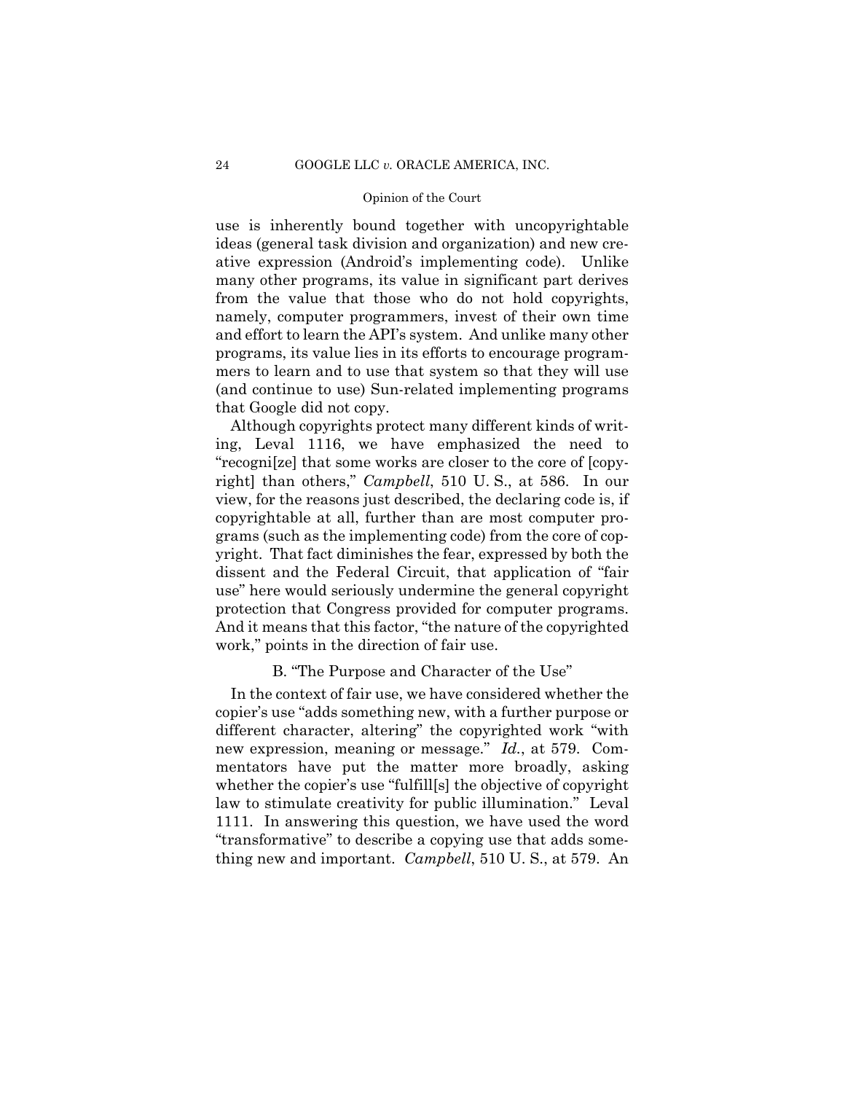use is inherently bound together with uncopyrightable ideas (general task division and organization) and new creative expression (Android's implementing code). Unlike many other programs, its value in significant part derives from the value that those who do not hold copyrights, namely, computer programmers, invest of their own time and effort to learn the API's system. And unlike many other programs, its value lies in its efforts to encourage programmers to learn and to use that system so that they will use (and continue to use) Sun-related implementing programs that Google did not copy.

Although copyrights protect many different kinds of writing, Leval 1116, we have emphasized the need to "recogni[ze] that some works are closer to the core of [copyright] than others," *Campbell*, 510 U. S., at 586. In our view, for the reasons just described, the declaring code is, if copyrightable at all, further than are most computer programs (such as the implementing code) from the core of copyright. That fact diminishes the fear, expressed by both the dissent and the Federal Circuit, that application of "fair use" here would seriously undermine the general copyright protection that Congress provided for computer programs. And it means that this factor, "the nature of the copyrighted work," points in the direction of fair use.

B. "The Purpose and Character of the Use"

In the context of fair use, we have considered whether the copier's use "adds something new, with a further purpose or different character, altering" the copyrighted work "with new expression, meaning or message." *Id.*, at 579. Commentators have put the matter more broadly, asking whether the copier's use "fulfill[s] the objective of copyright law to stimulate creativity for public illumination." Leval 1111. In answering this question, we have used the word "transformative" to describe a copying use that adds something new and important. *Campbell*, 510 U. S., at 579. An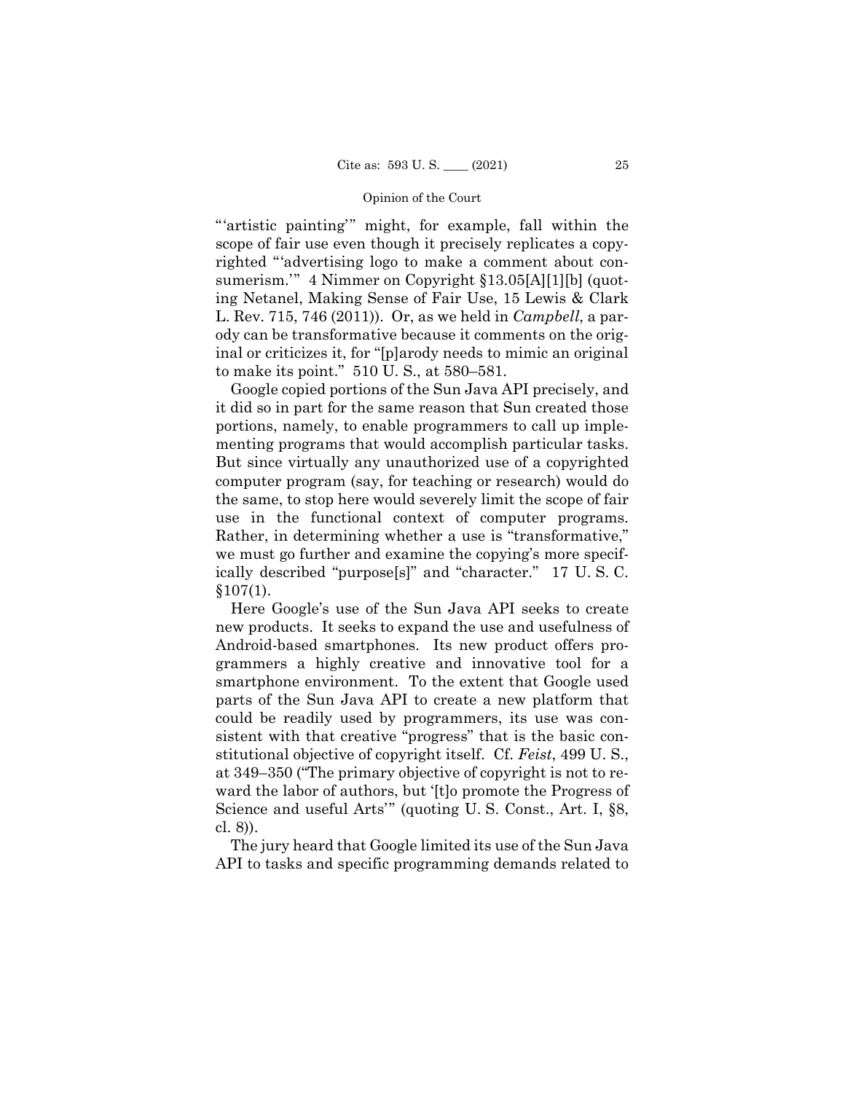"'artistic painting'" might, for example, fall within the scope of fair use even though it precisely replicates a copyrighted "'advertising logo to make a comment about consumerism." 4 Nimmer on Copyright  $$13.05[A][1][b]$  (quoting Netanel, Making Sense of Fair Use, 15 Lewis & Clark L. Rev. 715, 746 (2011)). Or, as we held in *Campbell*, a parody can be transformative because it comments on the original or criticizes it, for "[p]arody needs to mimic an original to make its point." 510 U. S., at 580–581.

 use in the functional context of computer programs. Google copied portions of the Sun Java API precisely, and it did so in part for the same reason that Sun created those portions, namely, to enable programmers to call up implementing programs that would accomplish particular tasks. But since virtually any unauthorized use of a copyrighted computer program (say, for teaching or research) would do the same, to stop here would severely limit the scope of fair Rather, in determining whether a use is "transformative," we must go further and examine the copying's more specifically described "purpose[s]" and "character." 17 U. S. C. §107(1).

Here Google's use of the Sun Java API seeks to create new products. It seeks to expand the use and usefulness of Android-based smartphones. Its new product offers programmers a highly creative and innovative tool for a smartphone environment. To the extent that Google used parts of the Sun Java API to create a new platform that could be readily used by programmers, its use was consistent with that creative "progress" that is the basic constitutional objective of copyright itself. Cf. *Feist*, 499 U. S., at 349–350 ("The primary objective of copyright is not to reward the labor of authors, but '[t]o promote the Progress of Science and useful Arts'" (quoting U. S. Const., Art. I, §8, cl. 8)).

The jury heard that Google limited its use of the Sun Java API to tasks and specific programming demands related to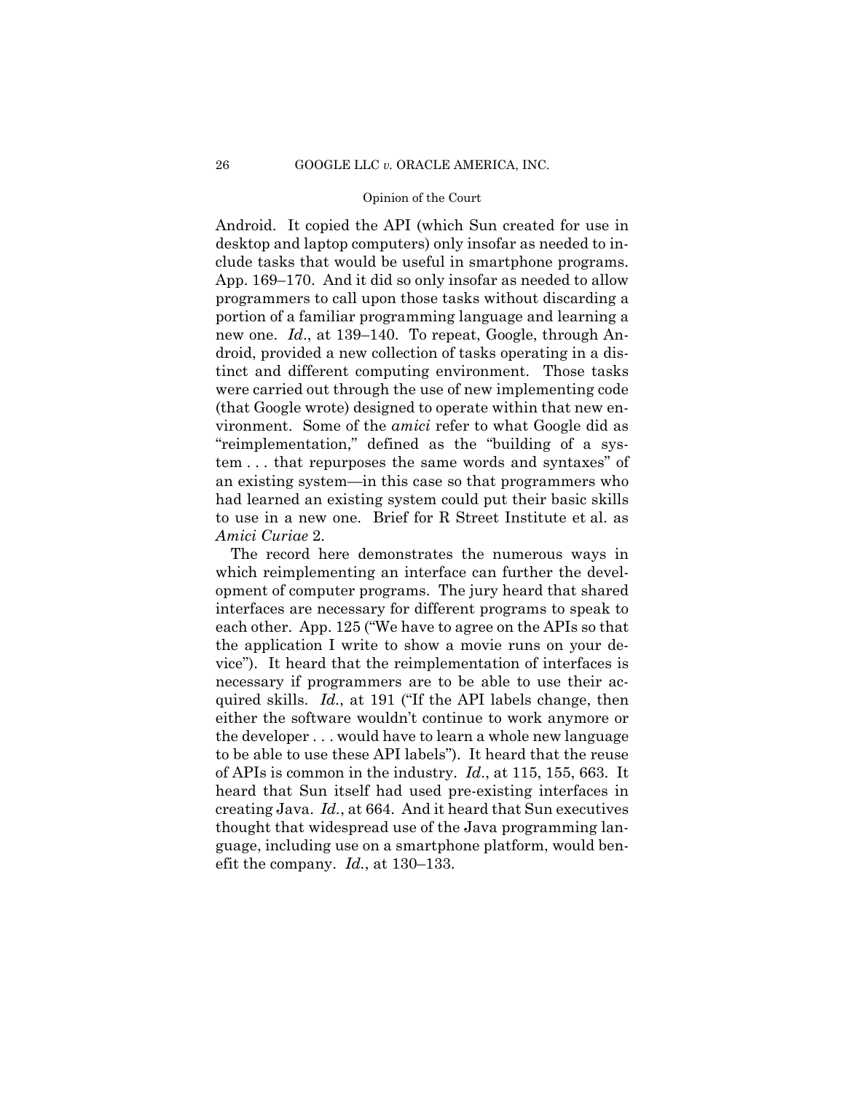to use in a new one. Brief for R Street Institute et al. as Android. It copied the API (which Sun created for use in desktop and laptop computers) only insofar as needed to include tasks that would be useful in smartphone programs. App. 169–170. And it did so only insofar as needed to allow programmers to call upon those tasks without discarding a portion of a familiar programming language and learning a new one. *Id.*, at 139–140. To repeat, Google, through Android, provided a new collection of tasks operating in a distinct and different computing environment. Those tasks were carried out through the use of new implementing code (that Google wrote) designed to operate within that new environment. Some of the *amici* refer to what Google did as "reimplementation," defined as the "building of a system . . . that repurposes the same words and syntaxes" of an existing system—in this case so that programmers who had learned an existing system could put their basic skills *Amici Curiae* 2.

The record here demonstrates the numerous ways in which reimplementing an interface can further the development of computer programs. The jury heard that shared interfaces are necessary for different programs to speak to each other. App. 125 ("We have to agree on the APIs so that the application I write to show a movie runs on your device"). It heard that the reimplementation of interfaces is necessary if programmers are to be able to use their acquired skills. *Id.*, at 191 ("If the API labels change, then either the software wouldn't continue to work anymore or the developer . . . would have to learn a whole new language to be able to use these API labels"). It heard that the reuse of APIs is common in the industry. *Id*., at 115, 155, 663. It heard that Sun itself had used pre-existing interfaces in creating Java. *Id.*, at 664. And it heard that Sun executives thought that widespread use of the Java programming language, including use on a smartphone platform, would benefit the company. *Id.*, at 130–133.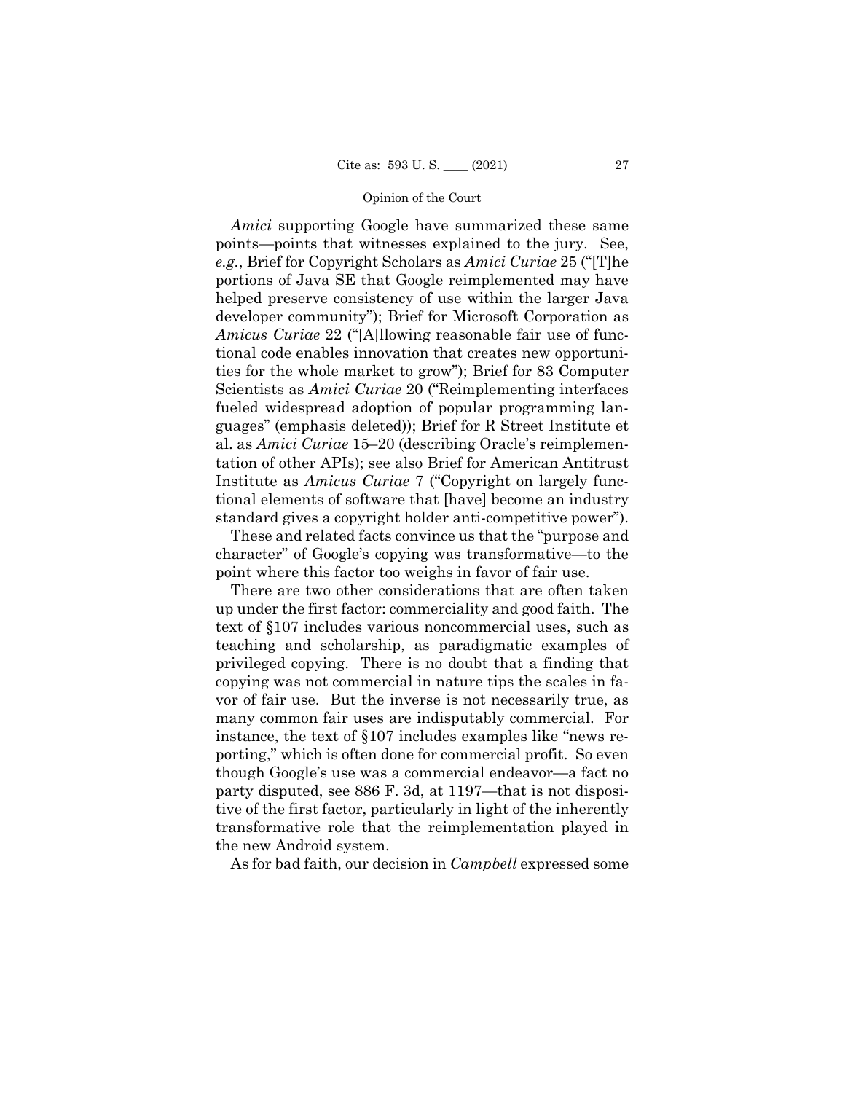*Amici* supporting Google have summarized these same points—points that witnesses explained to the jury. See, *e.g.*, Brief for Copyright Scholars as *Amici Curiae* 25 ("[T]he portions of Java SE that Google reimplemented may have helped preserve consistency of use within the larger Java developer community"); Brief for Microsoft Corporation as *Amicus Curiae* 22 ("[A]llowing reasonable fair use of functional code enables innovation that creates new opportunities for the whole market to grow"); Brief for 83 Computer Scientists as *Amici Curiae* 20 ("Reimplementing interfaces fueled widespread adoption of popular programming languages" (emphasis deleted)); Brief for R Street Institute et al. as *Amici Curiae* 15–20 (describing Oracle's reimplementation of other APIs); see also Brief for American Antitrust Institute as *Amicus Curiae* 7 ("Copyright on largely functional elements of software that [have] become an industry standard gives a copyright holder anti-competitive power").

These and related facts convince us that the "purpose and character" of Google's copying was transformative—to the point where this factor too weighs in favor of fair use.

There are two other considerations that are often taken up under the first factor: commerciality and good faith. The text of §107 includes various noncommercial uses, such as teaching and scholarship, as paradigmatic examples of privileged copying. There is no doubt that a finding that copying was not commercial in nature tips the scales in favor of fair use. But the inverse is not necessarily true, as many common fair uses are indisputably commercial. For instance, the text of §107 includes examples like "news reporting," which is often done for commercial profit. So even though Google's use was a commercial endeavor—a fact no party disputed, see 886 F. 3d, at 1197—that is not dispositive of the first factor, particularly in light of the inherently transformative role that the reimplementation played in the new Android system.

As for bad faith, our decision in *Campbell* expressed some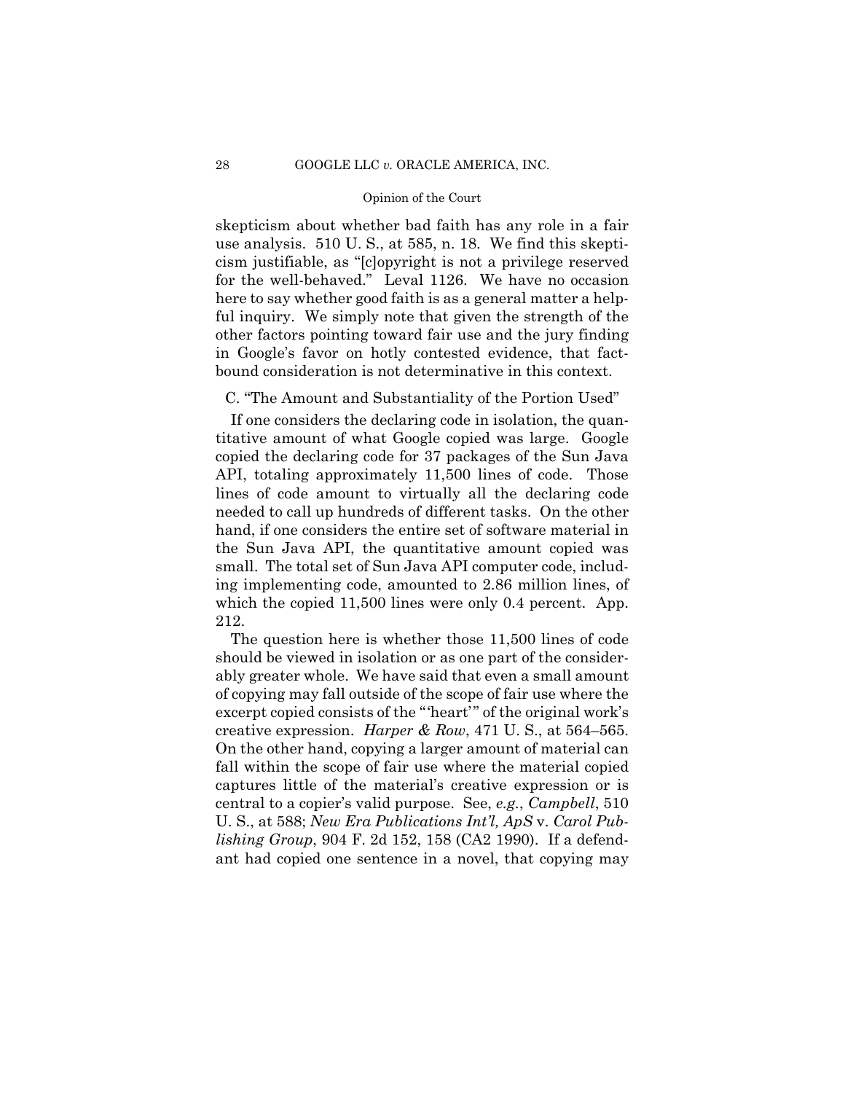skepticism about whether bad faith has any role in a fair use analysis. 510 U. S., at 585, n. 18. We find this skepticism justifiable, as "[c]opyright is not a privilege reserved for the well-behaved." Leval 1126. We have no occasion here to say whether good faith is as a general matter a helpful inquiry. We simply note that given the strength of the other factors pointing toward fair use and the jury finding in Google's favor on hotly contested evidence, that factbound consideration is not determinative in this context.

C. "The Amount and Substantiality of the Portion Used"

If one considers the declaring code in isolation, the quantitative amount of what Google copied was large. Google copied the declaring code for 37 packages of the Sun Java API, totaling approximately 11,500 lines of code. Those lines of code amount to virtually all the declaring code needed to call up hundreds of different tasks. On the other hand, if one considers the entire set of software material in the Sun Java API, the quantitative amount copied was small. The total set of Sun Java API computer code, including implementing code, amounted to 2.86 million lines, of which the copied 11,500 lines were only 0.4 percent. App. 212.

The question here is whether those 11,500 lines of code should be viewed in isolation or as one part of the considerably greater whole. We have said that even a small amount of copying may fall outside of the scope of fair use where the excerpt copied consists of the "'heart'" of the original work's creative expression. *Harper & Row*, 471 U. S., at 564–565. On the other hand, copying a larger amount of material can fall within the scope of fair use where the material copied captures little of the material's creative expression or is central to a copier's valid purpose. See, *e.g.*, *Campbell*, 510 U. S., at 588; *New Era Publications Int'l, ApS* v. *Carol Publishing Group*, 904 F. 2d 152, 158 (CA2 1990). If a defendant had copied one sentence in a novel, that copying may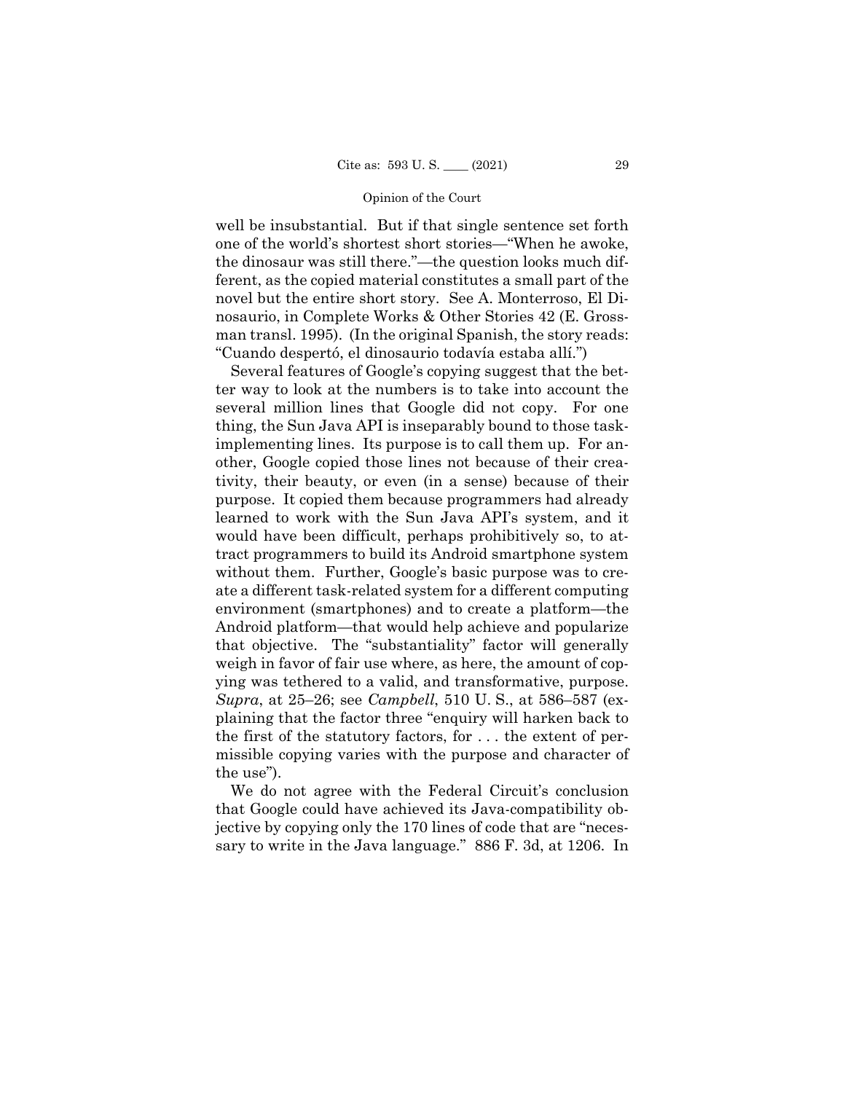well be insubstantial. But if that single sentence set forth one of the world's shortest short stories—"When he awoke, the dinosaur was still there."—the question looks much different, as the copied material constitutes a small part of the novel but the entire short story. See A. Monterroso, El Dinosaurio, in Complete Works & Other Stories 42 (E. Grossman transl. 1995). (In the original Spanish, the story reads: "Cuando despertó, el dinosaurio todavía estaba allí.")

 ying was tethered to a valid, and transformative, purpose. Several features of Google's copying suggest that the better way to look at the numbers is to take into account the several million lines that Google did not copy. For one thing, the Sun Java API is inseparably bound to those taskimplementing lines. Its purpose is to call them up. For another, Google copied those lines not because of their creativity, their beauty, or even (in a sense) because of their purpose. It copied them because programmers had already learned to work with the Sun Java API's system, and it would have been difficult, perhaps prohibitively so, to attract programmers to build its Android smartphone system without them. Further, Google's basic purpose was to create a different task-related system for a different computing environment (smartphones) and to create a platform—the Android platform—that would help achieve and popularize that objective. The "substantiality" factor will generally weigh in favor of fair use where, as here, the amount of cop-*Supra*, at 25–26; see *Campbell*, 510 U. S., at 586–587 (explaining that the factor three "enquiry will harken back to the first of the statutory factors, for . . . the extent of permissible copying varies with the purpose and character of the use").

We do not agree with the Federal Circuit's conclusion that Google could have achieved its Java-compatibility objective by copying only the 170 lines of code that are "necessary to write in the Java language." 886 F. 3d, at 1206. In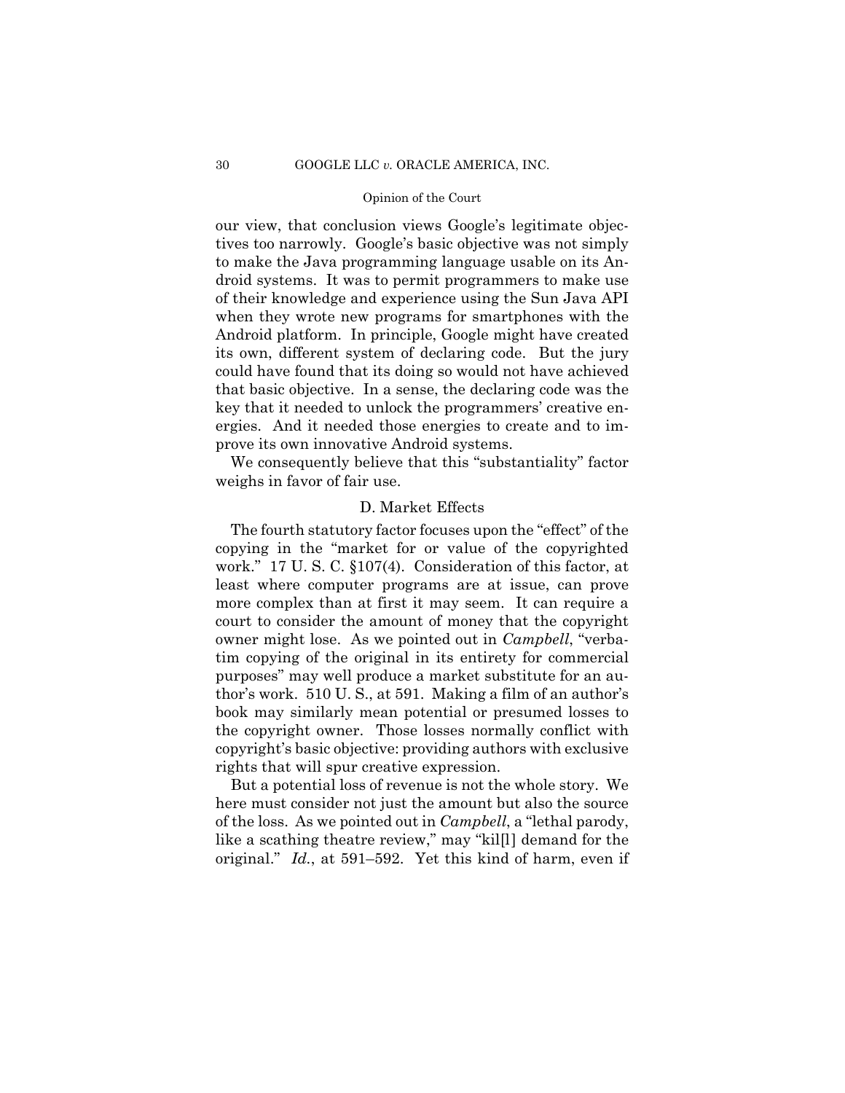our view, that conclusion views Google's legitimate objectives too narrowly. Google's basic objective was not simply to make the Java programming language usable on its Android systems. It was to permit programmers to make use of their knowledge and experience using the Sun Java API when they wrote new programs for smartphones with the Android platform. In principle, Google might have created its own, different system of declaring code. But the jury could have found that its doing so would not have achieved that basic objective. In a sense, the declaring code was the key that it needed to unlock the programmers' creative energies. And it needed those energies to create and to improve its own innovative Android systems.

We consequently believe that this "substantiality" factor weighs in favor of fair use.

## D. Market Effects

The fourth statutory factor focuses upon the "effect" of the copying in the "market for or value of the copyrighted work." 17 U. S. C. §107(4). Consideration of this factor, at least where computer programs are at issue, can prove more complex than at first it may seem. It can require a court to consider the amount of money that the copyright owner might lose. As we pointed out in *Campbell*, "verbatim copying of the original in its entirety for commercial purposes" may well produce a market substitute for an author's work. 510 U. S., at 591. Making a film of an author's book may similarly mean potential or presumed losses to the copyright owner. Those losses normally conflict with copyright's basic objective: providing authors with exclusive rights that will spur creative expression.

But a potential loss of revenue is not the whole story. We here must consider not just the amount but also the source of the loss. As we pointed out in *Campbell*, a "lethal parody, like a scathing theatre review," may "kil[l] demand for the original." *Id.*, at 591–592. Yet this kind of harm, even if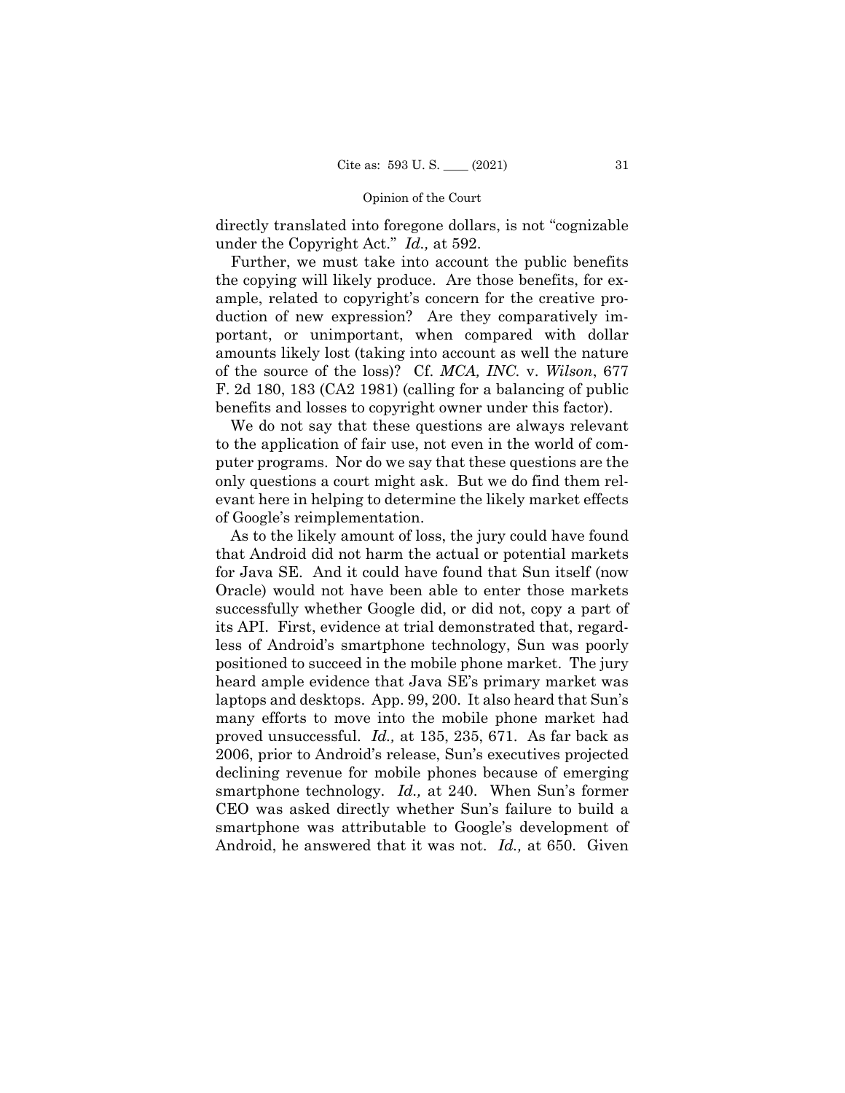directly translated into foregone dollars, is not "cognizable under the Copyright Act." *Id.,* at 592.

Further, we must take into account the public benefits the copying will likely produce. Are those benefits, for example, related to copyright's concern for the creative production of new expression? Are they comparatively important, or unimportant, when compared with dollar amounts likely lost (taking into account as well the nature of the source of the loss)? Cf. *MCA, INC.* v. *Wilson*, 677 F. 2d 180, 183 (CA2 1981) (calling for a balancing of public benefits and losses to copyright owner under this factor).

We do not say that these questions are always relevant to the application of fair use, not even in the world of computer programs. Nor do we say that these questions are the only questions a court might ask. But we do find them relevant here in helping to determine the likely market effects of Google's reimplementation.

As to the likely amount of loss, the jury could have found that Android did not harm the actual or potential markets for Java SE. And it could have found that Sun itself (now Oracle) would not have been able to enter those markets successfully whether Google did, or did not, copy a part of its API. First, evidence at trial demonstrated that, regardless of Android's smartphone technology, Sun was poorly positioned to succeed in the mobile phone market. The jury heard ample evidence that Java SE's primary market was laptops and desktops. App. 99, 200. It also heard that Sun's many efforts to move into the mobile phone market had proved unsuccessful. *Id.,* at 135, 235, 671. As far back as 2006, prior to Android's release, Sun's executives projected declining revenue for mobile phones because of emerging smartphone technology. *Id.,* at 240. When Sun's former CEO was asked directly whether Sun's failure to build a smartphone was attributable to Google's development of Android, he answered that it was not. *Id.,* at 650. Given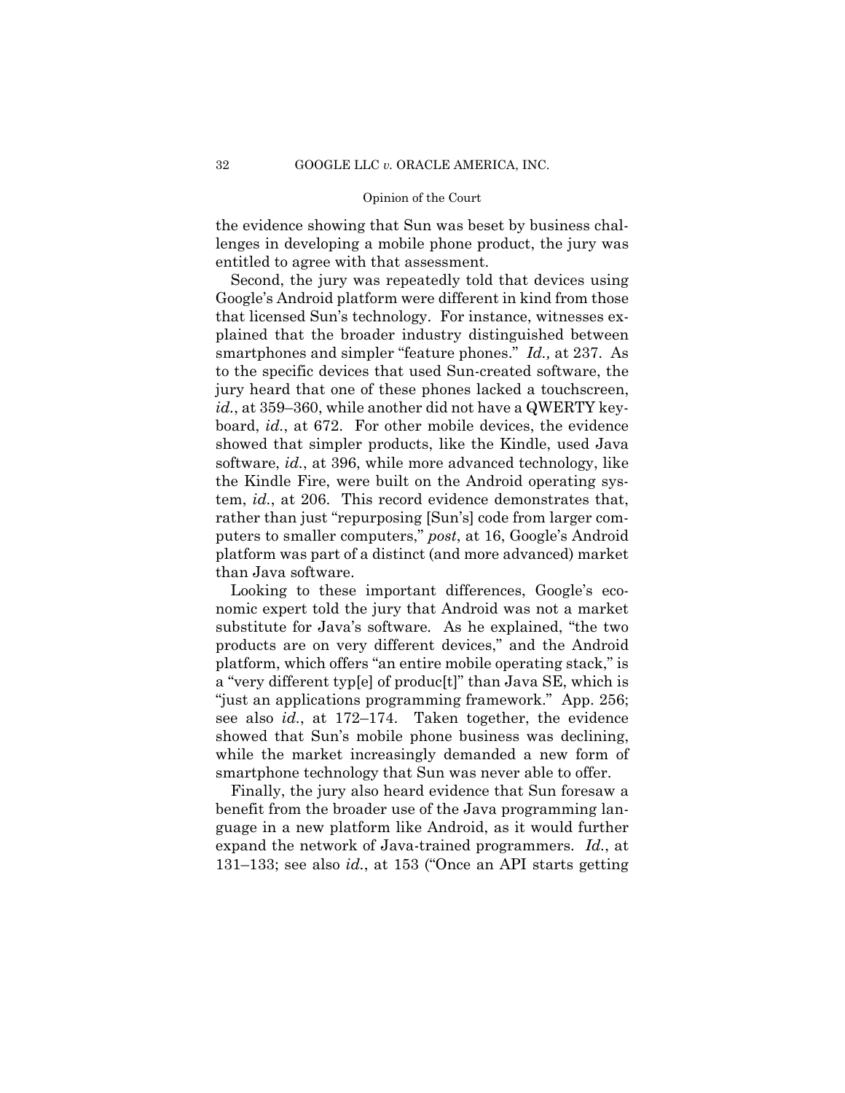the evidence showing that Sun was beset by business challenges in developing a mobile phone product, the jury was entitled to agree with that assessment.

Second, the jury was repeatedly told that devices using Google's Android platform were different in kind from those that licensed Sun's technology. For instance, witnesses explained that the broader industry distinguished between smartphones and simpler "feature phones." *Id.,* at 237. As to the specific devices that used Sun-created software, the jury heard that one of these phones lacked a touchscreen, *id.*, at 359–360, while another did not have a QWERTY keyboard, *id.*, at 672. For other mobile devices, the evidence showed that simpler products, like the Kindle, used Java software, *id.*, at 396, while more advanced technology, like the Kindle Fire, were built on the Android operating system, *id.*, at 206. This record evidence demonstrates that, rather than just "repurposing [Sun's] code from larger computers to smaller computers," *post*, at 16, Google's Android platform was part of a distinct (and more advanced) market than Java software.

Looking to these important differences, Google's economic expert told the jury that Android was not a market substitute for Java's software*.* As he explained, "the two products are on very different devices," and the Android platform, which offers "an entire mobile operating stack," is a "very different typ[e] of produc[t]" than Java SE, which is "just an applications programming framework." App. 256; see also *id.*, at 172–174. Taken together, the evidence showed that Sun's mobile phone business was declining, while the market increasingly demanded a new form of smartphone technology that Sun was never able to offer.

Finally, the jury also heard evidence that Sun foresaw a benefit from the broader use of the Java programming language in a new platform like Android, as it would further expand the network of Java-trained programmers. *Id.*, at 131–133; see also *id.*, at 153 ("Once an API starts getting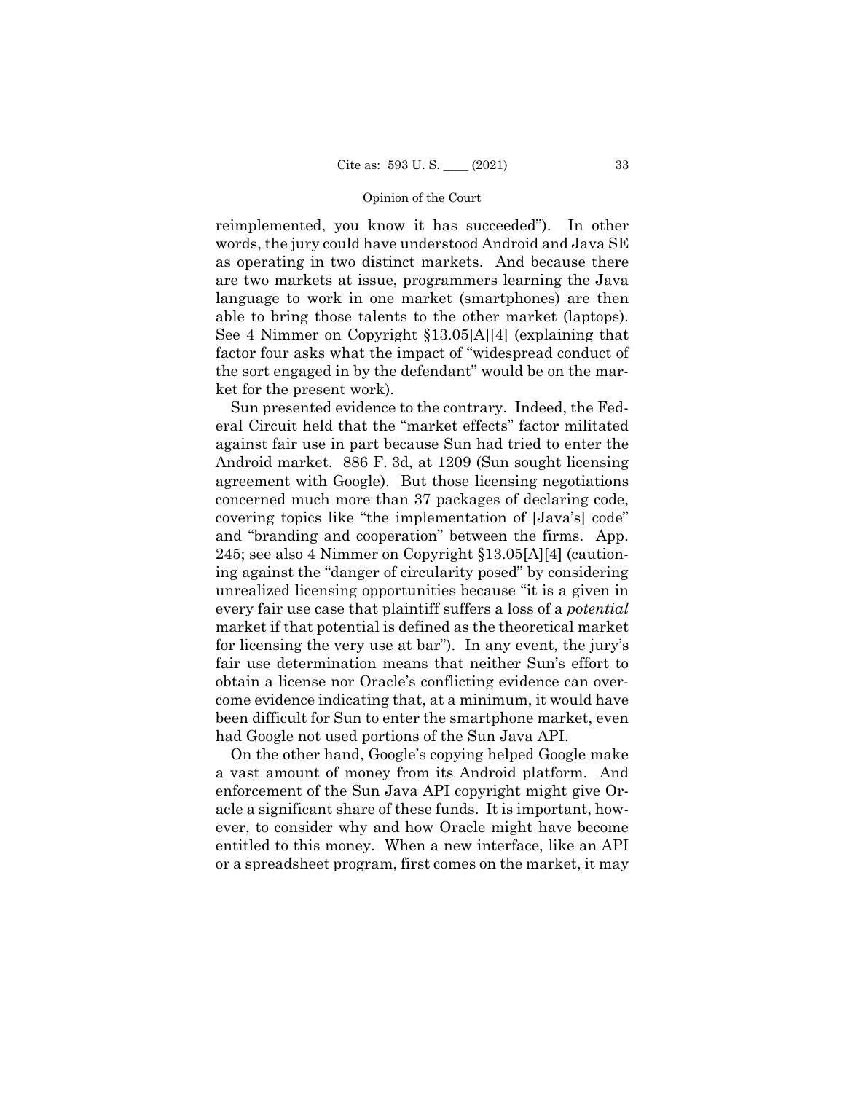reimplemented, you know it has succeeded"). In other words, the jury could have understood Android and Java SE as operating in two distinct markets. And because there are two markets at issue, programmers learning the Java language to work in one market (smartphones) are then able to bring those talents to the other market (laptops). See 4 Nimmer on Copyright §13.05[A][4] (explaining that factor four asks what the impact of "widespread conduct of the sort engaged in by the defendant" would be on the market for the present work).

Sun presented evidence to the contrary. Indeed, the Federal Circuit held that the "market effects" factor militated against fair use in part because Sun had tried to enter the Android market. 886 F. 3d, at 1209 (Sun sought licensing agreement with Google). But those licensing negotiations concerned much more than 37 packages of declaring code, covering topics like "the implementation of [Java's] code" and "branding and cooperation" between the firms. App. 245; see also 4 Nimmer on Copyright §13.05[A][4] (cautioning against the "danger of circularity posed" by considering unrealized licensing opportunities because "it is a given in every fair use case that plaintiff suffers a loss of a *potential* market if that potential is defined as the theoretical market for licensing the very use at bar"). In any event, the jury's fair use determination means that neither Sun's effort to obtain a license nor Oracle's conflicting evidence can overcome evidence indicating that, at a minimum, it would have been difficult for Sun to enter the smartphone market, even had Google not used portions of the Sun Java API.

On the other hand, Google's copying helped Google make a vast amount of money from its Android platform. And enforcement of the Sun Java API copyright might give Oracle a significant share of these funds. It is important, however, to consider why and how Oracle might have become entitled to this money. When a new interface, like an API or a spreadsheet program, first comes on the market, it may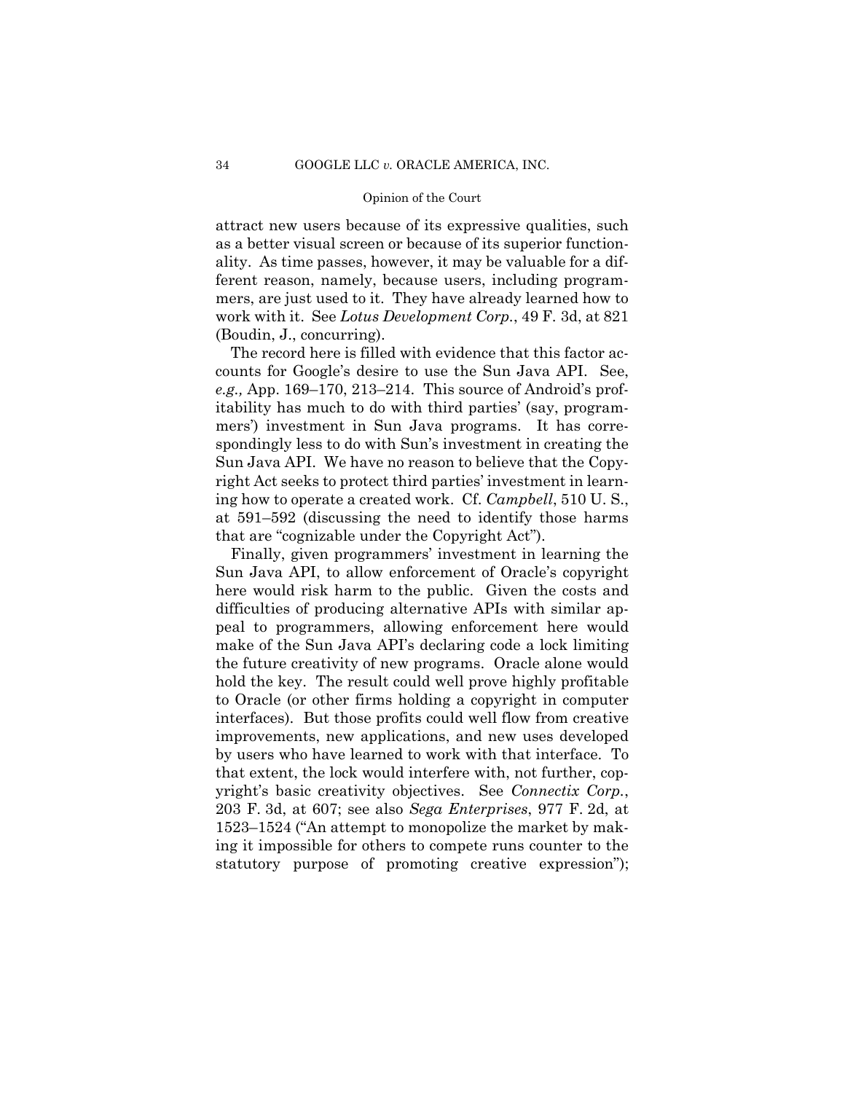attract new users because of its expressive qualities, such as a better visual screen or because of its superior functionality. As time passes, however, it may be valuable for a different reason, namely, because users, including programmers, are just used to it. They have already learned how to work with it. See *Lotus Development Corp.*, 49 F. 3d, at 821 (Boudin, J., concurring).

The record here is filled with evidence that this factor accounts for Google's desire to use the Sun Java API. See, *e.g.,* App. 169–170, 213–214. This source of Android's profitability has much to do with third parties' (say, programmers') investment in Sun Java programs. It has correspondingly less to do with Sun's investment in creating the Sun Java API. We have no reason to believe that the Copyright Act seeks to protect third parties' investment in learning how to operate a created work. Cf. *Campbell*, 510 U. S., at 591–592 (discussing the need to identify those harms that are "cognizable under the Copyright Act").

Finally, given programmers' investment in learning the Sun Java API, to allow enforcement of Oracle's copyright here would risk harm to the public. Given the costs and difficulties of producing alternative APIs with similar appeal to programmers, allowing enforcement here would make of the Sun Java API's declaring code a lock limiting the future creativity of new programs. Oracle alone would hold the key. The result could well prove highly profitable to Oracle (or other firms holding a copyright in computer interfaces). But those profits could well flow from creative improvements, new applications, and new uses developed by users who have learned to work with that interface. To that extent, the lock would interfere with, not further, copyright's basic creativity objectives. See *Connectix Corp.*, 203 F. 3d, at 607; see also *Sega Enterprises*, 977 F. 2d, at 1523–1524 ("An attempt to monopolize the market by making it impossible for others to compete runs counter to the statutory purpose of promoting creative expression");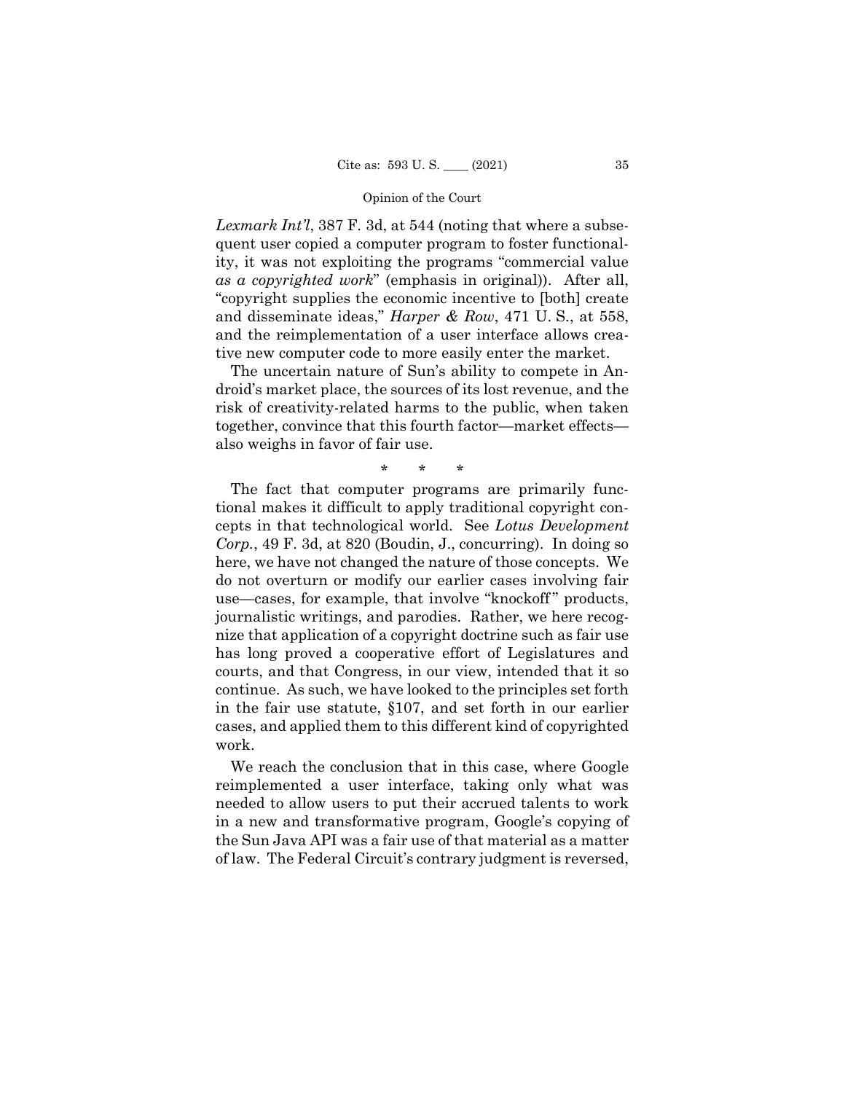*Lexmark Int'l*, 387 F. 3d, at 544 (noting that where a subsequent user copied a computer program to foster functionality, it was not exploiting the programs "commercial value *as a copyrighted work*" (emphasis in original)). After all, "copyright supplies the economic incentive to [both] create and disseminate ideas," *Harper & Row*, 471 U. S., at 558, and the reimplementation of a user interface allows creative new computer code to more easily enter the market.

The uncertain nature of Sun's ability to compete in Android's market place, the sources of its lost revenue, and the risk of creativity-related harms to the public, when taken together, convince that this fourth factor—market effects also weighs in favor of fair use.

\* \* \*

The fact that computer programs are primarily functional makes it difficult to apply traditional copyright concepts in that technological world. See *Lotus Development Corp.*, 49 F. 3d, at 820 (Boudin, J., concurring). In doing so here, we have not changed the nature of those concepts. We do not overturn or modify our earlier cases involving fair use—cases, for example, that involve "knockoff" products, journalistic writings, and parodies. Rather, we here recognize that application of a copyright doctrine such as fair use has long proved a cooperative effort of Legislatures and courts, and that Congress, in our view, intended that it so continue. As such, we have looked to the principles set forth in the fair use statute, §107, and set forth in our earlier cases, and applied them to this different kind of copyrighted work.

We reach the conclusion that in this case, where Google reimplemented a user interface, taking only what was needed to allow users to put their accrued talents to work in a new and transformative program, Google's copying of the Sun Java API was a fair use of that material as a matter of law. The Federal Circuit's contrary judgment is reversed,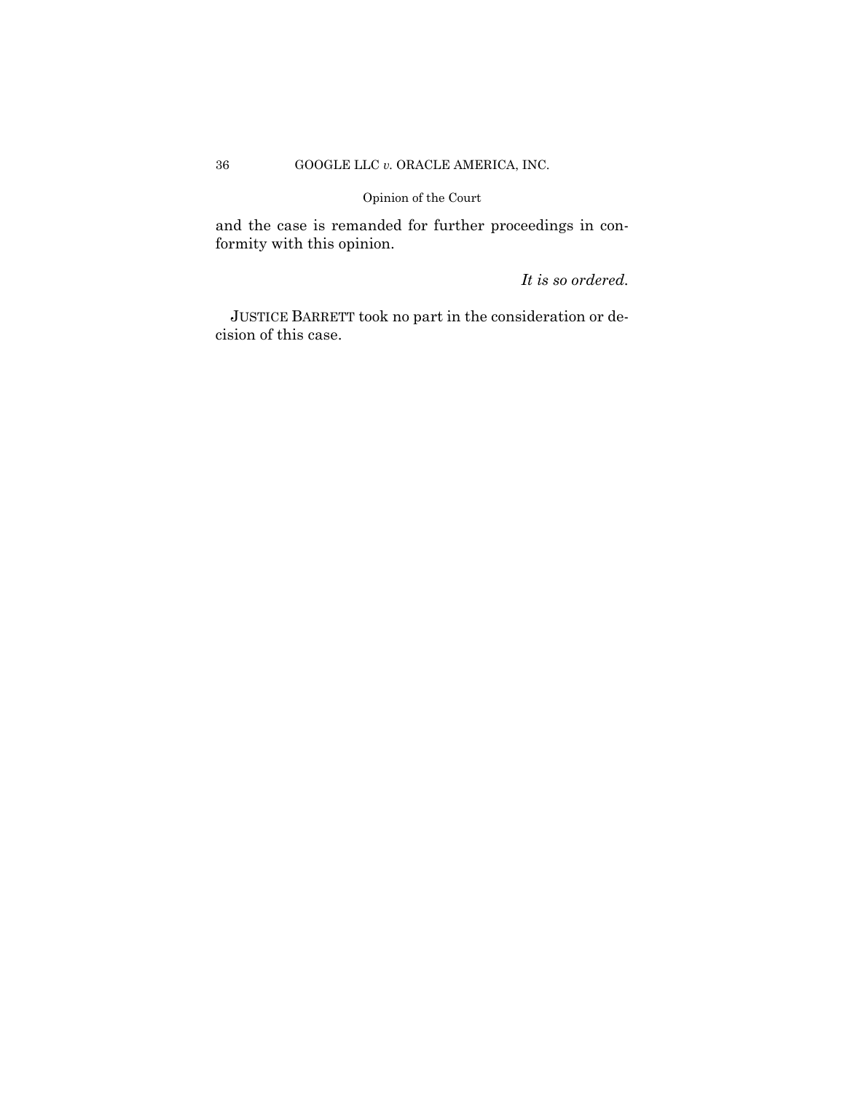and the case is remanded for further proceedings in conformity with this opinion.

*It is so ordered.*

 JUSTICE BARRETT took no part in the consideration or decision of this case.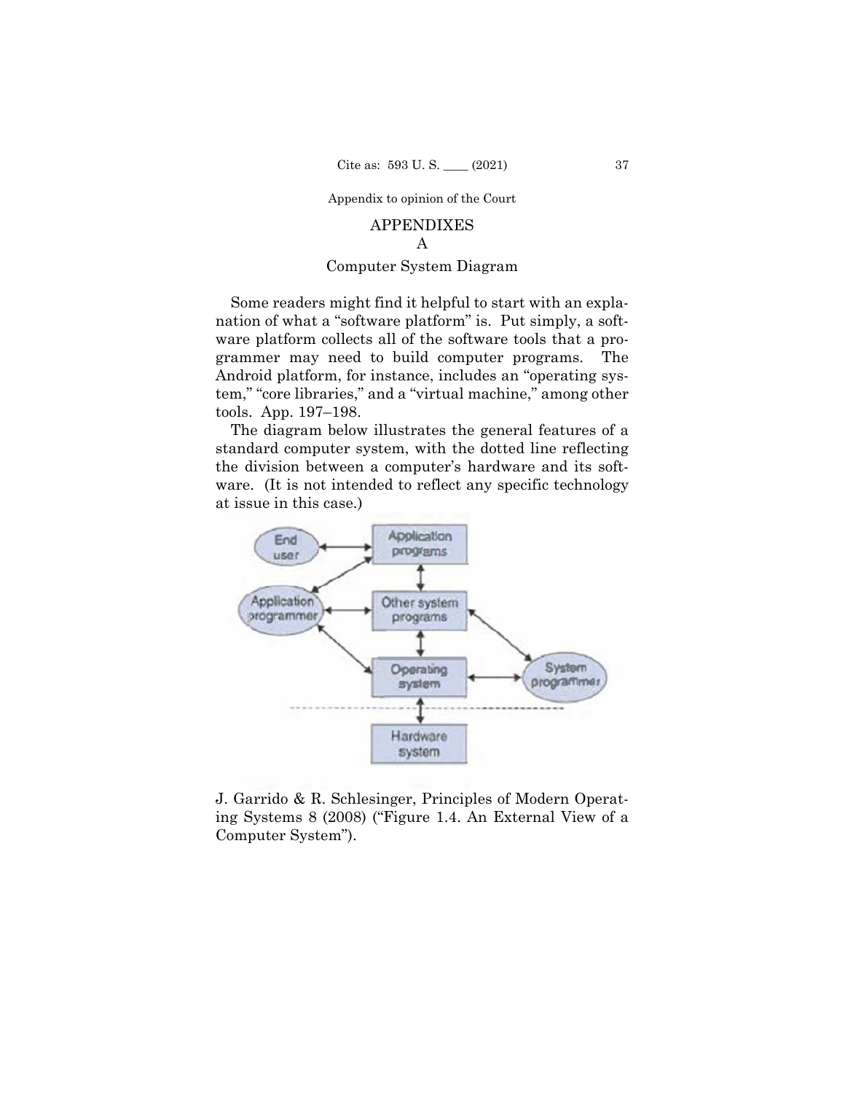Appendix to opinion of the Court

# APPENDIXES A Computer System Diagram

Some readers might find it helpful to start with an explanation of what a "software platform" is. Put simply, a software platform collects all of the software tools that a programmer may need to build computer programs. The Android platform, for instance, includes an "operating system," "core libraries," and a "virtual machine," among other tools. App. 197–198.

The diagram below illustrates the general features of a standard computer system, with the dotted line reflecting the division between a computer's hardware and its software. (It is not intended to reflect any specific technology at issue in this case.)



J. Garrido & R. Schlesinger, Principles of Modern Operating Systems 8 (2008) ("Figure 1.4. An External View of a Computer System").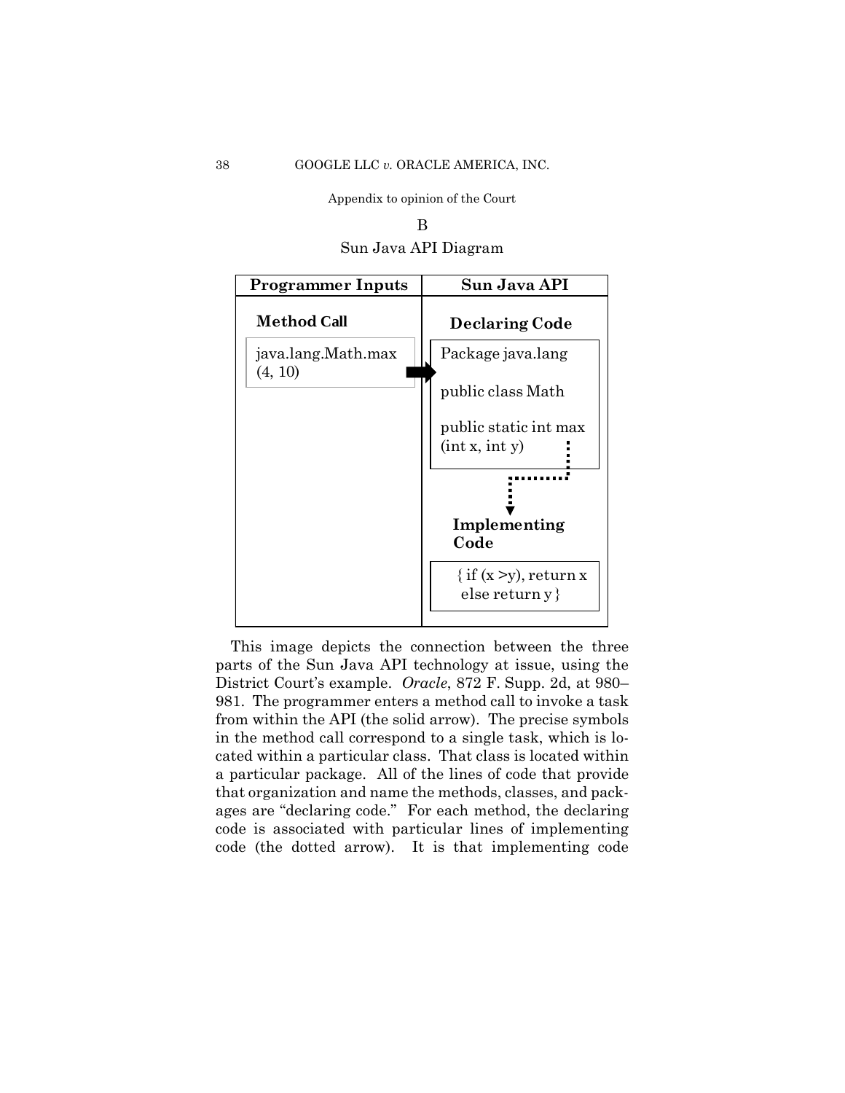Appendix to opinion of the Court

B Sun Java API Diagram



This image depicts the connection between the three parts of the Sun Java API technology at issue, using the District Court's example. *Oracle*, 872 F. Supp. 2d, at 980– 981. The programmer enters a method call to invoke a task from within the API (the solid arrow). The precise symbols in the method call correspond to a single task, which is located within a particular class. That class is located within a particular package. All of the lines of code that provide that organization and name the methods, classes, and packages are "declaring code." For each method, the declaring code is associated with particular lines of implementing code (the dotted arrow). It is that implementing code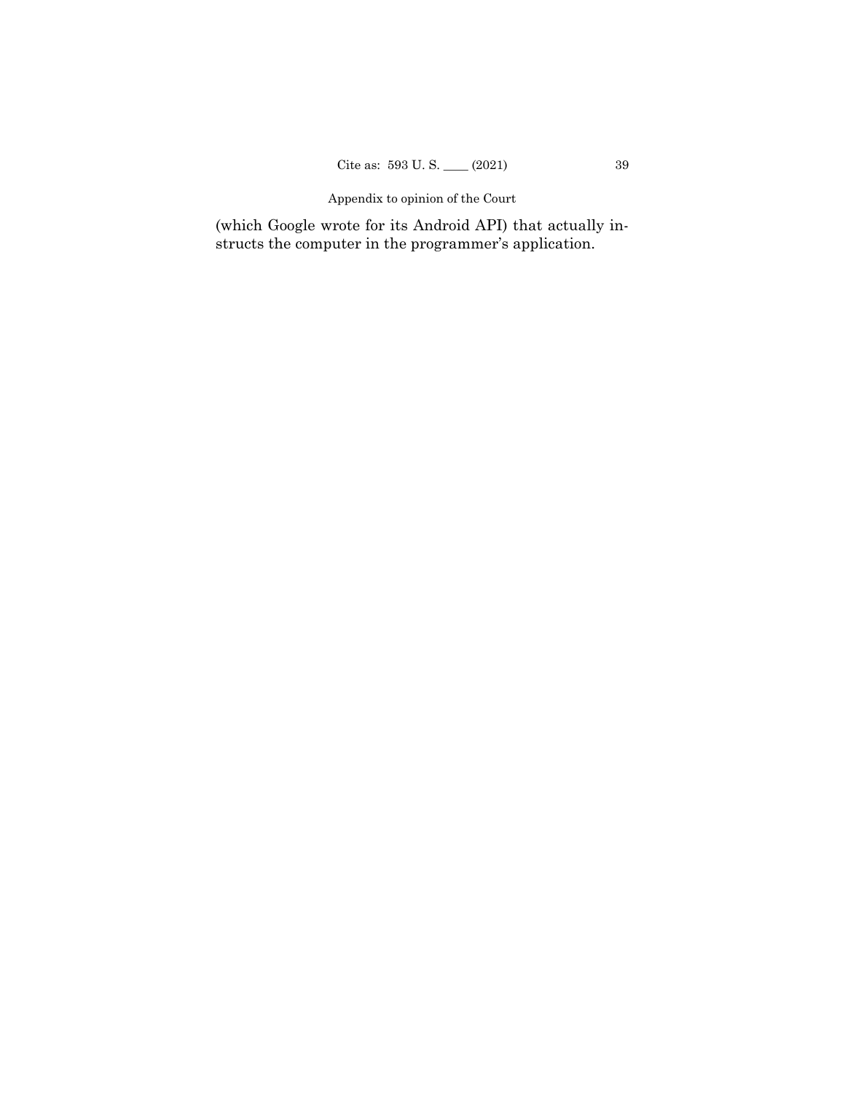#### Appendix to opinion of the Court

(which Google wrote for its Android API) that actually instructs the computer in the programmer's application.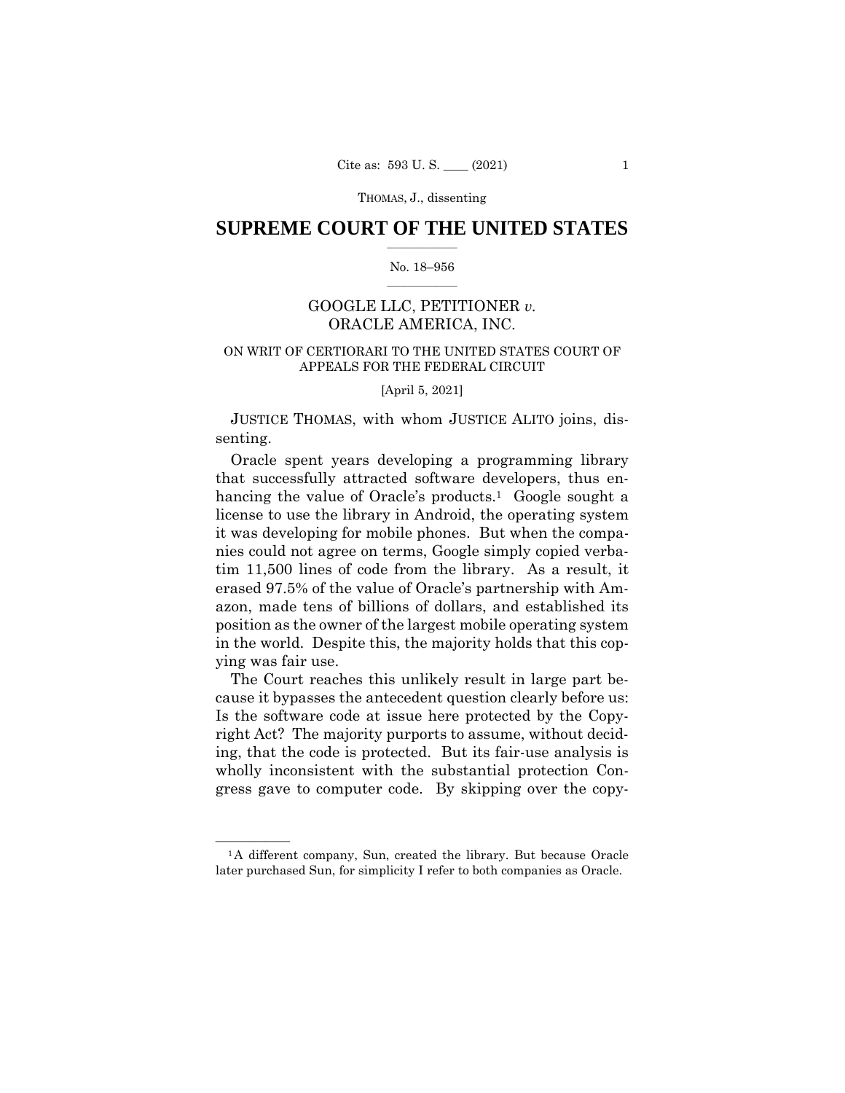## $\frac{1}{2}$  ,  $\frac{1}{2}$  ,  $\frac{1}{2}$  ,  $\frac{1}{2}$  ,  $\frac{1}{2}$  ,  $\frac{1}{2}$  ,  $\frac{1}{2}$ **SUPREME COURT OF THE UNITED STATES**

#### $\frac{1}{2}$  ,  $\frac{1}{2}$  ,  $\frac{1}{2}$  ,  $\frac{1}{2}$  ,  $\frac{1}{2}$  ,  $\frac{1}{2}$ No. 18–956

## GOOGLE LLC, PETITIONER *v.* ORACLE AMERICA, INC.

## ON WRIT OF CERTIORARI TO THE UNITED STATES COURT OF APPEALS FOR THE FEDERAL CIRCUIT

[April 5, 2021]

 JUSTICE THOMAS, with whom JUSTICE ALITO joins, dissenting.

Oracle spent years developing a programming library that successfully attracted software developers, thus enhancing the value of Oracle's products.<sup>1</sup> Google sought a license to use the library in Android, the operating system it was developing for mobile phones. But when the companies could not agree on terms, Google simply copied verbatim 11,500 lines of code from the library. As a result, it erased 97.5% of the value of Oracle's partnership with Amazon, made tens of billions of dollars, and established its position as the owner of the largest mobile operating system in the world. Despite this, the majority holds that this copying was fair use.

The Court reaches this unlikely result in large part because it bypasses the antecedent question clearly before us: Is the software code at issue here protected by the Copyright Act? The majority purports to assume, without deciding, that the code is protected. But its fair-use analysis is wholly inconsistent with the substantial protection Congress gave to computer code. By skipping over the copy-

<sup>&</sup>lt;sup>1</sup>A different company, Sun, created the library. But because Oracle later purchased Sun, for simplicity I refer to both companies as Oracle.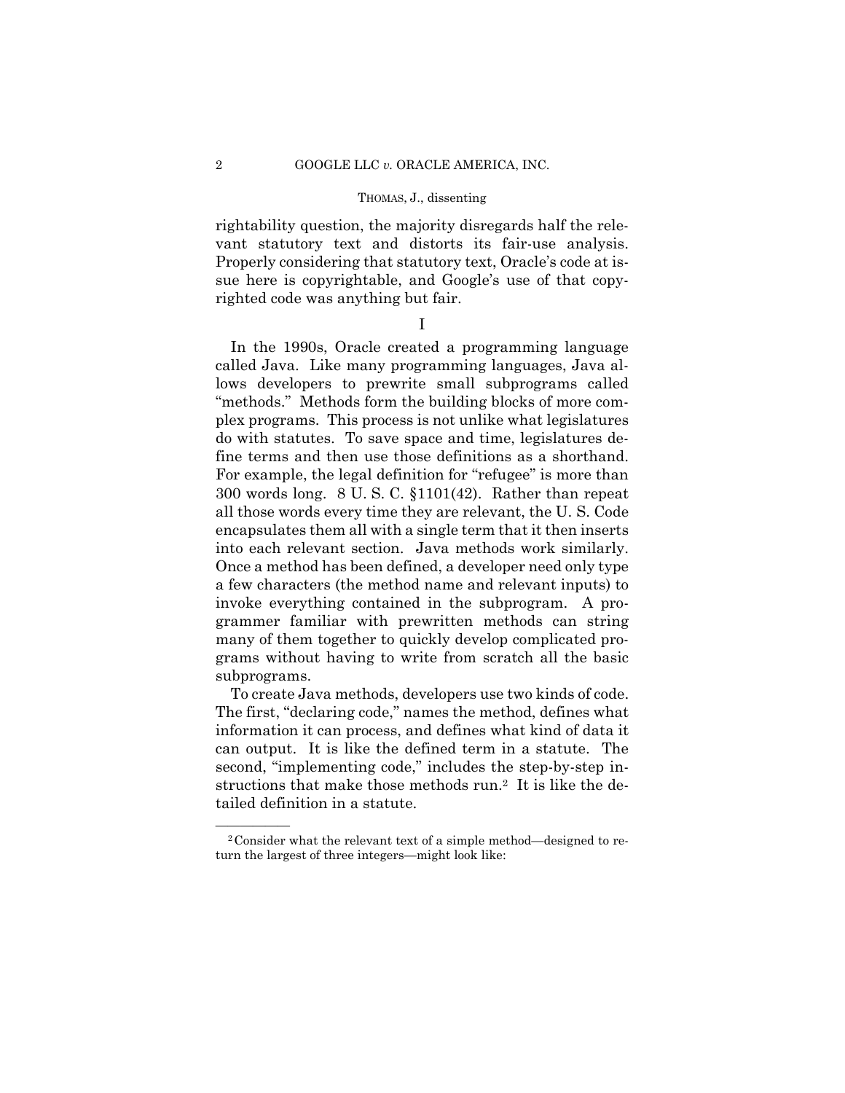rightability question, the majority disregards half the relevant statutory text and distorts its fair-use analysis. Properly considering that statutory text, Oracle's code at issue here is copyrightable, and Google's use of that copyrighted code was anything but fair.

## I

fine terms and then use those definitions as a shorthand. into each relevant section. Java methods work similarly. In the 1990s, Oracle created a programming language called Java. Like many programming languages, Java allows developers to prewrite small subprograms called "methods." Methods form the building blocks of more complex programs. This process is not unlike what legislatures do with statutes. To save space and time, legislatures de-For example, the legal definition for "refugee" is more than 300 words long. 8 U. S. C. §1101(42). Rather than repeat all those words every time they are relevant, the U. S. Code encapsulates them all with a single term that it then inserts Once a method has been defined, a developer need only type a few characters (the method name and relevant inputs) to invoke everything contained in the subprogram. A programmer familiar with prewritten methods can string many of them together to quickly develop complicated programs without having to write from scratch all the basic subprograms.

To create Java methods, developers use two kinds of code. The first, "declaring code," names the method, defines what information it can process, and defines what kind of data it can output. It is like the defined term in a statute. The second, "implementing code," includes the step-by-step instructions that make those methods run.<sup>2</sup> It is like the detailed definition in a statute.

<sup>&</sup>lt;sup>2</sup>Consider what the relevant text of a simple method—designed to return the largest of three integers—might look like: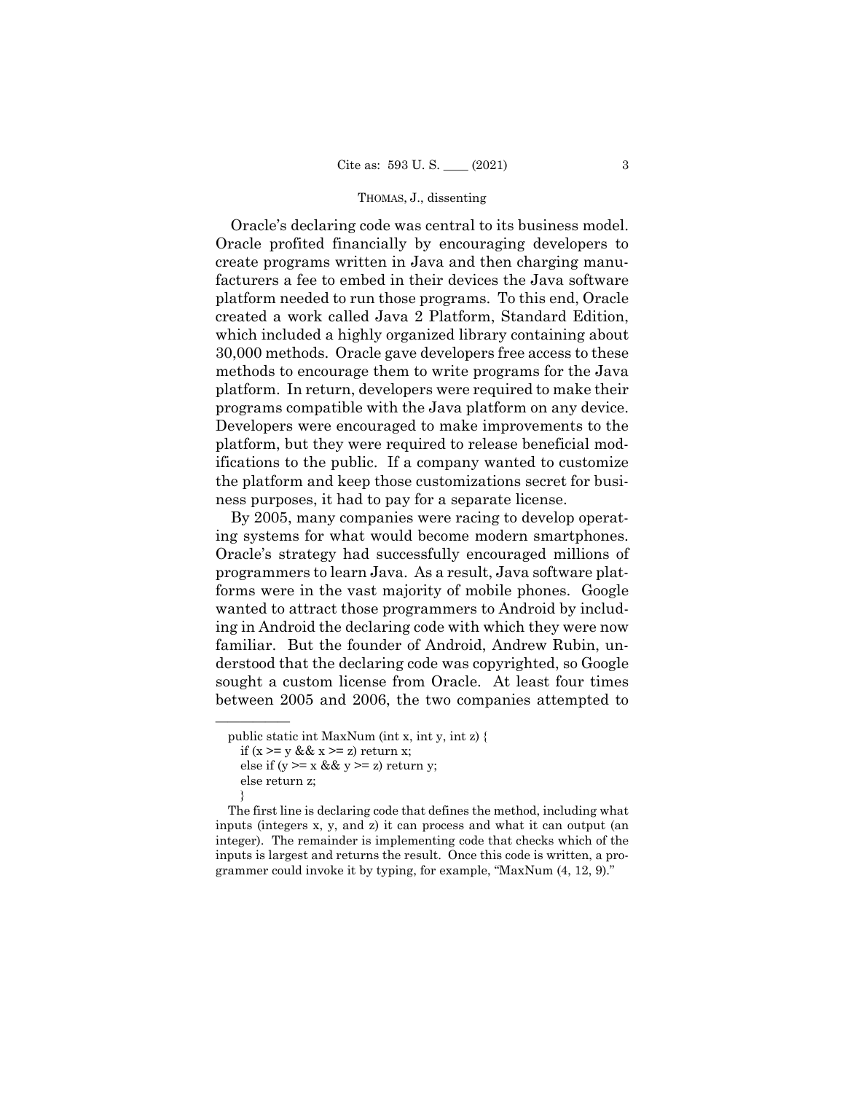Oracle's declaring code was central to its business model. Oracle profited financially by encouraging developers to create programs written in Java and then charging manufacturers a fee to embed in their devices the Java software platform needed to run those programs. To this end, Oracle created a work called Java 2 Platform, Standard Edition, which included a highly organized library containing about 30,000 methods. Oracle gave developers free access to these methods to encourage them to write programs for the Java platform. In return, developers were required to make their programs compatible with the Java platform on any device. Developers were encouraged to make improvements to the platform, but they were required to release beneficial modifications to the public. If a company wanted to customize the platform and keep those customizations secret for business purposes, it had to pay for a separate license.

 ing systems for what would become modern smartphones. By 2005, many companies were racing to develop operat-Oracle's strategy had successfully encouraged millions of programmers to learn Java. As a result, Java software platforms were in the vast majority of mobile phones. Google wanted to attract those programmers to Android by including in Android the declaring code with which they were now familiar. But the founder of Android, Andrew Rubin, understood that the declaring code was copyrighted, so Google sought a custom license from Oracle. At least four times between 2005 and 2006, the two companies attempted to

——————

The first line is declaring code that defines the method, including what inputs (integers x, y, and z) it can process and what it can output (an integer). The remainder is implementing code that checks which of the inputs is largest and returns the result. Once this code is written, a programmer could invoke it by typing, for example, "MaxNum (4, 12, 9)."

public static int MaxNum (int x, int y, int z) { if  $(x \ge y \&& x \ge z)$  return x; else if  $(y \ge x \&& y \ge z)$  return y; else return z; }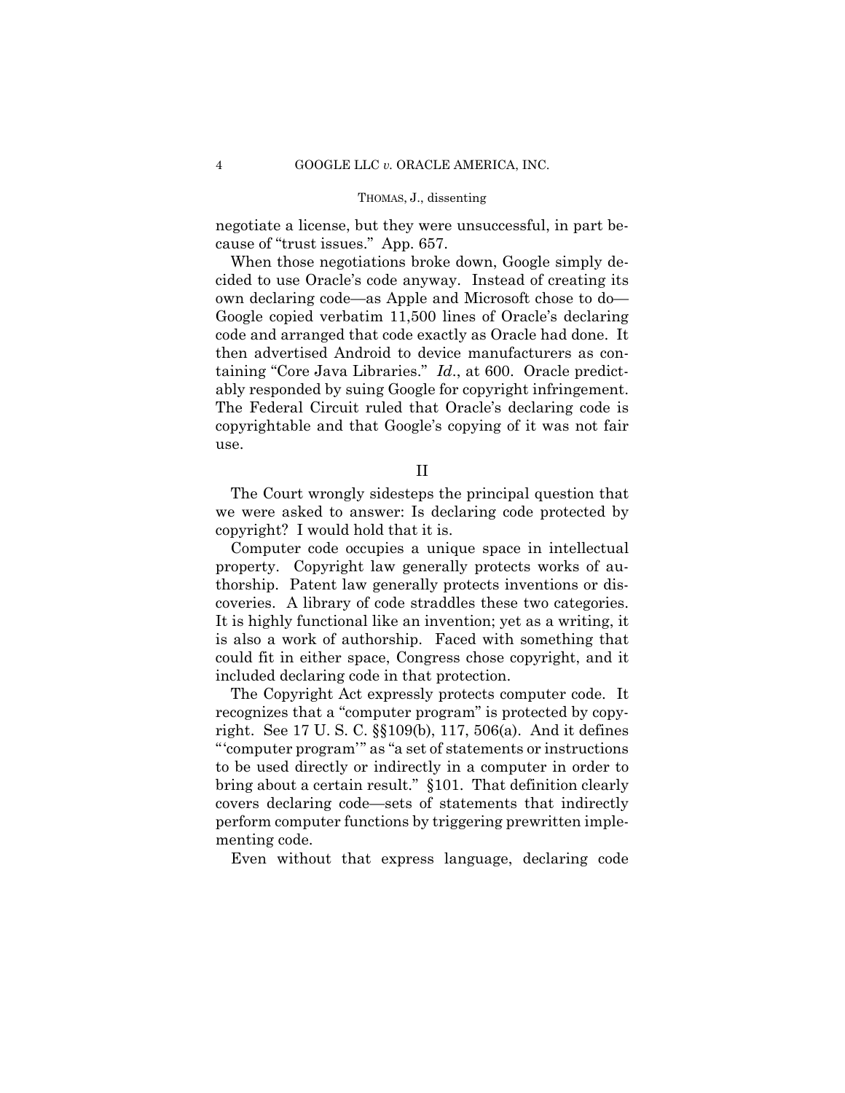negotiate a license, but they were unsuccessful, in part because of "trust issues." App. 657.

When those negotiations broke down, Google simply decided to use Oracle's code anyway. Instead of creating its own declaring code—as Apple and Microsoft chose to do— Google copied verbatim 11,500 lines of Oracle's declaring code and arranged that code exactly as Oracle had done. It then advertised Android to device manufacturers as containing "Core Java Libraries." *Id*., at 600. Oracle predictably responded by suing Google for copyright infringement. The Federal Circuit ruled that Oracle's declaring code is copyrightable and that Google's copying of it was not fair use.

II

The Court wrongly sidesteps the principal question that we were asked to answer: Is declaring code protected by copyright? I would hold that it is.

Computer code occupies a unique space in intellectual property. Copyright law generally protects works of authorship. Patent law generally protects inventions or discoveries. A library of code straddles these two categories. It is highly functional like an invention; yet as a writing, it is also a work of authorship. Faced with something that could fit in either space, Congress chose copyright, and it included declaring code in that protection.

The Copyright Act expressly protects computer code. It recognizes that a "computer program" is protected by copyright. See 17 U. S. C. §§109(b), 117, 506(a). And it defines "'computer program'" as "a set of statements or instructions to be used directly or indirectly in a computer in order to bring about a certain result." §101. That definition clearly covers declaring code—sets of statements that indirectly perform computer functions by triggering prewritten implementing code.

Even without that express language, declaring code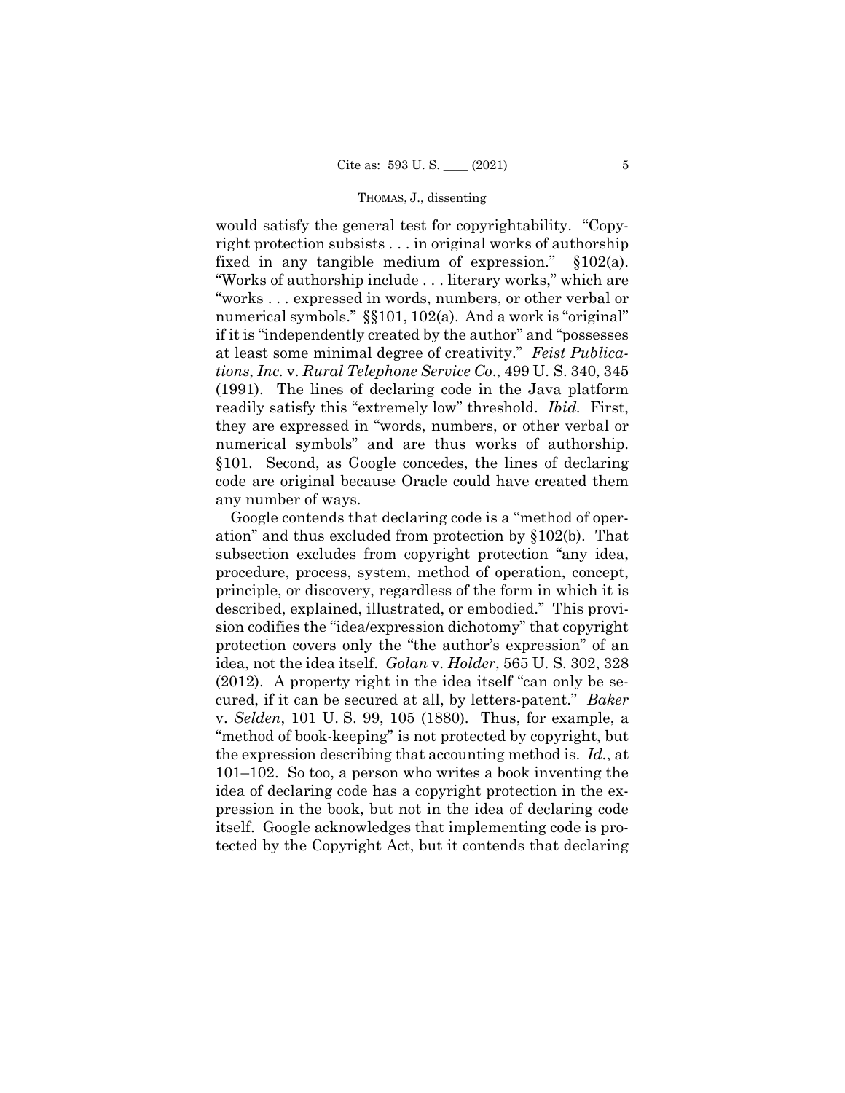would satisfy the general test for copyrightability. "Copyright protection subsists . . . in original works of authorship fixed in any tangible medium of expression." §102(a). "Works of authorship include . . . literary works," which are "works . . . expressed in words, numbers, or other verbal or numerical symbols." §§101, 102(a). And a work is "original" if it is "independently created by the author" and "possesses at least some minimal degree of creativity." *Feist Publications*, *Inc.* v. *Rural Telephone Service Co*., 499 U. S. 340, 345 (1991). The lines of declaring code in the Java platform readily satisfy this "extremely low" threshold. *Ibid.* First, they are expressed in "words, numbers, or other verbal or numerical symbols" and are thus works of authorship. §101. Second, as Google concedes, the lines of declaring code are original because Oracle could have created them any number of ways.

 idea, not the idea itself. *Golan* v. *Holder*, 565 U. S. 302, 328 Google contends that declaring code is a "method of operation" and thus excluded from protection by §102(b). That subsection excludes from copyright protection "any idea, procedure, process, system, method of operation, concept, principle, or discovery, regardless of the form in which it is described, explained, illustrated, or embodied." This provision codifies the "idea/expression dichotomy" that copyright protection covers only the "the author's expression" of an (2012). A property right in the idea itself "can only be secured, if it can be secured at all, by letters-patent." *Baker*  v. *Selden*, 101 U. S. 99, 105 (1880). Thus, for example, a "method of book-keeping" is not protected by copyright, but the expression describing that accounting method is. *Id.*, at 101–102. So too, a person who writes a book inventing the idea of declaring code has a copyright protection in the expression in the book, but not in the idea of declaring code itself. Google acknowledges that implementing code is protected by the Copyright Act, but it contends that declaring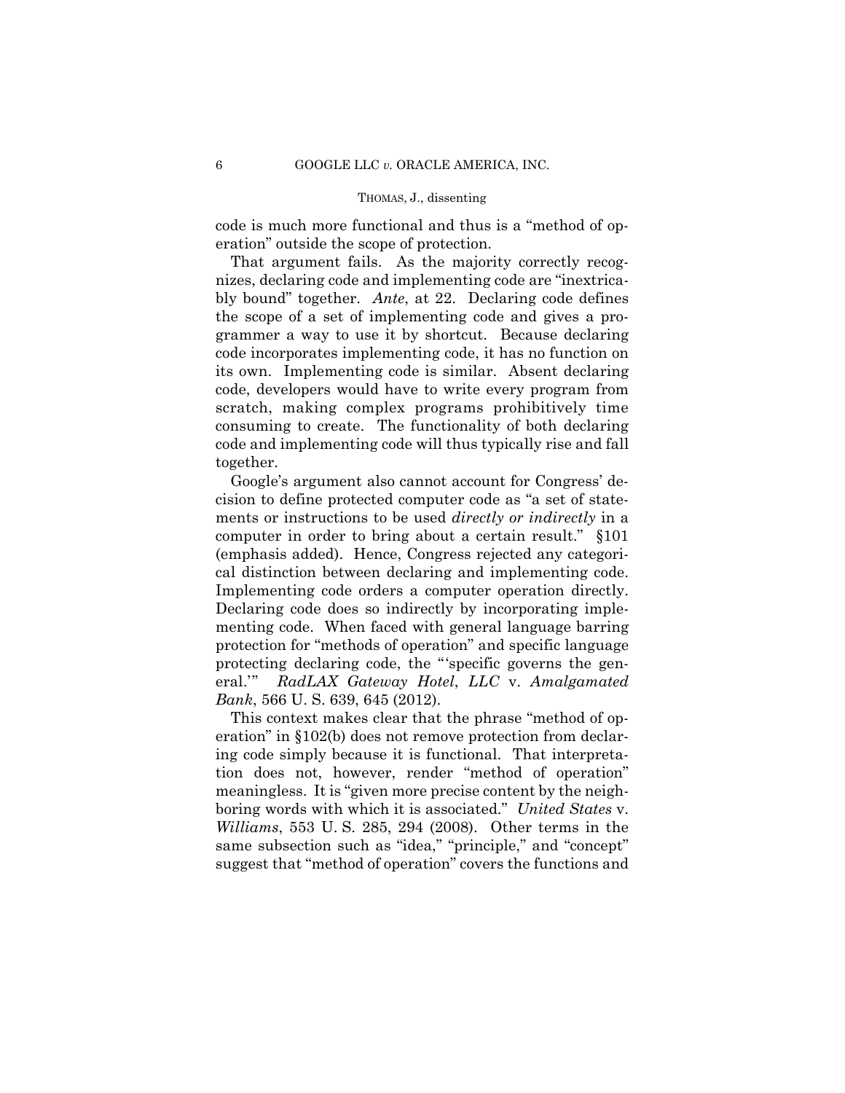code is much more functional and thus is a "method of operation" outside the scope of protection.

That argument fails. As the majority correctly recognizes, declaring code and implementing code are "inextricably bound" together. *Ante*, at 22. Declaring code defines the scope of a set of implementing code and gives a programmer a way to use it by shortcut. Because declaring code incorporates implementing code, it has no function on its own. Implementing code is similar. Absent declaring code, developers would have to write every program from scratch, making complex programs prohibitively time consuming to create. The functionality of both declaring code and implementing code will thus typically rise and fall together.

 Implementing code orders a computer operation directly. Google's argument also cannot account for Congress' decision to define protected computer code as "a set of statements or instructions to be used *directly or indirectly* in a computer in order to bring about a certain result." §101 (emphasis added). Hence, Congress rejected any categorical distinction between declaring and implementing code. Declaring code does so indirectly by incorporating implementing code. When faced with general language barring protection for "methods of operation" and specific language protecting declaring code, the "'specific governs the general.'" *RadLAX Gateway Hotel*, *LLC* v. *Amalgamated Bank*, 566 U. S. 639, 645 (2012).

This context makes clear that the phrase "method of operation" in §102(b) does not remove protection from declaring code simply because it is functional. That interpretation does not, however, render "method of operation" meaningless. It is "given more precise content by the neighboring words with which it is associated." *United States* v. *Williams*, 553 U. S. 285, 294 (2008). Other terms in the same subsection such as "idea," "principle," and "concept" suggest that "method of operation" covers the functions and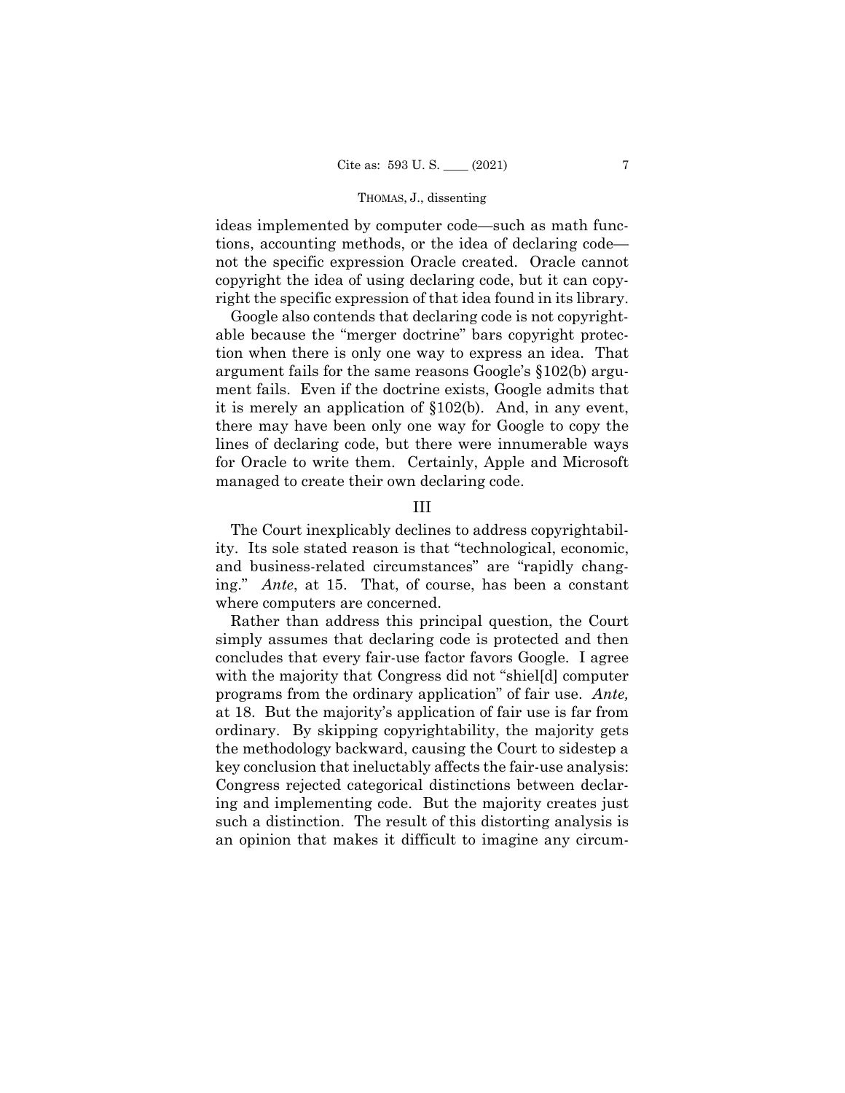ideas implemented by computer code—such as math functions, accounting methods, or the idea of declaring code not the specific expression Oracle created. Oracle cannot copyright the idea of using declaring code, but it can copyright the specific expression of that idea found in its library.

Google also contends that declaring code is not copyrightable because the "merger doctrine" bars copyright protection when there is only one way to express an idea. That argument fails for the same reasons Google's §102(b) argument fails. Even if the doctrine exists, Google admits that it is merely an application of §102(b). And, in any event, there may have been only one way for Google to copy the lines of declaring code, but there were innumerable ways for Oracle to write them. Certainly, Apple and Microsoft managed to create their own declaring code.

## III

The Court inexplicably declines to address copyrightability. Its sole stated reason is that "technological, economic, and business-related circumstances" are "rapidly changing." *Ante*, at 15. That, of course, has been a constant where computers are concerned.

Rather than address this principal question, the Court simply assumes that declaring code is protected and then concludes that every fair-use factor favors Google. I agree with the majority that Congress did not "shiel[d] computer programs from the ordinary application" of fair use. *Ante,*  at 18. But the majority's application of fair use is far from ordinary. By skipping copyrightability, the majority gets the methodology backward, causing the Court to sidestep a key conclusion that ineluctably affects the fair-use analysis: Congress rejected categorical distinctions between declaring and implementing code. But the majority creates just such a distinction. The result of this distorting analysis is an opinion that makes it difficult to imagine any circum-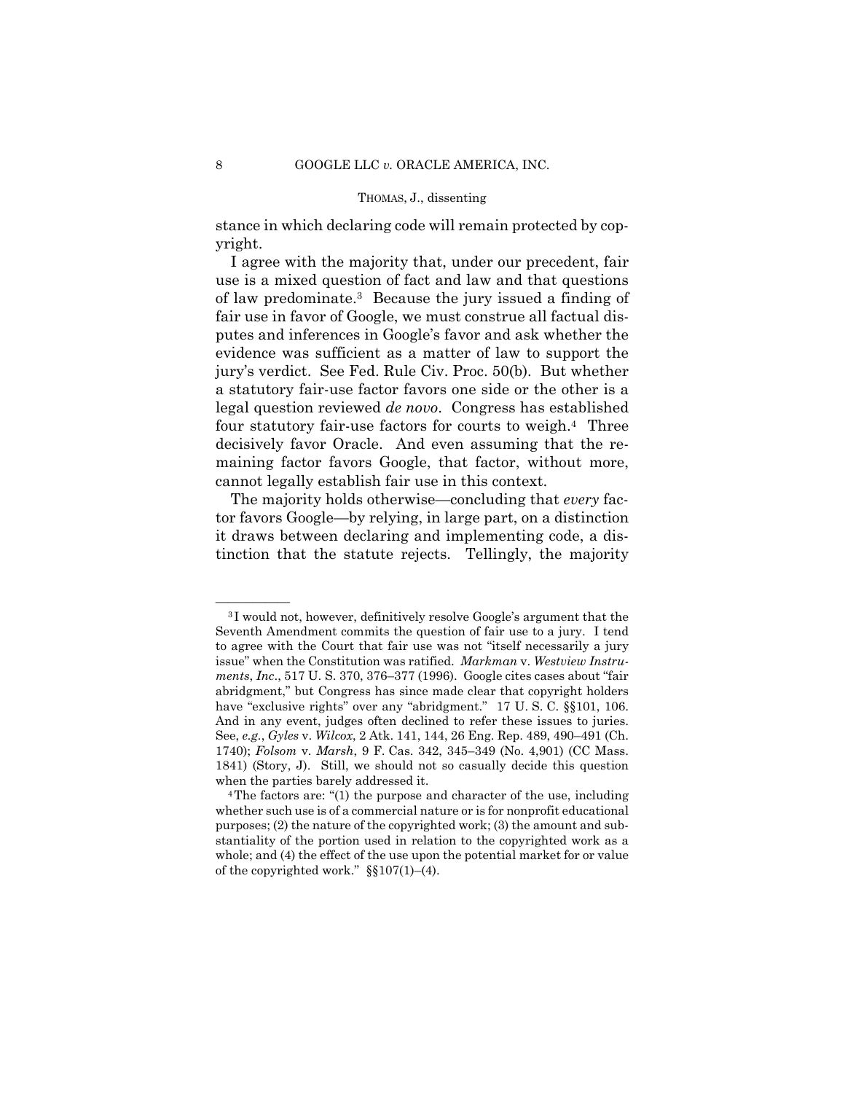stance in which declaring code will remain protected by copyright.

I agree with the majority that, under our precedent, fair use is a mixed question of fact and law and that questions of law predominate.3 Because the jury issued a finding of fair use in favor of Google, we must construe all factual disputes and inferences in Google's favor and ask whether the evidence was sufficient as a matter of law to support the jury's verdict. See Fed. Rule Civ. Proc. 50(b). But whether a statutory fair-use factor favors one side or the other is a legal question reviewed *de novo*. Congress has established four statutory fair-use factors for courts to weigh.4 Three decisively favor Oracle. And even assuming that the remaining factor favors Google, that factor, without more, cannot legally establish fair use in this context.

The majority holds otherwise—concluding that *every* factor favors Google—by relying, in large part, on a distinction it draws between declaring and implementing code, a distinction that the statute rejects. Tellingly, the majority

<sup>&</sup>lt;sup>3</sup>I would not, however, definitively resolve Google's argument that the Seventh Amendment commits the question of fair use to a jury. I tend to agree with the Court that fair use was not "itself necessarily a jury issue" when the Constitution was ratified. *Markman* v. *Westview Instruments*, *Inc*., 517 U. S. 370, 376–377 (1996). Google cites cases about "fair abridgment," but Congress has since made clear that copyright holders have "exclusive rights" over any "abridgment." 17 U. S. C. §§101, 106. And in any event, judges often declined to refer these issues to juries. See, *e.g.*, *Gyles* v. *Wilcox*, 2 Atk. 141, 144, 26 Eng. Rep. 489, 490–491 (Ch. 1740); *Folsom* v. *Marsh*, 9 F. Cas. 342, 345–349 (No. 4,901) (CC Mass. 1841) (Story, J). Still, we should not so casually decide this question

when the parties barely addressed it.<br><sup>4</sup>The factors are: "(1) the purpose and character of the use, including whether such use is of a commercial nature or is for nonprofit educational purposes; (2) the nature of the copyrighted work; (3) the amount and substantiality of the portion used in relation to the copyrighted work as a whole; and (4) the effect of the use upon the potential market for or value of the copyrighted work."  $\S(107(1)–(4))$ .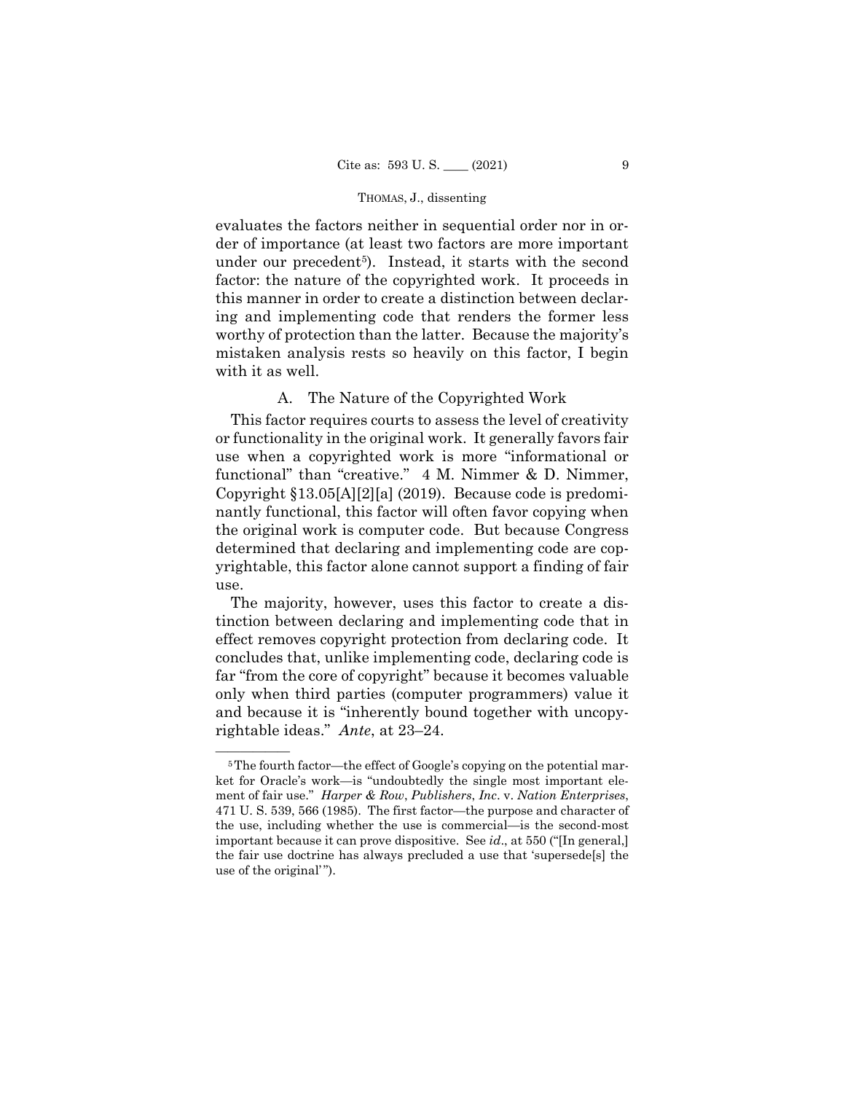evaluates the factors neither in sequential order nor in order of importance (at least two factors are more important under our precedent<sup>5</sup>). Instead, it starts with the second factor: the nature of the copyrighted work. It proceeds in this manner in order to create a distinction between declaring and implementing code that renders the former less worthy of protection than the latter. Because the majority's mistaken analysis rests so heavily on this factor, I begin with it as well.

## A. The Nature of the Copyrighted Work

This factor requires courts to assess the level of creativity or functionality in the original work. It generally favors fair use when a copyrighted work is more "informational or functional" than "creative." 4 M. Nimmer & D. Nimmer, Copyright §13.05[A][2][a] (2019). Because code is predominantly functional, this factor will often favor copying when the original work is computer code. But because Congress determined that declaring and implementing code are copyrightable, this factor alone cannot support a finding of fair use.

The majority, however, uses this factor to create a distinction between declaring and implementing code that in effect removes copyright protection from declaring code. It concludes that, unlike implementing code, declaring code is far "from the core of copyright" because it becomes valuable only when third parties (computer programmers) value it and because it is "inherently bound together with uncopyrightable ideas." *Ante*, at 23–24.

 $5$ The fourth factor—the effect of Google's copying on the potential market for Oracle's work—is "undoubtedly the single most important element of fair use." *Harper & Row*, *Publishers*, *Inc*. v. *Nation Enterprises*, 471 U. S. 539, 566 (1985). The first factor—the purpose and character of the use, including whether the use is commercial—is the second-most important because it can prove dispositive. See *id*., at 550 ("[In general,] the fair use doctrine has always precluded a use that 'supersede[s] the use of the original' ").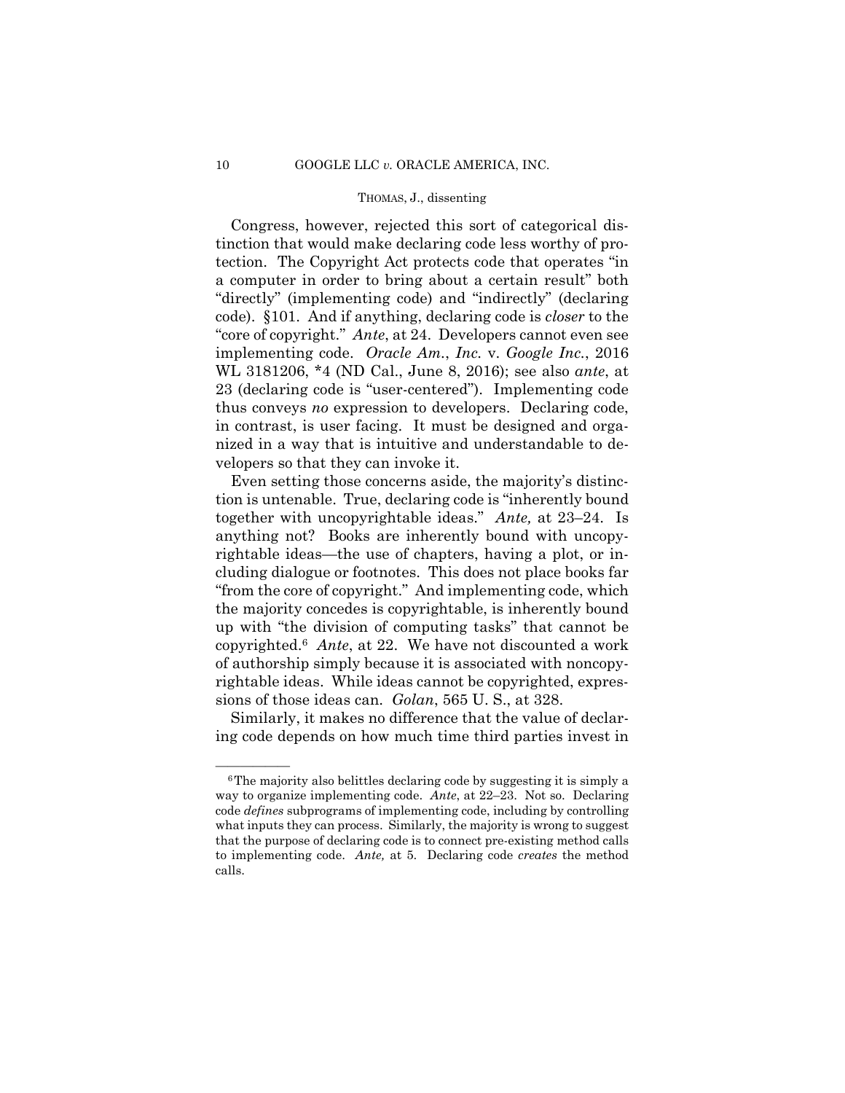Congress, however, rejected this sort of categorical distinction that would make declaring code less worthy of protection. The Copyright Act protects code that operates "in a computer in order to bring about a certain result" both "directly" (implementing code) and "indirectly" (declaring code). §101. And if anything, declaring code is *closer* to the "core of copyright." *Ante*, at 24. Developers cannot even see implementing code. *Oracle Am.*, *Inc.* v. *Google Inc.*, 2016 WL 3181206, \*4 (ND Cal., June 8, 2016); see also *ante*, at 23 (declaring code is "user-centered"). Implementing code thus conveys *no* expression to developers. Declaring code, in contrast, is user facing. It must be designed and organized in a way that is intuitive and understandable to developers so that they can invoke it.

 copyrighted.6 *Ante*, at 22. We have not discounted a work sions of those ideas can. *Golan*, 565 U. S., at 328. Even setting those concerns aside, the majority's distinction is untenable. True, declaring code is "inherently bound together with uncopyrightable ideas." *Ante,* at 23–24. Is anything not? Books are inherently bound with uncopyrightable ideas—the use of chapters, having a plot, or including dialogue or footnotes. This does not place books far "from the core of copyright." And implementing code, which the majority concedes is copyrightable, is inherently bound up with "the division of computing tasks" that cannot be of authorship simply because it is associated with noncopyrightable ideas. While ideas cannot be copyrighted, expres-

Similarly, it makes no difference that the value of declaring code depends on how much time third parties invest in

 ${}^6$ The majority also belittles declaring code by suggesting it is simply a way to organize implementing code. *Ante*, at 22–23. Not so. Declaring code *defines* subprograms of implementing code, including by controlling what inputs they can process. Similarly, the majority is wrong to suggest that the purpose of declaring code is to connect pre-existing method calls to implementing code. *Ante,* at 5. Declaring code *creates* the method calls.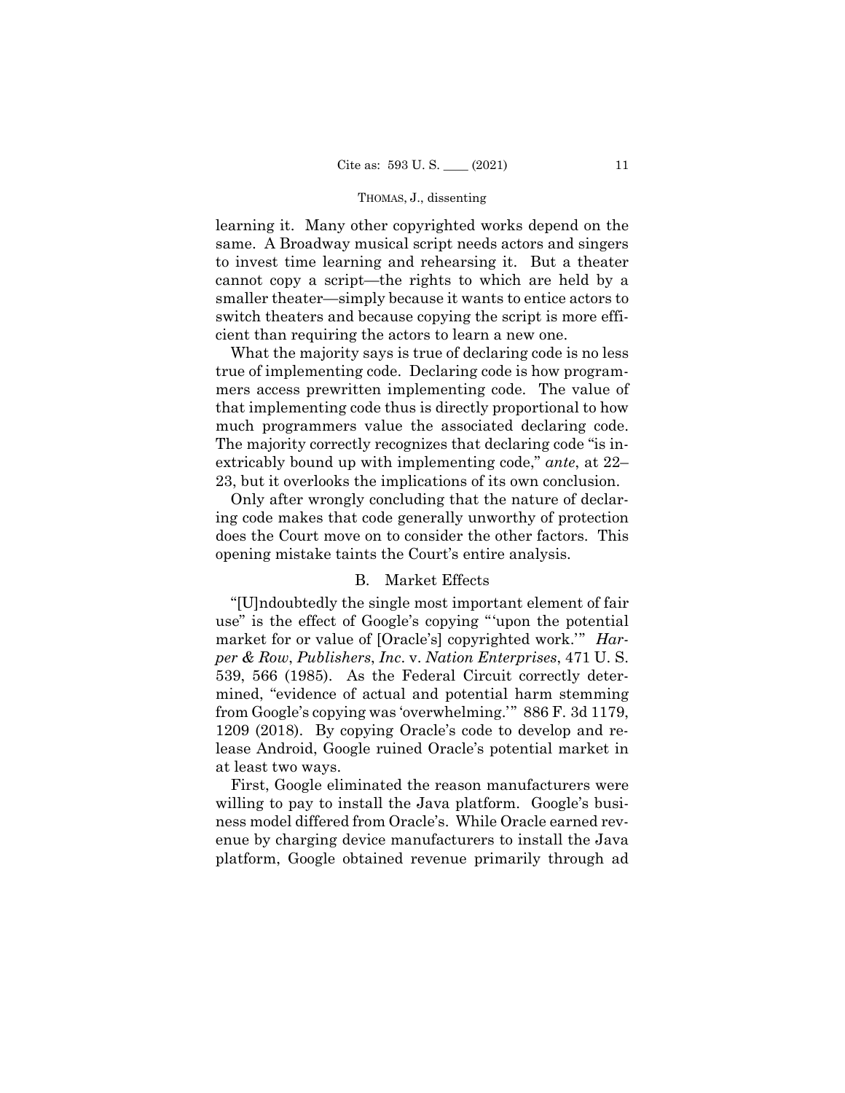learning it. Many other copyrighted works depend on the same. A Broadway musical script needs actors and singers to invest time learning and rehearsing it. But a theater cannot copy a script—the rights to which are held by a smaller theater—simply because it wants to entice actors to switch theaters and because copying the script is more efficient than requiring the actors to learn a new one.

What the majority says is true of declaring code is no less true of implementing code. Declaring code is how programmers access prewritten implementing code. The value of that implementing code thus is directly proportional to how much programmers value the associated declaring code. The majority correctly recognizes that declaring code "is inextricably bound up with implementing code," *ante*, at 22– 23, but it overlooks the implications of its own conclusion.

Only after wrongly concluding that the nature of declaring code makes that code generally unworthy of protection does the Court move on to consider the other factors. This opening mistake taints the Court's entire analysis.

## B. Market Effects

"[U]ndoubtedly the single most important element of fair use" is the effect of Google's copying "'upon the potential market for or value of [Oracle's] copyrighted work.'" *Harper & Row*, *Publishers*, *Inc*. v. *Nation Enterprises*, 471 U. S. 539, 566 (1985). As the Federal Circuit correctly determined, "evidence of actual and potential harm stemming from Google's copying was 'overwhelming.'" 886 F. 3d 1179, 1209 (2018). By copying Oracle's code to develop and release Android, Google ruined Oracle's potential market in at least two ways.

First, Google eliminated the reason manufacturers were willing to pay to install the Java platform. Google's business model differed from Oracle's. While Oracle earned revenue by charging device manufacturers to install the Java platform, Google obtained revenue primarily through ad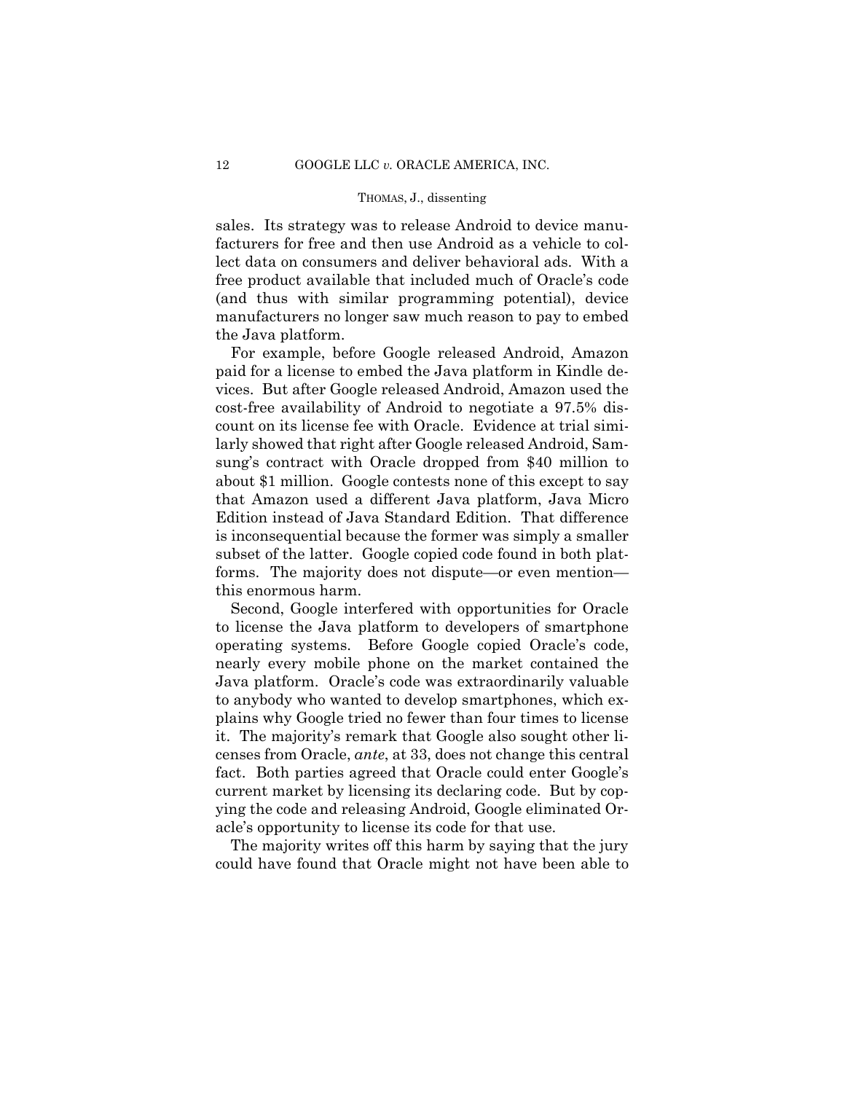sales. Its strategy was to release Android to device manufacturers for free and then use Android as a vehicle to collect data on consumers and deliver behavioral ads. With a free product available that included much of Oracle's code (and thus with similar programming potential), device manufacturers no longer saw much reason to pay to embed the Java platform.

For example, before Google released Android, Amazon paid for a license to embed the Java platform in Kindle devices. But after Google released Android, Amazon used the cost-free availability of Android to negotiate a 97.5% discount on its license fee with Oracle. Evidence at trial similarly showed that right after Google released Android, Samsung's contract with Oracle dropped from \$40 million to about \$1 million. Google contests none of this except to say that Amazon used a different Java platform, Java Micro Edition instead of Java Standard Edition. That difference is inconsequential because the former was simply a smaller subset of the latter. Google copied code found in both platforms. The majority does not dispute—or even mention this enormous harm.

Second, Google interfered with opportunities for Oracle to license the Java platform to developers of smartphone operating systems. Before Google copied Oracle's code, nearly every mobile phone on the market contained the Java platform. Oracle's code was extraordinarily valuable to anybody who wanted to develop smartphones, which explains why Google tried no fewer than four times to license it. The majority's remark that Google also sought other licenses from Oracle, *ante*, at 33, does not change this central fact. Both parties agreed that Oracle could enter Google's current market by licensing its declaring code. But by copying the code and releasing Android, Google eliminated Oracle's opportunity to license its code for that use.

The majority writes off this harm by saying that the jury could have found that Oracle might not have been able to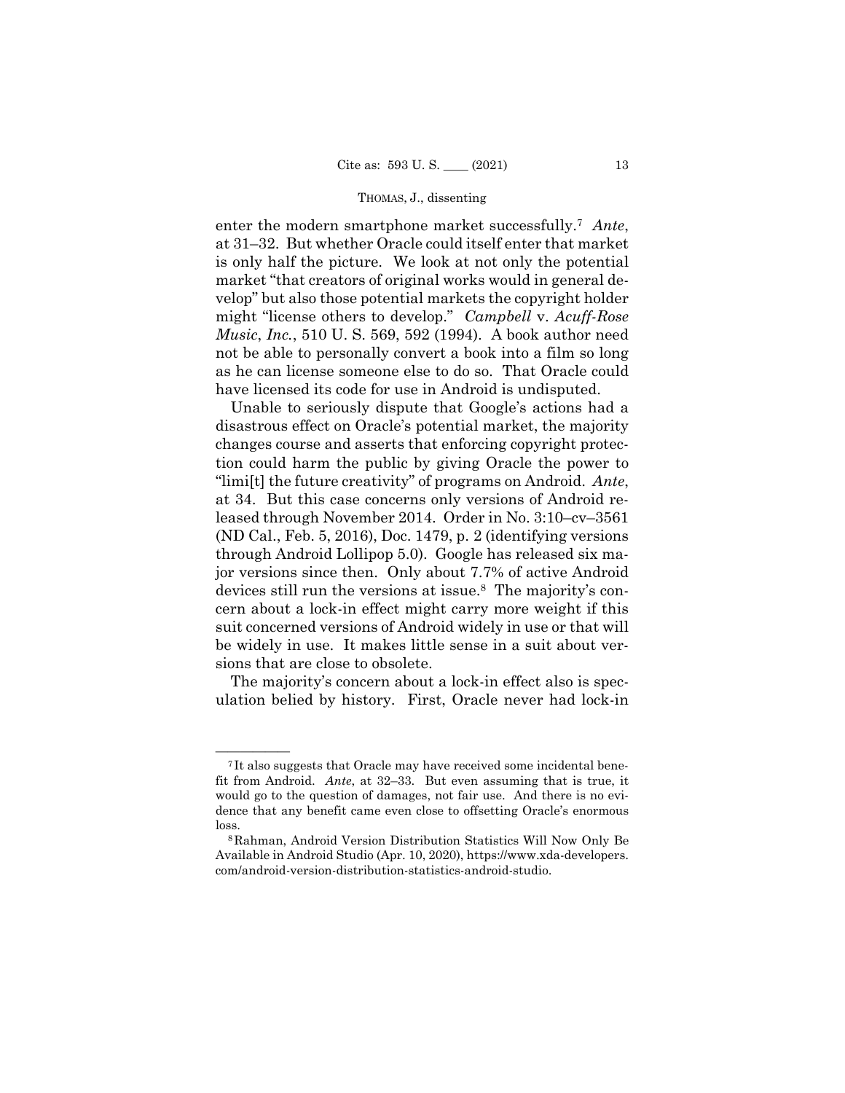enter the modern smartphone market successfully.7 *Ante*, at 31–32. But whether Oracle could itself enter that market is only half the picture. We look at not only the potential market "that creators of original works would in general develop" but also those potential markets the copyright holder might "license others to develop." *Campbell* v. *Acuff-Rose Music*, *Inc.*, 510 U. S. 569, 592 (1994). A book author need not be able to personally convert a book into a film so long as he can license someone else to do so. That Oracle could have licensed its code for use in Android is undisputed.

Unable to seriously dispute that Google's actions had a disastrous effect on Oracle's potential market, the majority changes course and asserts that enforcing copyright protection could harm the public by giving Oracle the power to "limi[t] the future creativity" of programs on Android. *Ante*, at 34. But this case concerns only versions of Android released through November 2014. Order in No. 3:10–cv–3561 (ND Cal., Feb. 5, 2016), Doc. 1479, p. 2 (identifying versions through Android Lollipop 5.0). Google has released six major versions since then. Only about 7.7% of active Android devices still run the versions at issue.<sup>8</sup> The majority's concern about a lock-in effect might carry more weight if this suit concerned versions of Android widely in use or that will be widely in use. It makes little sense in a suit about versions that are close to obsolete.

The majority's concern about a lock-in effect also is speculation belied by history. First, Oracle never had lock-in

<sup>&</sup>lt;sup>7</sup>It also suggests that Oracle may have received some incidental benefit from Android. *Ante*, at 32–33. But even assuming that is true, it would go to the question of damages, not fair use. And there is no evidence that any benefit came even close to offsetting Oracle's enormous

loss. 8Rahman, Android Version Distribution Statistics Will Now Only Be Available in Android Studio (Apr. 10, 2020), https://www.xda-developers. com/android-version-distribution-statistics-android-studio.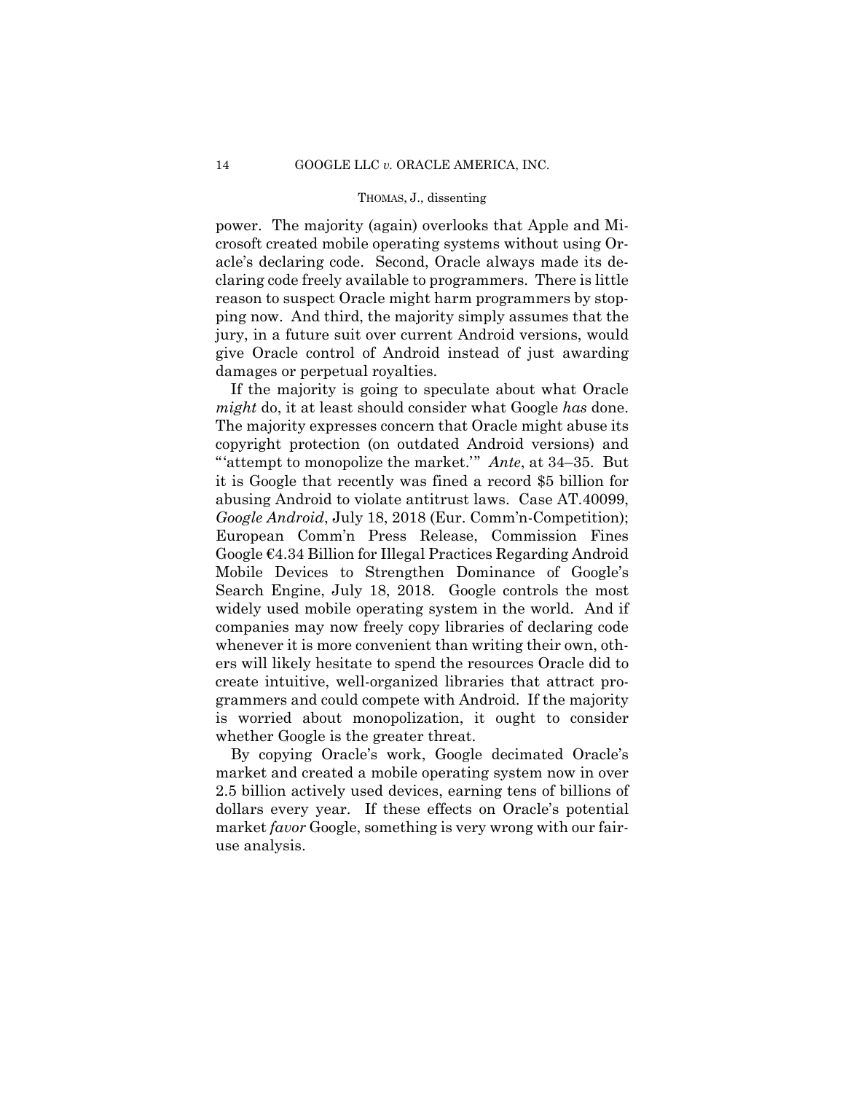power. The majority (again) overlooks that Apple and Microsoft created mobile operating systems without using Oracle's declaring code. Second, Oracle always made its declaring code freely available to programmers. There is little reason to suspect Oracle might harm programmers by stopping now. And third, the majority simply assumes that the jury, in a future suit over current Android versions, would give Oracle control of Android instead of just awarding damages or perpetual royalties.

If the majority is going to speculate about what Oracle *might* do, it at least should consider what Google *has* done. The majority expresses concern that Oracle might abuse its copyright protection (on outdated Android versions) and "'attempt to monopolize the market.'" *Ante*, at 34–35. But it is Google that recently was fined a record \$5 billion for abusing Android to violate antitrust laws. Case AT.40099, *Google Android*, July 18, 2018 (Eur. Comm'n-Competition); European Comm'n Press Release, Commission Fines Google €4.34 Billion for Illegal Practices Regarding Android Mobile Devices to Strengthen Dominance of Google's Search Engine, July 18, 2018. Google controls the most widely used mobile operating system in the world. And if companies may now freely copy libraries of declaring code whenever it is more convenient than writing their own, others will likely hesitate to spend the resources Oracle did to create intuitive, well-organized libraries that attract programmers and could compete with Android. If the majority is worried about monopolization, it ought to consider whether Google is the greater threat.

By copying Oracle's work, Google decimated Oracle's market and created a mobile operating system now in over 2.5 billion actively used devices, earning tens of billions of dollars every year. If these effects on Oracle's potential market *favor* Google, something is very wrong with our fairuse analysis.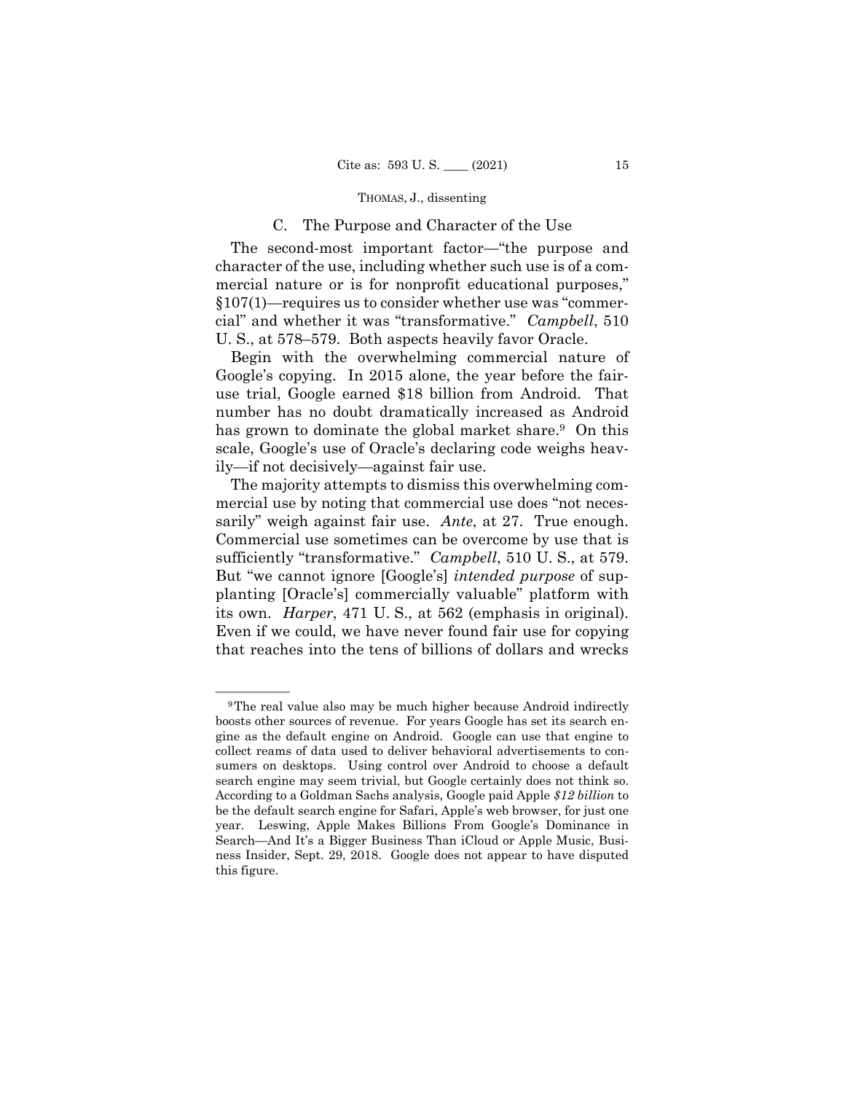### C. The Purpose and Character of the Use

The second-most important factor—"the purpose and character of the use, including whether such use is of a commercial nature or is for nonprofit educational purposes," §107(1)—requires us to consider whether use was "commercial" and whether it was "transformative." *Campbell*, 510 U. S., at 578–579. Both aspects heavily favor Oracle.

Begin with the overwhelming commercial nature of Google's copying. In 2015 alone, the year before the fairuse trial, Google earned \$18 billion from Android. That number has no doubt dramatically increased as Android has grown to dominate the global market share.<sup>9</sup> On this scale, Google's use of Oracle's declaring code weighs heavily—if not decisively—against fair use.

The majority attempts to dismiss this overwhelming commercial use by noting that commercial use does "not necessarily" weigh against fair use. *Ante*, at 27. True enough. Commercial use sometimes can be overcome by use that is sufficiently "transformative." *Campbell*, 510 U. S., at 579. But "we cannot ignore [Google's] *intended purpose* of supplanting [Oracle's] commercially valuable" platform with its own. *Harper*, 471 U. S., at 562 (emphasis in original). Even if we could, we have never found fair use for copying that reaches into the tens of billions of dollars and wrecks  $\frac{1}{\sqrt{2\pi}}$  The real value also may be much higher because Android indirectly

 boosts other sources of revenue. For years Google has set its search engine as the default engine on Android. Google can use that engine to collect reams of data used to deliver behavioral advertisements to consumers on desktops. Using control over Android to choose a default search engine may seem trivial, but Google certainly does not think so. According to a Goldman Sachs analysis, Google paid Apple *\$12 billion* to be the default search engine for Safari, Apple's web browser, for just one year. Leswing, Apple Makes Billions From Google's Dominance in Search—And It's a Bigger Business Than iCloud or Apple Music, Business Insider, Sept. 29, 2018. Google does not appear to have disputed this figure.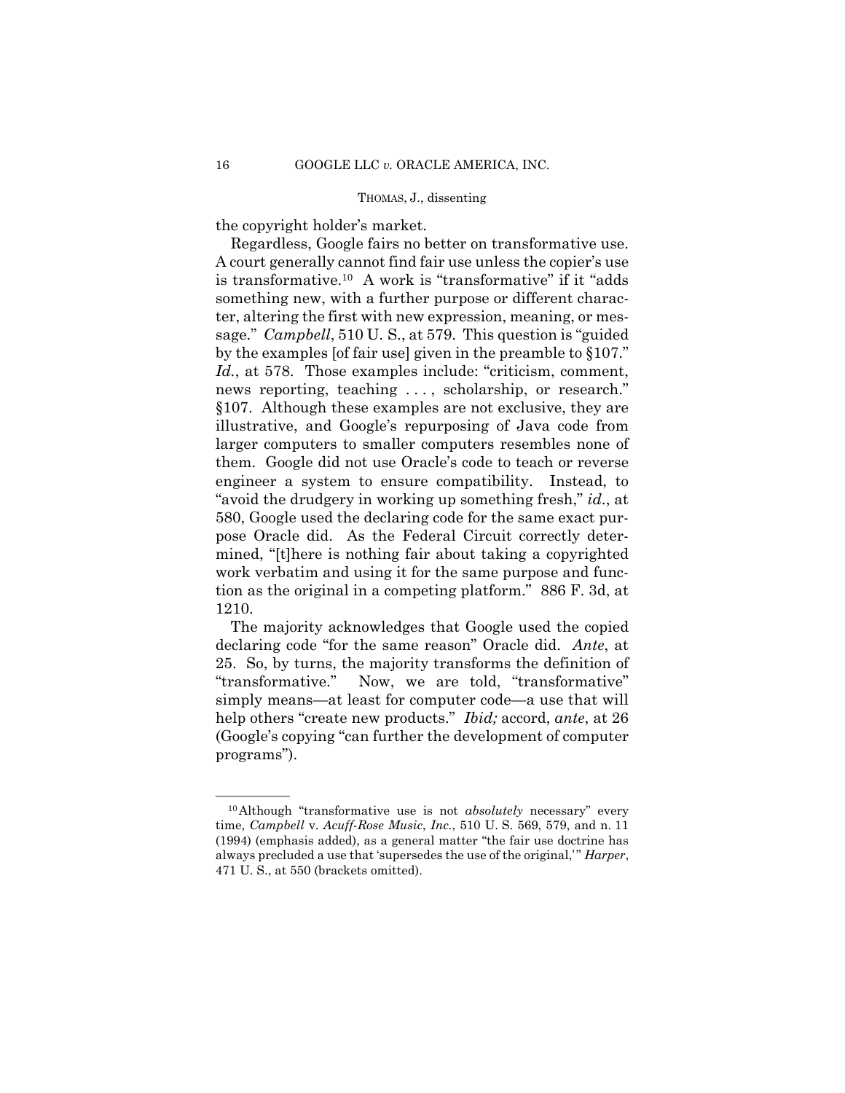the copyright holder's market.

Regardless, Google fairs no better on transformative use. A court generally cannot find fair use unless the copier's use is transformative.10 A work is "transformative" if it "adds something new, with a further purpose or different character, altering the first with new expression, meaning, or message." *Campbell*, 510 U. S., at 579. This question is "guided by the examples [of fair use] given in the preamble to §107." Id., at 578. Those examples include: "criticism, comment, news reporting, teaching ..., scholarship, or research." §107. Although these examples are not exclusive, they are illustrative, and Google's repurposing of Java code from larger computers to smaller computers resembles none of them. Google did not use Oracle's code to teach or reverse engineer a system to ensure compatibility. Instead, to "avoid the drudgery in working up something fresh," *id*., at 580, Google used the declaring code for the same exact purpose Oracle did. As the Federal Circuit correctly determined, "[t]here is nothing fair about taking a copyrighted work verbatim and using it for the same purpose and function as the original in a competing platform." 886 F. 3d, at 1210.

The majority acknowledges that Google used the copied declaring code "for the same reason" Oracle did. *Ante*, at 25. So, by turns, the majority transforms the definition of "transformative." Now, we are told, "transformative" simply means—at least for computer code—a use that will help others "create new products." *Ibid;* accord, *ante*, at 26 (Google's copying "can further the development of computer programs").

 time, *Campbell* v. *Acuff-Rose Music*, *Inc.*, 510 U. S. 569, 579, and n. 11 <sup>10</sup>Although "transformative use is not *absolutely* necessary" every (1994) (emphasis added), as a general matter "the fair use doctrine has always precluded a use that 'supersedes the use of the original,'" *Harper*, 471 U. S., at 550 (brackets omitted).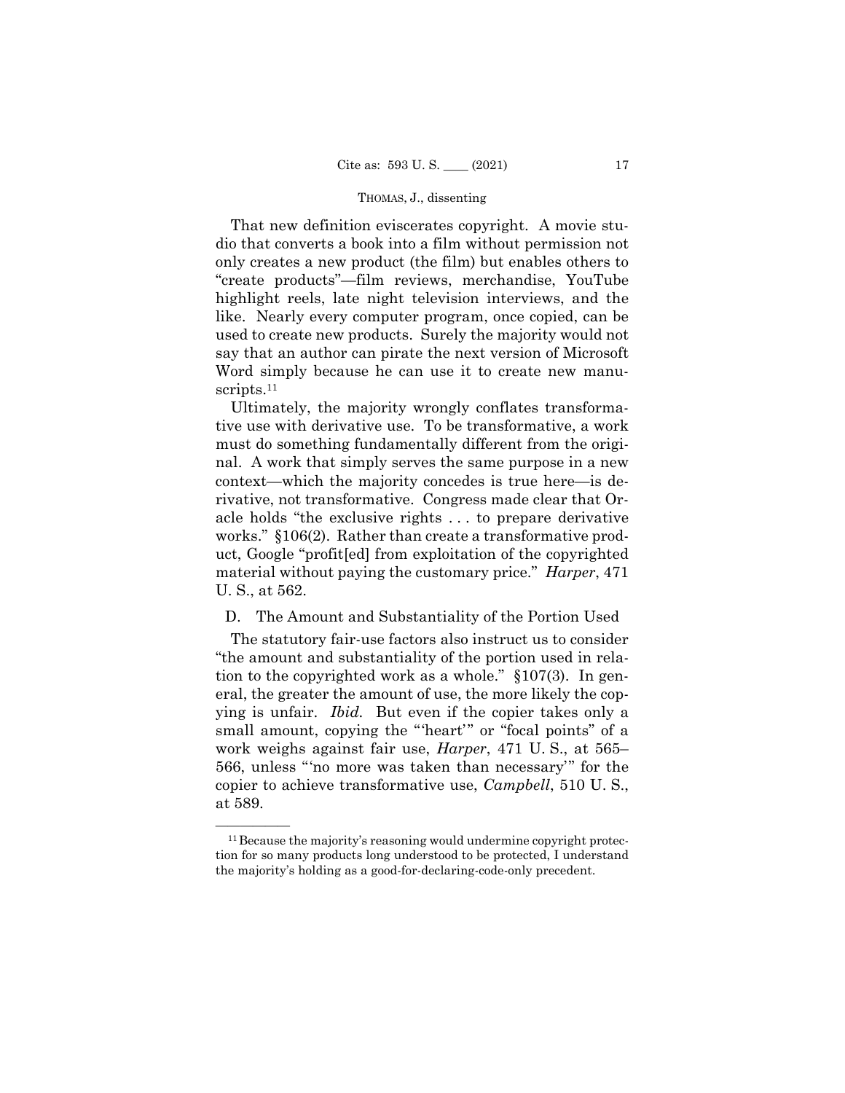That new definition eviscerates copyright. A movie studio that converts a book into a film without permission not only creates a new product (the film) but enables others to "create products"—film reviews, merchandise, YouTube highlight reels, late night television interviews, and the like. Nearly every computer program, once copied, can be used to create new products. Surely the majority would not say that an author can pirate the next version of Microsoft Word simply because he can use it to create new manuscripts.<sup>11</sup>

Ultimately, the majority wrongly conflates transformative use with derivative use. To be transformative, a work must do something fundamentally different from the original. A work that simply serves the same purpose in a new context—which the majority concedes is true here—is derivative, not transformative. Congress made clear that Oracle holds "the exclusive rights . . . to prepare derivative works." §106(2). Rather than create a transformative product, Google "profit[ed] from exploitation of the copyrighted material without paying the customary price." *Harper*, 471 U. S., at 562.

## D. The Amount and Substantiality of the Portion Used

 ying is unfair. *Ibid.* But even if the copier takes only a The statutory fair-use factors also instruct us to consider "the amount and substantiality of the portion used in relation to the copyrighted work as a whole." §107(3). In general, the greater the amount of use, the more likely the copsmall amount, copying the "'heart'" or "focal points" of a work weighs against fair use, *Harper*, 471 U. S., at 565– 566, unless "'no more was taken than necessary'" for the copier to achieve transformative use, *Campbell*, 510 U. S., at 589.

 $11$  Because the majority's reasoning would undermine copyright protection for so many products long understood to be protected, I understand the majority's holding as a good-for-declaring-code-only precedent.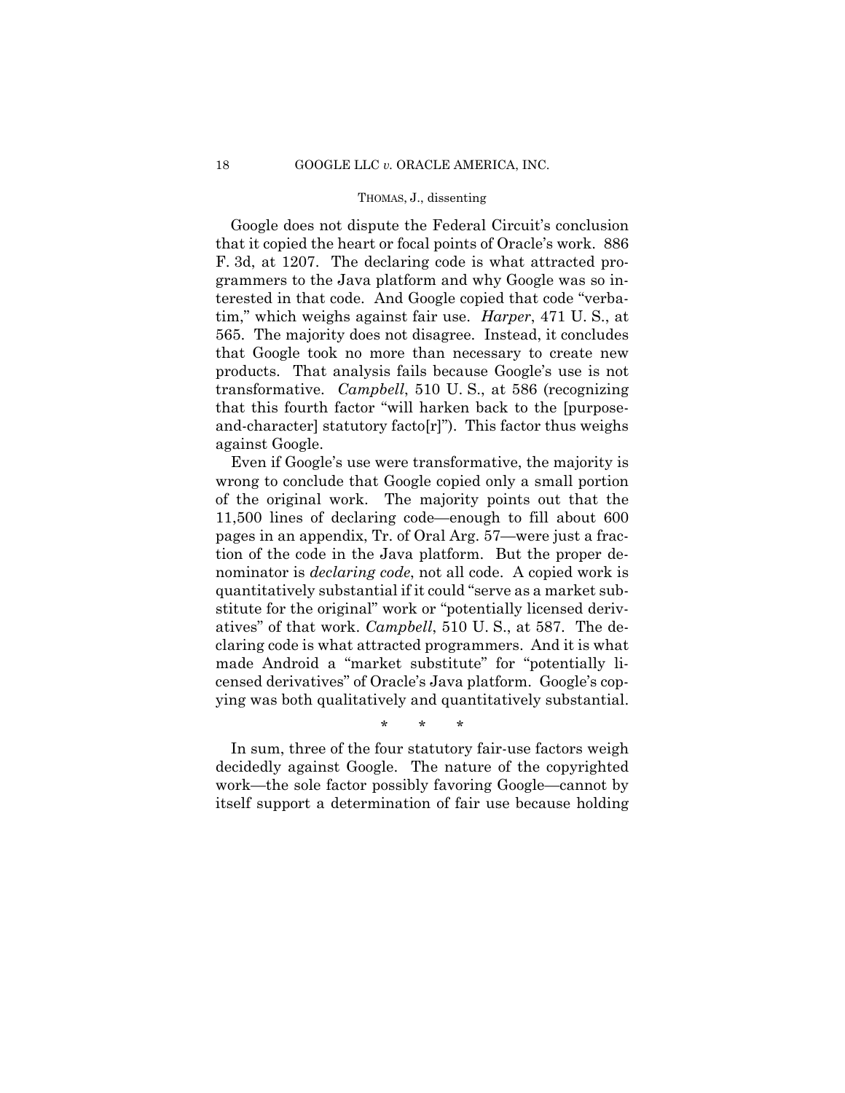Google does not dispute the Federal Circuit's conclusion that it copied the heart or focal points of Oracle's work. 886 F. 3d, at 1207. The declaring code is what attracted programmers to the Java platform and why Google was so interested in that code. And Google copied that code "verbatim," which weighs against fair use. *Harper*, 471 U. S., at 565. The majority does not disagree. Instead, it concludes that Google took no more than necessary to create new products. That analysis fails because Google's use is not transformative. *Campbell*, 510 U. S., at 586 (recognizing that this fourth factor "will harken back to the [purposeand-character] statutory facto $[r]$ "). This factor thus weighs against Google.

Even if Google's use were transformative, the majority is wrong to conclude that Google copied only a small portion of the original work. The majority points out that the 11,500 lines of declaring code—enough to fill about 600 pages in an appendix, Tr. of Oral Arg. 57—were just a fraction of the code in the Java platform. But the proper denominator is *declaring code*, not all code. A copied work is quantitatively substantial if it could "serve as a market substitute for the original" work or "potentially licensed derivatives" of that work. *Campbell*, 510 U. S., at 587. The declaring code is what attracted programmers. And it is what made Android a "market substitute" for "potentially licensed derivatives" of Oracle's Java platform. Google's copying was both qualitatively and quantitatively substantial.

\* \* \*

In sum, three of the four statutory fair-use factors weigh decidedly against Google. The nature of the copyrighted work—the sole factor possibly favoring Google—cannot by itself support a determination of fair use because holding